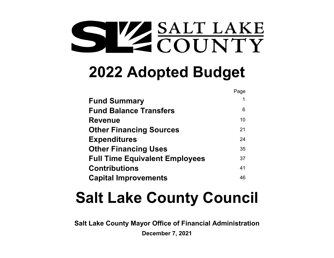# SALT LAKE COUNTY

# **2022 Adopted Budget**

|                                       | Page |
|---------------------------------------|------|
| <b>Fund Summary</b>                   |      |
| <b>Fund Balance Transfers</b>         | 6    |
| <b>Revenue</b>                        | 10   |
| <b>Other Financing Sources</b>        | 21   |
| <b>Expenditures</b>                   | 24   |
| <b>Other Financing Uses</b>           | 35   |
| <b>Full Time Equivalent Employees</b> | 37   |
| <b>Contributions</b>                  | 41   |
| <b>Capital Improvements</b>           | 46   |

# **Salt Lake County Council**

**Salt Lake County Mayor Office of Financial Administration**

**December 7, 2021**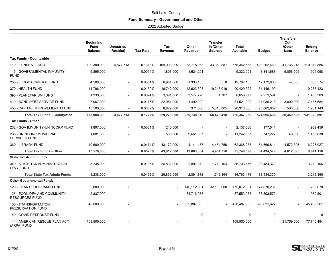# **Fund Summary - Governmental and Other**

<span id="page-1-0"></span>

|                                                       | <b>Beginning</b><br><b>Fund</b><br><b>Balance</b> | Unrestrict/<br>(Restrict) | <b>Tax Rate</b> | Tax<br>Revenue | Other<br>Revenue | <b>Transfer</b><br>In /Other<br><b>Sources</b> | <b>Total</b><br>Available | Budget                   | <b>Transfers</b><br>Out<br>/Other<br><b>Uses</b> | <b>Ending</b><br><b>Balance</b> |
|-------------------------------------------------------|---------------------------------------------------|---------------------------|-----------------|----------------|------------------|------------------------------------------------|---------------------------|--------------------------|--------------------------------------------------|---------------------------------|
| <b>Tax Funds - Countywide</b>                         |                                                   |                           |                 |                |                  |                                                |                           |                          |                                                  |                                 |
| 110 - GENERAL FUND                                    | 129,300,000                                       | 4,877,713                 | 0.1313%         | 169,093,000    | 238,718,968      | 33,352,887                                     | 575,342,568               | 423,262,469              | 41,736,213                                       | 110,343,886                     |
| 115 - GOVERNMENTAL IMMUNITY<br><b>FUND</b>            | 5,895,000                                         |                           | 0.0014%         | 1,803,000      | 1,624,291        |                                                | 9,322,291                 | 3,341,688                | 5,056,505                                        | 924,098                         |
| 250 - FLOOD CONTROL FUND                              | 4,500,000                                         | $\overline{\phantom{a}}$  | 0.0054%         | 6,954,000      | 1,333,185        | 0                                              | 12,787,185                | 12,172,806               | 47,805                                           | 566,574                         |
| 370 - HEALTH FUND                                     | 11,796,000                                        |                           | 0.0130%         | 16,742,000     | 42,623,303       | 19,248,019                                     | 90,409,322                | 81,146,199               |                                                  | 9,263,123                       |
| 390 - PLANETARIUM FUND                                | 1,930,000                                         |                           | 0.0024%         | 3,091,000      | 3,577,270        | 61,707                                         | 8,659,977                 | 7,253,594                |                                                  | 1,406,383                       |
| 410 - BOND DEBT SERVICE FUND                          | 7,067,000                                         | $\overline{\phantom{a}}$  | 0.0175%         | 22,964,000     | 1,490,902        |                                                | 31,521,902                | 21,036,218               | 3,000,000                                        | 7,485,684                       |
| 450 - CAPITAL IMPROVEMENTS FUND                       | 13,500,000                                        |                           | 0.0067%         | 8,629,000      | 371,000          | 5,813,805                                      | 28,313,805                | 25,882,662               | 500,000                                          | 1,931,143                       |
| <b>Total Tax Funds - Countywide</b>                   | 173,988,000                                       | 4,877,713                 | 0.1777%         | 229,276,000    | 289,738,919      | 58,476,418                                     | 756,357,050               | 574,095,636              | 50,340,523                                       | 131,920,891                     |
| <b>Tax Funds - Other</b>                              |                                                   |                           |                 |                |                  |                                                |                           |                          |                                                  |                                 |
| 232 - GOV IMMUNITY-UNINCORP FUND                      | 1,897,000                                         |                           | 0.0051%         | 240,000        |                  |                                                | 2,137,000                 | 177,541                  |                                                  | 1,959,459                       |
| 235 - UNINCORP MUNICIPAL<br><b>SERVICES FUND</b>      | 1,081,000                                         |                           |                 | 500,000        | 9,661,857        |                                                | 11,242,857                | 9,747,227                | 40,000                                           | 1,455,630                       |
| 360 - LIBRARY FUND                                    | 10,600,000                                        | $\sim$                    | 0.0474%         | 43,172,000     | 4,141,477        | 4,454,756                                      | 62,368,233                | 51,569,811               | 4,572,395                                        | 6,226,027                       |
| <b>Total Tax Funds - Other</b>                        | 13,578,000                                        | $\sim$                    | 0.0525%         | 43,912,000     | 13,803,334       | 4,454,756                                      | 75,748,090                | 61,494,579               | 4,612,395                                        | 9,641,116                       |
| <b>State Tax Admin Funds</b>                          |                                                   |                           |                 |                |                  |                                                |                           |                          |                                                  |                                 |
| 340 - STATE TAX ADMINISTRATION<br><b>LEVY FUND</b>    | 5,238,000                                         | $\overline{\phantom{a}}$  | 0.0196%         | 26,832,000     | 2,891,372        | 1,742,104                                      | 36,703,476                | 33,484,370               |                                                  | 3,219,106                       |
| <b>Total State Tax Admin Funds</b>                    | 5,238,000                                         | $\sim$                    | 0.0196%         | 26,832,000     | 2,891,372        | 1,742,104                                      | 36,703,476                | 33,484,370               | $\sim$                                           | 3,219,106                       |
| <b>Other Governmental Funds</b>                       |                                                   |                           |                 |                |                  |                                                |                           |                          |                                                  |                                 |
| 120 - GRANT PROGRAMS FUND                             | 2,800,000                                         |                           |                 |                | 140,112,301      | 32,160,000                                     | 175,072,301               | 174,870,231              |                                                  | 202,070                         |
| 125 - ECON DEV AND COMMUNITY<br><b>RESOURCES FUND</b> | 2,837,000                                         |                           |                 |                | 34,716,073       |                                                | 37,553,073                | 36,593,572               |                                                  | 959,501                         |
| 130 - TRANSPORTATION<br>PRESERVATION FUND             | 48,600,000                                        |                           |                 |                | 389,887,883      |                                                | 438,487,883               | 393,031,622              |                                                  | 45,456,261                      |
| 140 - COVID RESPONSE FUND                             |                                                   |                           |                 |                | 0                |                                                | 0                         | $\mathbf 0$              |                                                  |                                 |
| 141 - AMERICAN RESCUE PLAN ACT<br>(ARPA) FUND         | 109,500,000                                       |                           |                 |                |                  |                                                | 109,500,000               | $\overline{\phantom{0}}$ | 31,759,506                                       | 77,740,494                      |

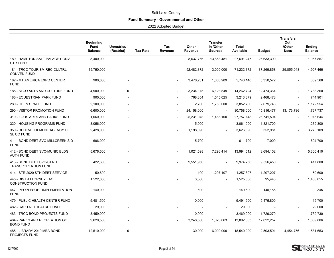# **Fund Summary - Governmental and Other**

|                                                            | <b>Beginning</b><br><b>Fund</b><br><b>Balance</b> | Unrestrict/<br>(Restrict) | <b>Tax Rate</b> | Tax<br><b>Revenue</b> | Other<br>Revenue | <b>Transfer</b><br>In /Other<br><b>Sources</b> | <b>Total</b><br>Available | <b>Budget</b> | <b>Transfers</b><br>Out<br>/Other<br><b>Uses</b> | <b>Ending</b><br><b>Balance</b> |
|------------------------------------------------------------|---------------------------------------------------|---------------------------|-----------------|-----------------------|------------------|------------------------------------------------|---------------------------|---------------|--------------------------------------------------|---------------------------------|
| 180 - RAMPTON SALT PALACE CONV<br><b>CTR FUND</b>          | 5,400,000                                         | $\blacksquare$            |                 | $\blacksquare$        | 8,637,766        | 13,653,481                                     | 27,691,247                | 26,633,390    |                                                  | 1,057,857                       |
| <b>181 - TRCC TOURISM REC CULTRL</b><br><b>CONVEN FUND</b> | 15,750,000                                        |                           |                 |                       | 52,482,372       | 3,000,000                                      | 71,232,372                | 37,269,858    | 29,055,048                                       | 4,907,466                       |
| 182 - MT AMERICA EXPO CENTER<br><b>FUND</b>                | 900,000                                           |                           |                 |                       | 3,476,231        | 1,363,909                                      | 5,740,140                 | 5,350,572     |                                                  | 389,568                         |
| 185 - SLCO ARTS AND CULTURE FUND                           | 4,900,000                                         | 0                         |                 |                       | 3,234,175        | 6,128,549                                      | 14,262,724                | 12,474,364    |                                                  | 1,788,360                       |
| 186 - EQUESTRIAN PARK FUND                                 | 900,000                                           |                           |                 |                       | 768,354          | 1,545,025                                      | 3,213,379                 | 2,468,478     |                                                  | 744,901                         |
| 280 - OPEN SPACE FUND                                      | 2,100,000                                         |                           |                 |                       | 2,700            | 1,750,000                                      | 3,852,700                 | 2,679,746     |                                                  | 1,172,954                       |
| 290 - VISITOR PROMOTION FUND                               | 6,600,000                                         |                           |                 |                       | 24,158,000       | $\overline{\phantom{a}}$                       | 30,758,000                | 15,816,477    | 13,173,786                                       | 1,767,737                       |
| 310 - ZOOS ARTS AND PARKS FUND                             | 1,060,000                                         |                           |                 |                       | 25,231,048       | 1,466,100                                      | 27,757,148                | 26,741,504    | $\blacksquare$                                   | 1,015,644                       |
| 320 - HOUSING PROGRAMS FUND                                | 3,056,000                                         |                           |                 |                       | 5,000            | $\overline{\phantom{a}}$                       | 3,061,000                 | 1,821,700     |                                                  | 1,239,300                       |
| 350 - REDEVELOPMENT AGENCY OF<br>SL CO FUND                | 2,428,000                                         |                           |                 |                       | 1,198,090        |                                                | 3,626,090                 | 352,981       |                                                  | 3,273,109                       |
| 411 - BOND DEBT SVC-MILLCREEK SID<br><b>FUND</b>           | 606,000                                           |                           |                 |                       | 5,700            | $\overline{a}$                                 | 611,700                   | 7,000         |                                                  | 604,700                         |
| 412 - BOND DEBT SVC-MUNIC BLDG<br><b>AUTH FUND</b>         | 5,676,500                                         |                           |                 |                       | 1,021,598        | 7,296,414                                      | 13,994,512                | 8,694,102     |                                                  | 5,300,410                       |
| 413 - BOND DEBT SVC-STATE<br><b>TRANSPORTATION FUND</b>    | 422,300                                           |                           |                 |                       | 9,551,950        | $\overline{\phantom{a}}$                       | 9,974,250                 | 9,556,450     |                                                  | 417,800                         |
| 414 - STR 2020 STH DEBT SERVICE                            | 50,600                                            |                           |                 |                       | 100              | 1,207,107                                      | 1,257,807                 | 1,207,207     |                                                  | 50,600                          |
| 445 - DIST ATTORNEY FAC<br><b>CONSTRUCTION FUND</b>        | 1,522,000                                         |                           |                 |                       | 3,500            |                                                | 1,525,500                 | 95,445        |                                                  | 1,430,055                       |
| 447 - PEOPLESOFT IMPLEMENTATION<br><b>FUND</b>             | 140.000                                           |                           |                 |                       | 500              |                                                | 140,500                   | 140,155       |                                                  | 345                             |
| 479 - PUBLIC HEALTH CENTER FUND                            | 5,481,500                                         |                           |                 |                       | 10,000           |                                                | 5,491,500                 | 5,475,800     |                                                  | 15,700                          |
| 482 - CAPITAL THEATRE FUND                                 | 29,000                                            |                           |                 |                       |                  |                                                | 29,000                    |               |                                                  | 29,000                          |
| 483 - TRCC BOND PROJECTS FUND                              | 3,459,000                                         |                           |                 |                       | 10,000           | $\overline{\phantom{a}}$                       | 3,469,000                 | 1,729,270     |                                                  | 1,739,730                       |
| 484 - PARKS AND RECREATION GO<br><b>BOND FUND</b>          | 9,620,500                                         |                           |                 |                       | 3,248,500        | 1,023,063                                      | 13,892,063                | 12,022,257    |                                                  | 1,869,806                       |
| 485 - LIBRARY 2019 MBA BOND<br><b>PROJECTS FUND</b>        | 12,510,000                                        | 0                         |                 |                       | 30,000           | 6,000,000                                      | 18,540,000                | 12,503,591    | 4,454,756                                        | 1,581,653                       |

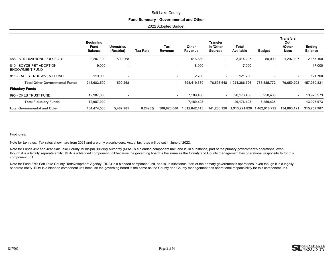#### **Fund Summary - Governmental and Other**

2022 Adopted Budget

|                                                   | <b>Beginning</b><br>Fund<br><b>Balance</b> | Unrestrict/<br>(Restrict) | <b>Tax Rate</b> | Tax<br>Revenue           | <b>Other</b><br>Revenue | <b>Transfer</b><br>In /Other<br><b>Sources</b> | <b>Total</b><br>Available | <b>Budget</b>            | <b>Transfers</b><br>Out<br>/Other<br><b>Uses</b> | Ending<br><b>Balance</b> |
|---------------------------------------------------|--------------------------------------------|---------------------------|-----------------|--------------------------|-------------------------|------------------------------------------------|---------------------------|--------------------------|--------------------------------------------------|--------------------------|
| 486 - STR 2020 BOND PROJECTS                      | 2,207,100                                  | 590,268                   |                 | $\overline{\phantom{a}}$ | 616,839                 | $\overline{\phantom{a}}$                       | 3,414,207                 | 50,000                   | 1,207,107                                        | 2,157,100                |
| 810 - BOYCE PET ADOPTION<br><b>ENDOWMENT FUND</b> | 9,000                                      | $\overline{\phantom{a}}$  |                 | $\overline{\phantom{0}}$ | 8,000                   | $\blacksquare$                                 | 17,000                    |                          |                                                  | 17,000                   |
| 811 - FACES ENDOWMENT FUND                        | 119,000                                    | $\overline{\phantom{a}}$  |                 |                          | 2,700                   | $\blacksquare$                                 | 121,700                   | $\overline{\phantom{0}}$ |                                                  | 121,700                  |
| <b>Total Other Governmental Funds</b>             | 248,683,500                                | 590,268                   |                 | ۰                        | 698,419,380             | 76,593,648                                     | 1,024,286,796             | 787,585,772              | 79,650,203                                       | 157,050,821              |
| <b>Fiduciary Funds</b>                            |                                            |                           |                 |                          |                         |                                                |                           |                          |                                                  |                          |
| 995 - OPEB TRUST FUND                             | 12,987,000                                 | $\overline{\phantom{a}}$  |                 | $\overline{\phantom{0}}$ | 7,189,408               |                                                | 20,176,408                | 6,250,435                |                                                  | 13,925,973               |
| <b>Total Fiduciary Funds</b>                      | 12,987,000                                 | ٠                         |                 | ۰.                       | 7,189,408               | ۰                                              | 20,176,408                | 6,250,435                |                                                  | 13,925,973               |
| <b>Total Governmental and Other</b>               | 454,474,500                                | 5,467,981                 | 0.2498%         | 300,020,000              | 1,012,042,413           | 141,266,926                                    | 1,913,271,820             | 1,462,910,792            | 134,603,121                                      | 315,757,907              |

#### Footnotes:

Note for tax rates: Tax rates shown are from 2021 and are only placeholders. Actual tax rates will be set in June of 2022.

Note for Funds 412 and 485: Salt Lake County Municipal Building Authority (MBA) is a blended component unit, and is, in substance, part of the primary government's operations, even though it is a legally separate entity. MBA is a blended component unit because the governing board is the same as the County and County management has operational responsibility for this component unit.

Note for Fund 350: Salt Lake County Redevelopment Agency (RDA) is a blended component unit, and is, in substance, part of the primary government's operations, even though it is a legally separate entity. RDA is a blended component unit because the governing board is the same as the County and County management has operational responsibility for this component unit.

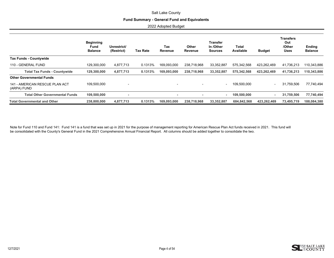#### **Fund Summary - General Fund and Equivalents**

2022 Adopted Budget

|                                               | <b>Beginning</b><br>Fund<br><b>Balance</b> | Unrestrict/<br>(Restrict) | <b>Tax Rate</b> | Tax<br>Revenue           | Other<br>Revenue | <b>Transfer</b><br>In /Other<br><b>Sources</b> | Total<br>Available | <b>Budget</b> | <b>Transfers</b><br>Out<br>/Other<br><b>Uses</b> | <b>Ending</b><br><b>Balance</b> |
|-----------------------------------------------|--------------------------------------------|---------------------------|-----------------|--------------------------|------------------|------------------------------------------------|--------------------|---------------|--------------------------------------------------|---------------------------------|
| <b>Tax Funds - Countywide</b>                 |                                            |                           |                 |                          |                  |                                                |                    |               |                                                  |                                 |
| 110 - GENERAL FUND                            | 129.300.000                                | 4.877.713                 | 0.1313%         | 169,093,000              | 238,718,968      | 33,352,887                                     | 575,342,568        | 423.262.469   | 41,736,213                                       | 110,343,886                     |
| <b>Total Tax Funds - Countywide</b>           | 129,300,000                                | 4,877,713                 | 0.1313%         | 169,093,000              | 238,718,968      | 33,352,887                                     | 575,342,568        | 423.262.469   | 41,736,213                                       | 110,343,886                     |
| <b>Other Governmental Funds</b>               |                                            |                           |                 |                          |                  |                                                |                    |               |                                                  |                                 |
| 141 - AMERICAN RESCUE PLAN ACT<br>(ARPA) FUND | 109.500.000                                |                           |                 |                          |                  | $\overline{\phantom{a}}$                       | 109.500.000        | -             | 31.759.506                                       | 77.740.494                      |
| <b>Total Other Governmental Funds</b>         | 109,500,000                                |                           |                 | $\overline{\phantom{a}}$ | ۰                | $\sim$                                         | 109,500,000        | ٠             | 31,759,506                                       | 77,740,494                      |
| <b>Total Governmental and Other</b>           | 238,800,000                                | 4,877,713                 | 0.1313%         | 169,093,000              | 238,718,968      | 33,352,887                                     | 684,842,568        | 423,262,469   | 73,495,719                                       | 188,084,380                     |

Note for Fund 110 and Fund 141: Fund 141 is a fund that was set up in 2021 for the purpose of management reporting for American Rescue Plan Act funds received in 2021. This fund will be consolidated with the County's General Fund in the 2021 Comprehensive Annual Financial Report. All columns should be added together to consolidate the two.

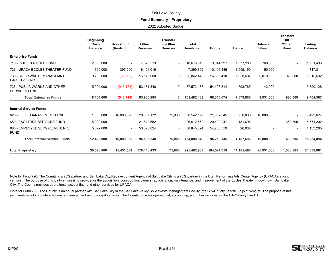#### **Fund Summary - Proprietary**

2022 Adopted Budget

|                                                      | <b>Beginning</b><br>Cash<br><b>Balance</b> | Unrestrict/<br>(Restrict) | Other<br>Revenue | <b>Transfer</b><br>In /Other<br><b>Sources</b> | <b>Total</b><br>Available | <b>Budget</b> | Deprec.    | <b>Balance</b><br><b>Sheet</b> | <b>Transfers</b><br>Out<br>/Other<br><b>Uses</b> | <b>Ending</b><br><b>Balance</b> |
|------------------------------------------------------|--------------------------------------------|---------------------------|------------------|------------------------------------------------|---------------------------|---------------|------------|--------------------------------|--------------------------------------------------|---------------------------------|
| <b>Enterprise Funds</b>                              |                                            |                           |                  |                                                |                           |               |            |                                |                                                  |                                 |
| 710 - GOLF COURSES FUND                              | 2,800,000                                  | $\overline{\phantom{a}}$  | 7,878,513        | $\overline{\phantom{a}}$                       | 10,678,513                | 9,044,297     | 1,077,280  | 760,000                        | $\overline{\phantom{a}}$                         | 1,951,496                       |
| 726 - UPACA ECCLES THEATER FUND                      | 600,000                                    | 395,290                   | 6,404,016        | $\overline{\phantom{a}}$                       | 7,399,306                 | 10,191,145    | 3,559,150  | 50,000                         | $\overline{\phantom{a}}$                         | 717,311                         |
| 730 - SOLID WASTE MANAGEMNT<br><b>FACILITY FUND</b>  | 9,700,000                                  | (30, 565)                 | 16,173,008       | $\overline{\phantom{a}}$                       | 25,842,443                | 14,666,418    | 1,838,607  | 9,079,000                      | 920,000                                          | 3,015,632                       |
| 735 - PUBLIC WORKS AND OTHER<br><b>SERVICES FUND</b> | 5,004,000                                  | (913, 171)                | 53,481,348       | 0                                              | 57,572,177                | 54,408,814    | 598,765    | 42,000                         | $\overline{\phantom{a}}$                         | 3,720,128                       |
| <b>Total Enterprise Funds</b>                        | 18.104.000                                 | (548, 446)                | 83.936.885       | 0                                              | 101.492.439               | 88.310.674    | 7,073,802  | 9,931,000                      | 920.000                                          | 9,404,567                       |
| <b>Internal Service Funds</b>                        |                                            |                           |                  |                                                |                           |               |            |                                |                                                  |                                 |
| 620 - FLEET MANAGEMENT FUND                          | 1.600.000                                  | 16.000.000                | 20.867.172       | 75,000                                         | 38.542.172                | 21,062,545    | 3,950,000  | 16,000,000                     |                                                  | 5,429,627                       |
| 650 - FACILITIES SERVICES FUND                       | 5,000,000                                  | $\overline{\phantom{a}}$  | 21,612,552       | $\overline{\phantom{a}}$                       | 26,612,552                | 20,409,241    | 131,696    | $\overline{\phantom{a}}$       | 663,805                                          | 5,671,202                       |
| 680 - EMPLOYEE SERVICE RESERVE<br><b>FUND</b>        | 5,822,000                                  | $\overline{\phantom{0}}$  | 53,023,824       | $\blacksquare$                                 | 58,845,824                | 54,738,559    | 26,000     |                                | $\overline{\phantom{a}}$                         | 4,133,265                       |
| <b>Total Internal Service Funds</b>                  | 12,422,000                                 | 16,000,000                | 95,503,548       | 75,000                                         | 124,000,548               | 96,210,345    | 4,107,696  | 16,000,000                     | 663,805                                          | 15,234,094                      |
| <b>Total Proprietary</b>                             | 30.526.000                                 | 15.451.554                | 179.440.433      | 75,000                                         | 225.492.987               | 184.521.019   | 11.181.498 | 25.931.000                     | 1.583.805                                        | 24.638.661                      |

Note for Fund 726: The County is a 25% partner and Salt Lake City/Redevelopment Agency of Salt Lake City is a 75% partner in the Utah Performing Arts Center Agency (UPACA), a joint venture. The purpose of this joint venture is to provide for the acquisition, construction, ownership, operation, maintenance, and improvement of the Eccles Theater in downtown Salt Lake City. The County provides operational, accounting, and other services for UPACA.

Note for Fund 730: The County is an equal partner with Salt Lake City in the Salt Lake Valley Solid Waste Management Facility (the City/County Landfill), a joint venture. The purpose of this joint venture is to provide solid waste management and disposal services. The County provides operational, accounting, and other services for the City/County Landfill.

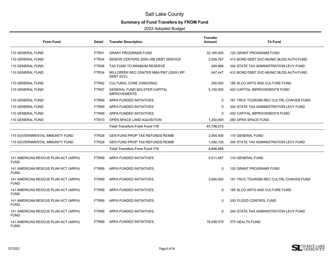# **Summary of Fund Transfers by FROM Fund**

<span id="page-6-0"></span>

| <b>From Fund</b>                                   | Detail            | <b>Transfer Description</b>                                | <b>Transfer</b><br>Amount | <b>To Fund</b>                          |
|----------------------------------------------------|-------------------|------------------------------------------------------------|---------------------------|-----------------------------------------|
| 110 GENERAL FUND                                   | FTR01             | <b>GRANT PROGRAMS FUND</b>                                 | 32,160,000                | 120 GRANT PROGRAMS FUND                 |
| 110 GENERAL FUND                                   | FTR04             | SENIOR CENTERS 2009 LRB DEBT SERVICE                       | 2,028,767                 | 412 BOND DEBT SVC-MUNIC BLDG AUTH FUND  |
| 110 GENERAL FUND                                   | FTR06             | TAX FUND TO MINIMUM RESERVE                                | 249,999                   | 340 STATE TAX ADMINISTRATION LEVY FUND  |
| 110 GENERAL FUND                                   | FTR34             | MILLCREEK REC CENTER MBA PMT (2009 LRP<br>DEBT SVC)        | 647,447                   | 412 BOND DEBT SVC-MUNIC BLDG AUTH FUND  |
| 110 GENERAL FUND                                   | FTR62             | CULTURAL CORE (ONGOING)                                    | 250,000                   | 185 SLCO ARTS AND CULTURE FUND          |
| 110 GENERAL FUND                                   | FTR67             | <b>GENERAL FUND BOLSTER CAPITAL</b><br><b>IMPROVEMENTS</b> | 5,150,000                 | <b>450 CAPITAL IMPROVEMENTS FUND</b>    |
| 110 GENERAL FUND                                   | FTR69             | ARPA FUNDED INITIATIVES                                    | 0                         | 181 TRCC TOURISM REC CULTRL CONVEN FUND |
| 110 GENERAL FUND                                   | FTR69             | ARPA FUNDED INITIATIVES                                    | 0                         | 340 STATE TAX ADMINISTRATION LEVY FUND  |
| 110 GENERAL FUND                                   | FTR69             | ARPA FUNDED INITIATIVES                                    | 0                         | <b>450 CAPITAL IMPROVEMENTS FUND</b>    |
| 110 GENERAL FUND                                   | FTR73             | OPEN SPACE LAND AQUISITION                                 | 1,250,000                 | 280 OPEN SPACE FUND                     |
|                                                    |                   | <b>Total Transfers From Fund 110</b>                       | 41,736,213                |                                         |
| <b>115 GOVERNMENTAL IMMUNITY FUND</b>              | FTR <sub>28</sub> | <b>GEN FUND PROP TAX REFUNDS REIMB</b>                     | 3,564,400                 | 110 GENERAL FUND                        |
| 115 GOVERNMENTAL IMMUNITY FUND                     | FTR <sub>28</sub> | <b>GEN FUND PROP TAX REFUNDS REIMB</b>                     | 1,492,105                 | 340 STATE TAX ADMINISTRATION LEVY FUND  |
|                                                    |                   | <b>Total Transfers From Fund 115</b>                       | 5,056,505                 |                                         |
| 141 AMERICAN RESCUE PLAN ACT (ARPA)<br><b>FUND</b> | FTR69             | ARPA FUNDED INITIATIVES                                    | 9,511,487                 | 110 GENERAL FUND                        |
| 141 AMERICAN RESCUE PLAN ACT (ARPA)<br><b>FUND</b> | FTR69             | ARPA FUNDED INITIATIVES                                    | 0                         | 120 GRANT PROGRAMS FUND                 |
| 141 AMERICAN RESCUE PLAN ACT (ARPA)<br><b>FUND</b> | FTR69             | ARPA FUNDED INITIATIVES                                    | 3,000,000                 | 181 TRCC TOURISM REC CULTRL CONVEN FUND |
| 141 AMERICAN RESCUE PLAN ACT (ARPA)<br><b>FUND</b> | FTR69             | ARPA FUNDED INITIATIVES                                    | 0                         | 185 SLCO ARTS AND CULTURE FUND          |
| 141 AMERICAN RESCUE PLAN ACT (ARPA)<br><b>FUND</b> | FTR69             | ARPA FUNDED INITIATIVES                                    | 0                         | 250 FLOOD CONTROL FUND                  |
| 141 AMERICAN RESCUE PLAN ACT (ARPA)<br><b>FUND</b> | FTR69             | <b>ARPA FUNDED INITIATIVES</b>                             | 0                         | 340 STATE TAX ADMINISTRATION LEVY FUND  |
| 141 AMERICAN RESCUE PLAN ACT (ARPA)<br><b>FUND</b> | FTR69             | ARPA FUNDED INITIATIVES                                    | 19,248,019                | 370 HEALTH FUND                         |

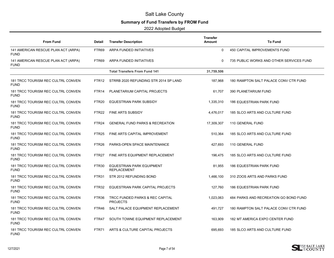# **Summary of Fund Transfers by FROM Fund**

| <b>From Fund</b>                                   | Detail            | <b>Transfer Description</b>                        | Transfer<br>Amount | <b>To Fund</b>                           |
|----------------------------------------------------|-------------------|----------------------------------------------------|--------------------|------------------------------------------|
| 141 AMERICAN RESCUE PLAN ACT (ARPA)<br><b>FUND</b> | FTR69             | ARPA FUNDED INITIATIVES                            | $\Omega$           | 450 CAPITAL IMPROVEMENTS FUND            |
| 141 AMERICAN RESCUE PLAN ACT (ARPA)<br><b>FUND</b> | FTR69             | ARPA FUNDED INITIATIVES                            | 0                  | 735 PUBLIC WORKS AND OTHER SERVICES FUND |
|                                                    |                   | <b>Total Transfers From Fund 141</b>               | 31,759,506         |                                          |
| 181 TRCC TOURISM REC CULTRL CONVEN<br><b>FUND</b>  | FTR <sub>12</sub> | STRRB 2020 REFUNDING STR 2014 SP LAND              | 187,968            | 180 RAMPTON SALT PALACE CONV CTR FUND    |
| 181 TRCC TOURISM REC CULTRL CONVEN<br><b>FUND</b>  | FTR14             | PLANETARIUM CAPITAL PROJECTS                       | 61,707             | 390 PLANETARIUM FUND                     |
| 181 TRCC TOURISM REC CULTRL CONVEN<br><b>FUND</b>  | FTR <sub>20</sub> | EQUESTRIAN PARK SUBSIDY                            | 1,335,310          | 186 EQUESTRIAN PARK FUND                 |
| 181 TRCC TOURISM REC CULTRL CONVEN<br><b>FUND</b>  | FTR <sub>22</sub> | FINE ARTS SUBSIDY                                  | 4,476,017          | 185 SLCO ARTS AND CULTURE FUND           |
| 181 TRCC TOURISM REC CULTRL CONVEN<br><b>FUND</b>  | FTR <sub>24</sub> | <b>GENERAL FUND PARKS &amp; RECREATION</b>         | 17,309,307         | 110 GENERAL FUND                         |
| 181 TRCC TOURISM REC CULTRL CONVEN<br><b>FUND</b>  | FTR <sub>25</sub> | FINE ARTS CAPITAL IMPROVEMENT                      | 510,364            | 185 SLCO ARTS AND CULTURE FUND           |
| 181 TRCC TOURISM REC CULTRL CONVEN<br><b>FUND</b>  | FTR <sub>26</sub> | PARKS-OPEN SPACE MAINTENANCE                       | 427,693            | 110 GENERAL FUND                         |
| 181 TRCC TOURISM REC CULTRL CONVEN<br><b>FUND</b>  | FTR <sub>27</sub> | FINE ARTS EQUIPMENT REPLACEMENT                    | 196,475            | 185 SLCO ARTS AND CULTURE FUND           |
| 181 TRCC TOURISM REC CULTRL CONVEN<br><b>FUND</b>  | FTR30             | EQUESTRIAN PARK EQUIPMENT<br><b>REPLACEMENT</b>    | 81,955             | <b>186 EQUESTRIAN PARK FUND</b>          |
| 181 TRCC TOURISM REC CULTRL CONVEN<br><b>FUND</b>  | FTR31             | STR 2012 REFUNDING BOND                            | 1,466,100          | 310 ZOOS ARTS AND PARKS FUND             |
| 181 TRCC TOURISM REC CULTRL CONVEN<br><b>FUND</b>  | FTR32             | EQUESTRIAN PARK CAPITAL PROJECTS                   | 127,760            | <b>186 EQUESTRIAN PARK FUND</b>          |
| 181 TRCC TOURISM REC CULTRL CONVEN<br><b>FUND</b>  | FTR36             | TRCC FUNDED PARKS & REC CAPITAL<br><b>PROJECTS</b> | 1,023,063          | 484 PARKS AND RECREATION GO BOND FUND    |
| 181 TRCC TOURISM REC CULTRL CONVEN<br><b>FUND</b>  | FTR46             | SALT PALACE EQUIPMENT REPLACEMENT                  | 491,727            | 180 RAMPTON SALT PALACE CONV CTR FUND    |
| 181 TRCC TOURISM REC CULTRL CONVEN<br><b>FUND</b>  | FTR47             | SOUTH TOWNE EQUIPMENT REPLACEMENT                  | 163,909            | 182 MT AMERICA EXPO CENTER FUND          |
| 181 TRCC TOURISM REC CULTRL CONVEN<br><b>FUND</b>  | FTR71             | ARTS & CULTURE CAPITAL PROJECTS                    | 695,693            | 185 SLCO ARTS AND CULTURE FUND           |

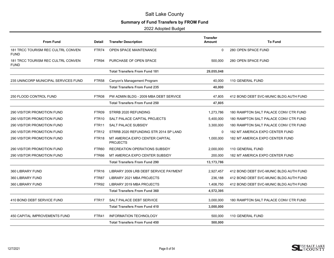# **Summary of Fund Transfers by FROM Fund**

| <b>From Fund</b>                                  | Detail            | <b>Transfer Description</b>                       | <b>Transfer</b><br>Amount | <b>To Fund</b>                         |
|---------------------------------------------------|-------------------|---------------------------------------------------|---------------------------|----------------------------------------|
| 181 TRCC TOURISM REC CULTRL CONVEN<br><b>FUND</b> | FTR74             | <b>OPEN SPACE MAINTENANCE</b>                     | 0                         | 280 OPEN SPACE FUND                    |
| 181 TRCC TOURISM REC CULTRL CONVEN<br><b>FUND</b> | FTR94             | PURCHASE OF OPEN SPACE                            | 500,000                   | 280 OPEN SPACE FUND                    |
|                                                   |                   | <b>Total Transfers From Fund 181</b>              | 29,055,048                |                                        |
| 235 UNINCORP MUNICIPAL SERVICES FUND              | FTR58             | Canyon's Management Program                       | 40,000                    | 110 GENERAL FUND                       |
|                                                   |                   | <b>Total Transfers From Fund 235</b>              | 40,000                    |                                        |
| 250 FLOOD CONTROL FUND                            | FTR08             | PW ADMIN BLDG - 2009 MBA DEBT SERVICE             | 47,805                    | 412 BOND DEBT SVC-MUNIC BLDG AUTH FUND |
|                                                   |                   | <b>Total Transfers From Fund 250</b>              | 47,805                    |                                        |
| <b>290 VISITOR PROMOTION FUND</b>                 | FTR09             | STRRB 2020 REFUNDING                              | 1,273,786                 | 180 RAMPTON SALT PALACE CONV CTR FUND  |
| 290 VISITOR PROMOTION FUND                        | FTR <sub>10</sub> | SALT PALACE CAPITAL PROJECTS                      | 5,400,000                 | 180 RAMPTON SALT PALACE CONV CTR FUND  |
| 290 VISITOR PROMOTION FUND                        | FTR <sub>11</sub> | SALT PALACE SUBSIDY                               | 3,300,000                 | 180 RAMPTON SALT PALACE CONV CTR FUND  |
| 290 VISITOR PROMOTION FUND                        | FTR <sub>12</sub> | STRRB 2020 REFUNDING STR 2014 SP LAND             | $\mathbf{0}$              | 182 MT AMERICA EXPO CENTER FUND        |
| 290 VISITOR PROMOTION FUND                        | FTR <sub>18</sub> | MT AMERICA EXPO CENTER CAPITAL<br><b>PROJECTS</b> | 1,000,000                 | 182 MT AMERICA EXPO CENTER FUND        |
| <b>290 VISITOR PROMOTION FUND</b>                 | FTR60             | RECREATION OPERATIONS SUBSIDY                     | 2,000,000                 | 110 GENERAL FUND                       |
| 290 VISITOR PROMOTION FUND                        | FTR66             | MT AMERICA EXPO CENTER SUBSIDY                    | 200,000                   | 182 MT AMERICA EXPO CENTER FUND        |
|                                                   |                   | <b>Total Transfers From Fund 290</b>              | 13, 173, 786              |                                        |
| 360 LIBRARY FUND                                  | FTR <sub>16</sub> | LIBRARY 2009 LRB DEBT SERVICE PAYMENT             | 2,927,457                 | 412 BOND DEBT SVC-MUNIC BLDG AUTH FUND |
| 360 LIBRARY FUND                                  | FTR87             | LIBRARY 2021 MBA PROJECTS                         | 236,188                   | 412 BOND DEBT SVC-MUNIC BLDG AUTH FUND |
| 360 LIBRARY FUND                                  | FTR92             | LIBRARY 2019 MBA PROJECTS                         | 1,408,750                 | 412 BOND DEBT SVC-MUNIC BLDG AUTH FUND |
|                                                   |                   | <b>Total Transfers From Fund 360</b>              | 4,572,395                 |                                        |
| 410 BOND DEBT SERVICE FUND                        | FTR <sub>17</sub> | SALT PALACE DEBT SERVICE                          | 3,000,000                 | 180 RAMPTON SALT PALACE CONV CTR FUND  |
|                                                   |                   | <b>Total Transfers From Fund 410</b>              | 3,000,000                 |                                        |
| 450 CAPITAL IMPROVEMENTS FUND                     | FTR41             | INFORMATION TECHNOLOGY                            | 500,000                   | 110 GENERAL FUND                       |
|                                                   |                   | <b>Total Transfers From Fund 450</b>              | 500,000                   |                                        |
|                                                   |                   |                                                   |                           |                                        |

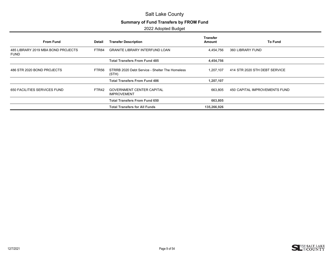# **Summary of Fund Transfers by FROM Fund**

| <b>From Fund</b>                                  | Detail | <b>Transfer Description</b>                             | <b>Transfer</b><br>Amount | <b>To Fund</b>                |
|---------------------------------------------------|--------|---------------------------------------------------------|---------------------------|-------------------------------|
| 485 LIBRARY 2019 MBA BOND PROJECTS<br><b>FUND</b> | FTR84  | <b>GRANITE LIBRARY INTERFUND LOAN</b>                   | 4,454,756                 | 360 LIBRARY FUND              |
|                                                   |        | <b>Total Transfers From Fund 485</b>                    | 4,454,756                 |                               |
| 486 STR 2020 BOND PROJECTS                        | FTR56  | STRRB 2020 Debt Service - Shelter The Homeless<br>(STH) | 1.207.107                 | 414 STR 2020 STH DEBT SERVICE |
|                                                   |        | <b>Total Transfers From Fund 486</b>                    | 1,207,107                 |                               |
| 650 FACILITIES SERVICES FUND                      | FTR42  | <b>GOVERNMENT CENTER CAPITAL</b><br><b>IMPROVEMENT</b>  | 663,805                   | 450 CAPITAL IMPROVEMENTS FUND |
|                                                   |        | <b>Total Transfers From Fund 650</b>                    | 663,805                   |                               |
|                                                   |        | <b>Total Transfers for All Funds</b>                    | 135,266,926               |                               |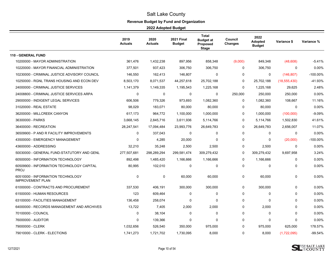# **Revenue Budget by Fund and Organization**

<span id="page-10-0"></span>

|                                                              | 2019<br><b>Actuals</b> | 2020<br><b>Actuals</b> | <b>2021 Final</b><br><b>Budget</b> | <b>Total</b><br><b>Budget at</b><br>Proposed<br><b>Stage</b> | Council<br>Changes | 2022<br>Adopted<br><b>Budget</b> | Variance \$    | Variance %  |
|--------------------------------------------------------------|------------------------|------------------------|------------------------------------|--------------------------------------------------------------|--------------------|----------------------------------|----------------|-------------|
| <b>110 - GENERAL FUND</b>                                    |                        |                        |                                    |                                                              |                    |                                  |                |             |
| 10200000 - MAYOR ADMINISTRATION                              | 361,476                | 1,432,238              | 897,956                            | 858,348                                                      | (9,000)            | 849,348                          | (48,608)       | $-5.41%$    |
| 10220000 - MAYOR FINANCIAL ADMINISTRATION                    | 377,501                | 937,423                | 306,750                            | 306,750                                                      | 0                  | 306,750                          | 0              | 0.00%       |
| 10230000 - CRIMINAL JUSTICE ADVISORY COUNCIL                 | 146,550                | 162,413                | 146,807                            | 0                                                            | 0                  | 0                                | (146, 807)     | $-100.00\%$ |
| 10250000 - RGNL TRANS HOUSING AND ECON DEV                   | 8,503,170              | 8,071,537              | 44,257,618                         | 25,702,188                                                   | 0                  | 25,702,188                       | (18, 555, 430) | -41.93%     |
| 24000000 - CRIMINAL JUSTICE SERVICES                         | 1,141,379              | 1,149,335              | 1,195,543                          | 1,225,168                                                    | $\mathbf 0$        | 1,225,168                        | 29,625         | 2.48%       |
| 24008800 - CRIMINAL JUSTICE SERVICES ARPA                    | 0                      | $\mathbf 0$            | 0                                  | $\mathbf 0$                                                  | 250,000            | 250,000                          | 250,000        | 0.00%       |
| 29000000 - INDIGENT LEGAL SERVICES                           | 606,506                | 779,326                | 973,693                            | 1,082,360                                                    | 0                  | 1,082,360                        | 108,667        | 11.16%      |
| 31020000 - REAL ESTATE                                       | 98,029                 | 183,071                | 80,000                             | 80,000                                                       | 0                  | 80,000                           | 0              | 0.00%       |
| 36200000 - MILLCREEK CANYON                                  | 617,173                | 964,772                | 1,100,000                          | 1,000,000                                                    | 0                  | 1,000,000                        | (100,000)      | $-9.09%$    |
| 36300000 - PARKS                                             | 3,668,145              | 2,845,716              | 3,611,936                          | 5,114,766                                                    | $\mathbf 0$        | 5,114,766                        | 1,502,830      | 41.61%      |
| 36400000 - RECREATION                                        | 28,247,541             | 17,094,484             | 23,993,776                         | 26,649,783                                                   | 0                  | 26,649,783                       | 2,656,007      | 11.07%      |
| 36509900 - P AND R FACILITY IMPROVEMENTS                     | $\mathbf 0$            | 337,043                | $\mathbf 0$                        | $\mathbf 0$                                                  | $\mathbf 0$        | $\Omega$                         | 0              | 0.00%       |
| 43500000 - EMERGENCY MANAGEMENT                              | 0                      | 4,285                  | 20,000                             | $\mathbf 0$                                                  | $\mathbf 0$        | $\Omega$                         | (20,000)       | $-100.00\%$ |
| 43600000 - ADDRESSING                                        | 32,210                 | 35,248                 | 2,500                              | 2,500                                                        | 0                  | 2,500                            | 0              | 0.00%       |
| 50030000 - GENERAL FUND-STATUTORY AND GENL                   | 277,507,681            | 298,289,294            | 299,581,474                        | 309,279,432                                                  | 0                  | 309,279,432                      | 9,697,958      | 3.24%       |
| 60500000 - INFORMATION TECHNOLOGY                            | 892,498                | 1,485,420              | 1,166,666                          | 1,166,666                                                    | $\mathbf 0$        | 1,166,666                        | 0              | 0.00%       |
| 60509900 - INFORMATION TECHNOLOGY CAPITAL<br><b>PROJ</b>     | 80,995                 | 102,010                | $\mathbf 0$                        | $\mathbf 0$                                                  | $\mathbf 0$        | 0                                | 0              | 0.00%       |
| 60510000 - INFORMATION TECHNOLOGY<br><b>IMPROVEMENT PLAN</b> | 0                      | $\mathbf 0$            | 60,000                             | 60,000                                                       | 0                  | 60,000                           | 0              | 0.00%       |
| 61000000 - CONTRACTS AND PROCUREMENT                         | 337,530                | 406,191                | 300,000                            | 300,000                                                      | 0                  | 300,000                          | 0              | $0.00\%$    |
| 61500000 - HUMAN RESOURCES                                   | 123                    | 609,464                | 0                                  | $\mathbf 0$                                                  | $\mathbf 0$        | $\Omega$                         | 0              | 0.00%       |
| 63100000 - FACILITIES MANAGEMENT                             | 136,458                | 258,074                | $\mathbf 0$                        | $\mathbf 0$                                                  | 0                  | $\Omega$                         | $\Omega$       | 0.00%       |
| 64000000 - RECORDS MANAGEMENT AND ARCHIVES                   | 13,722                 | 7,405                  | 2,000                              | 2,000                                                        | $\mathbf 0$        | 2,000                            | 0              | 0.00%       |
| 70100000 - COUNCIL                                           | 0                      | 38,104                 | $\mathbf 0$                        | $\mathbf 0$                                                  | 0                  | $\Omega$                         | 0              | 0.00%       |
| 76000000 - AUDITOR                                           | 0                      | 139,366                | 0                                  | 0                                                            | 0                  | 0                                | 0              | 0.00%       |
| 79000000 - CLERK                                             | 1,032,656              | 526,540                | 350,000                            | 975,000                                                      | $\mathbf{0}$       | 975,000                          | 625,000        | 178.57%     |
| 79010000 - CLERK - ELECTIONS                                 | 1,741,273              | 1,721,702              | 1,730,095                          | 8.000                                                        | $\Omega$           | 8.000                            | (1,722,095)    | $-99.54%$   |

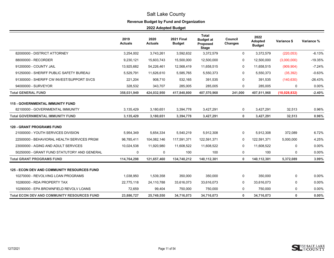# **Revenue Budget by Fund and Organization**

|                                                    | 2019<br><b>Actuals</b> | 2020<br><b>Actuals</b> | <b>2021 Final</b><br><b>Budget</b> | <b>Total</b><br><b>Budget at</b><br>Proposed<br><b>Stage</b> | Council<br>Changes | 2022<br><b>Adopted</b><br><b>Budget</b> | Variance \$  | Variance % |
|----------------------------------------------------|------------------------|------------------------|------------------------------------|--------------------------------------------------------------|--------------------|-----------------------------------------|--------------|------------|
| 82000000 - DISTRICT ATTORNEY                       | 3,254,002              | 3,743,261              | 3,592,632                          | 3,372,579                                                    | 0                  | 3,372,579                               | (220, 053)   | $-6.13%$   |
| 88000000 - RECORDER                                | 9,230,121              | 15,603,743             | 15,500,000                         | 12,500,000                                                   | 0                  | 12,500,000                              | (3,000,000)  | $-19.35%$  |
| 91200000 - COUNTY JAIL                             | 13,925,682             | 54,226,461             | 12,568,419                         | 11,658,515                                                   | 0                  | 11,658,515                              | (909, 904)   | $-7.24%$   |
| 91250000 - SHERIFF PUBLIC SAFETY BUREAU            | 5,529,791              | 11,626,610             | 5,585,765                          | 5,550,373                                                    | 0                  | 5,550,373                               | (35, 392)    | $-0.63%$   |
| 91300000 - SHERIFF CW INVEST/SUPPORT SVCS          | 221,204                | 908,710                | 532,165                            | 391,535                                                      | $\Omega$           | 391,535                                 | (140, 630)   | $-26.43%$  |
| 94000000 - SURVEYOR                                | 328,532                | 343,707                | 285,005                            | 285,005                                                      | 0                  | 285,005                                 | 0            | 0.00%      |
| <b>Total GENERAL FUND</b>                          | 358,031,949            | 424,032,950            | 417,840,800                        | 407,570,968                                                  | 241,000            | 407,811,968                             | (10,028,832) | $-2.40%$   |
| <b>115 - GOVERNMENTAL IMMUNITY FUND</b>            |                        |                        |                                    |                                                              |                    |                                         |              |            |
| 82100000 - GOVERNMENTAL IMMUNITY                   | 3,135,429              | 3,180,651              | 3,394,778                          | 3,427,291                                                    | 0                  | 3,427,291                               | 32,513       | 0.96%      |
| <b>Total GOVERNMENTAL IMMUNITY FUND</b>            | 3,135,429              | 3,180,651              | 3,394,778                          | 3,427,291                                                    | 0                  | 3,427,291                               | 32,513       | 0.96%      |
| <b>120 - GRANT PROGRAMS FUND</b>                   |                        |                        |                                    |                                                              |                    |                                         |              |            |
| 21000000 - YOUTH SERVICES DIVISION                 | 5,954,349              | 5,654,334              | 5,540,219                          | 5,912,308                                                    | 0                  | 5,912,308                               | 372,089      | 6.72%      |
| 22500000 - BEHAVIORAL HEALTH SERVICES PRGM         | 98,785,411             | 104,082,146            | 117,591,371                        | 122,591,371                                                  | $\Omega$           | 122,591,371                             | 5,000,000    | 4.25%      |
| 23000000 - AGING AND ADULT SERVICES                | 10,024,538             | 11,920,980             | 11,608,522                         | 11,608,522                                                   | 0                  | 11,608,522                              | 0            | 0.00%      |
| 50250000 - GRANT FUND STATUTORY AND GENERAL        | 0                      | $\Omega$               | 100                                | 100                                                          | 0                  | 100                                     | 0            | 0.00%      |
| <b>Total GRANT PROGRAMS FUND</b>                   | 114,764,298            | 121,657,460            | 134,740,212                        | 140,112,301                                                  | 0                  | 140,112,301                             | 5,372,089    | 3.99%      |
| 125 - ECON DEV AND COMMUNITY RESOURCES FUND        |                        |                        |                                    |                                                              |                    |                                         |              |            |
| 10270000 - REVOLVING LOAN PROGRAMS                 | 1,038,950              | 1,539,358              | 350,000                            | 350,000                                                      | 0                  | 350,000                                 | 0            | 0.00%      |
| 10280000 - RDA PROPERTY TAX                        | 22,775,118             | 24,110,788             | 33,616,073                         | 33,616,073                                                   | 0                  | 33,616,073                              | 0            | 0.00%      |
| 10290000 - EPA BROWNFIELD REVOLV LOANS             | 72,659                 | 99,404                 | 750,000                            | 750,000                                                      | 0                  | 750,000                                 | 0            | 0.00%      |
| <b>Total ECON DEV AND COMMUNITY RESOURCES FUND</b> | 23.886.727             | 25,749,550             | 34.716.073                         | 34,716,073                                                   | 0                  | 34.716.073                              | 0            | 0.00%      |

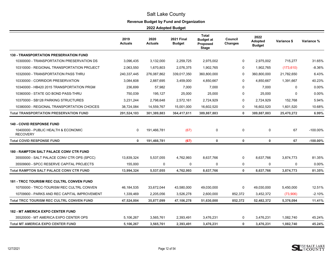# **Revenue Budget by Fund and Organization**

|                                                                                            | 2019<br>Actuals | 2020<br>Actuals | <b>2021 Final</b><br><b>Budget</b> | <b>Total</b><br><b>Budget at</b><br><b>Proposed</b><br><b>Stage</b> | Council<br>Changes | 2022<br><b>Adopted</b><br><b>Budget</b> | Variance \$ | Variance %  |
|--------------------------------------------------------------------------------------------|-----------------|-----------------|------------------------------------|---------------------------------------------------------------------|--------------------|-----------------------------------------|-------------|-------------|
| <b>130 - TRANSPORTATION PRESERVATION FUND</b>                                              |                 |                 |                                    |                                                                     |                    |                                         |             |             |
| 10300000 - TRANSPORTATION PRESERVATION DS                                                  | 3,096,435       | 3,132,000       | 2,259,725                          | 2,975,002                                                           | 0                  | 2,975,002                               | 715,277     | 31.65%      |
| 10310000 - REGIONAL TRANSPORTATION PROJECT                                                 | 2,063,550       | 1,670,803       | 2,076,375                          | 1,902,765                                                           | 0                  | 1,902,765                               | (173, 610)  | $-8.36%$    |
| 10320000 - TRANSPORTATION PASS THRU                                                        | 240,337,445     | 276,087,862     | 339,017,350                        | 360,800,000                                                         | 0                  | 360,800,000                             | 21,782,650  | 6.43%       |
| 10330000 - CORRIDOR PRESERVATION                                                           | 3,084,608       | 2,887,695       | 3,459,000                          | 4,850,667                                                           | $\mathbf 0$        | 4,850,667                               | 1,391,667   | 40.23%      |
| 10340000 - HB420 2015 TRANSPORTATION PRGM                                                  | 236,699         | 57,982          | 7,000                              | 7,000                                                               | 0                  | 7,000                                   | 0           | 0.00%       |
| 10360000 - STATE GO BOND PASS-THRU                                                         | 750,039         | 195.127         | 25,000                             | 25,000                                                              | $\Omega$           | 25,000                                  | $\Omega$    | 0.00%       |
| 10370000 - SB128 PARKING STRUCTURES                                                        | 3,231,244       | 2,798,648       | 2,572,161                          | 2,724,929                                                           | 0                  | 2,724,929                               | 152,768     | 5.94%       |
| 10380000 - REGIONAL TRANSPORTATION CHOICES                                                 | 38,724,084      | 14,559,767      | 15,001,000                         | 16,602,520                                                          | 0                  | 16,602,520                              | 1,601,520   | 10.68%      |
| <b>Total TRANSPORTATION PRESERVATION FUND</b>                                              | 291,524,103     | 301,389,883     | 364,417,611                        | 389,887,883                                                         | $\mathbf{0}$       | 389,887,883                             | 25,470,272  | 6.99%       |
| <b>140 - COVID RESPONSE FUND</b><br>10400000 - PUBLIC HEALTH & ECONOMIC<br><b>RECOVERY</b> | $\mathbf 0$     | 191,466,781     | (67)                               | $\mathbf 0$                                                         | 0                  | 0                                       | 67          | $-100.00\%$ |
| <b>Total COVID RESPONSE FUND</b>                                                           | $\mathbf{0}$    | 191,466,781     | (67)                               | 0                                                                   | 0                  | 0                                       | 67          | $-100.00\%$ |
| <b>180 - RAMPTON SALT PALACE CONV CTR FUND</b>                                             |                 |                 |                                    |                                                                     |                    |                                         |             |             |
| 35500000 - SALT PALACE CONV CTR OPS (SPCC)                                                 | 13,839,324      | 5,537,055       | 4,762,993                          | 8,637,766                                                           | 0                  | 8,637,766                               | 3,874,773   | 81.35%      |
| 35509900 - SPCC RESERVE CAPITAL PROJECTS                                                   | 155,000         | 0               | 0                                  | $\mathbf 0$                                                         | 0                  | 0                                       | 0           | 0.00%       |
| <b>Total RAMPTON SALT PALACE CONV CTR FUND</b>                                             | 13,994,324      | 5,537,055       | 4,762,993                          | 8,637,766                                                           | 0                  | 8,637,766                               | 3,874,773   | 81.35%      |
| <b>181 - TRCC TOURISM REC CULTRL CONVEN FUND</b>                                           |                 |                 |                                    |                                                                     |                    |                                         |             |             |
| 10700000 - TRCC-TOURISM REC CULTRL CONVEN                                                  | 46,184,535      | 33,672,044      | 43,580,000                         | 49,030,000                                                          | 0                  | 49,030,000                              | 5,450,000   | 12.51%      |
| 10709900 - PARKS AND REC CAPITAL IMPROVEMENT                                               | 1,339,469       | 2,205,056       | 3,526,278                          | 2,600,000                                                           | 852,372            | 3,452,372                               | (73,906)    | $-2.10%$    |
| <b>Total TRCC TOURISM REC CULTRL CONVEN FUND</b>                                           | 47,524,004      | 35,877,099      | 47,106,278                         | 51,630,000                                                          | 852,372            | 52,482,372                              | 5,376,094   | 11.41%      |
| <b>182 - MT AMERICA EXPO CENTER FUND</b>                                                   |                 |                 |                                    |                                                                     |                    |                                         |             |             |
| 35520000 - MT AMERICA EXPO CENTER OPS                                                      | 5,106,267       | 3,565,761       | 2,393,491                          | 3,476,231                                                           | 0                  | 3,476,231                               | 1,082,740   | 45.24%      |
| <b>Total MT AMERICA EXPO CENTER FUND</b>                                                   | 5,106,267       | 3,565,761       | 2,393,491                          | 3,476,231                                                           | 0                  | 3,476,231                               | 1,082,740   | 45.24%      |

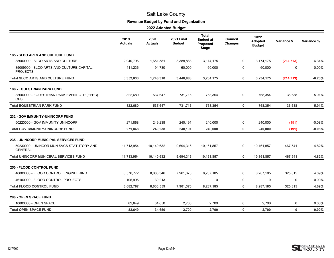# **Revenue Budget by Fund and Organization**

|                                                             | 2019<br>Actuals | 2020<br><b>Actuals</b> | <b>2021 Final</b><br><b>Budget</b> | <b>Total</b><br><b>Budget at</b><br>Proposed<br><b>Stage</b> | Council<br><b>Changes</b> | 2022<br>Adopted<br><b>Budget</b> | Variance \$ | Variance % |
|-------------------------------------------------------------|-----------------|------------------------|------------------------------------|--------------------------------------------------------------|---------------------------|----------------------------------|-------------|------------|
| <b>185 - SLCO ARTS AND CULTURE FUND</b>                     |                 |                        |                                    |                                                              |                           |                                  |             |            |
| 35000000 - SLCO ARTS AND CULTURE                            | 2,940,796       | 1,651,581              | 3,388,888                          | 3,174,175                                                    | 0                         | 3,174,175                        | (214, 713)  | $-6.34%$   |
| 35009900 - SLCO ARTS AND CULTURE CAPITAL<br><b>PROJECTS</b> | 411,236         | 94,730                 | 60,000                             | 60,000                                                       | 0                         | 60,000                           | 0           | 0.00%      |
| <b>Total SLCO ARTS AND CULTURE FUND</b>                     | 3,352,033       | 1,746,310              | 3,448,888                          | 3,234,175                                                    | 0                         | 3,234,175                        | (214, 713)  | $-6.23%$   |
| <b>186 - EQUESTRIAN PARK FUND</b>                           |                 |                        |                                    |                                                              |                           |                                  |             |            |
| 35600000 - EQUESTRIAN PARK EVENT CTR (EPEC)<br><b>OPS</b>   | 822,680         | 537,647                | 731,716                            | 768,354                                                      | 0                         | 768,354                          | 36,638      | 5.01%      |
| <b>Total EQUESTRIAN PARK FUND</b>                           | 822,680         | 537,647                | 731,716                            | 768,354                                                      | $\mathbf 0$               | 768,354                          | 36,638      | 5.01%      |
| <b>232 - GOV IMMUNITY-UNINCORP FUND</b>                     |                 |                        |                                    |                                                              |                           |                                  |             |            |
| 50220000 - GOV IMMUNITY UNINCORP                            | 271,868         | 249,238                | 240,191                            | 240,000                                                      | 0                         | 240,000                          | (191)       | $-0.08%$   |
| <b>Total GOV IMMUNITY-UNINCORP FUND</b>                     | 271,868         | 249,238                | 240,191                            | 240,000                                                      | 0                         | 240,000                          | (191)       | $-0.08%$   |
| <b>235 - UNINCORP MUNICIPAL SERVICES FUND</b>               |                 |                        |                                    |                                                              |                           |                                  |             |            |
| 50230000 - UNINCOR MUN SVCS STATUTORY AND<br><b>GENERAL</b> | 11,713,954      | 10,140,632             | 9,694,316                          | 10,161,857                                                   | 0                         | 10,161,857                       | 467,541     | 4.82%      |
| <b>Total UNINCORP MUNICIPAL SERVICES FUND</b>               | 11,713,954      | 10,140,632             | 9,694,316                          | 10,161,857                                                   | 0                         | 10,161,857                       | 467,541     | 4.82%      |
| 250 - FLOOD CONTROL FUND                                    |                 |                        |                                    |                                                              |                           |                                  |             |            |
| 46000000 - FLOOD CONTROL ENGINEERING                        | 6,576,772       | 8,003,346              | 7,961,370                          | 8,287,185                                                    | 0                         | 8,287,185                        | 325,815     | 4.09%      |
| 46100000 - FLOOD CONTROL PROJECTS                           | 105,995         | 30,213                 | 0                                  | 0                                                            | 0                         | 0                                | 0           | 0.00%      |
| <b>Total FLOOD CONTROL FUND</b>                             | 6,682,767       | 8,033,559              | 7,961,370                          | 8,287,185                                                    | $\mathbf{0}$              | 8,287,185                        | 325,815     | 4.09%      |
| <b>280 - OPEN SPACE FUND</b>                                |                 |                        |                                    |                                                              |                           |                                  |             |            |
| 10800000 - OPEN SPACE                                       | 82,649          | 34,650                 | 2,700                              | 2,700                                                        | 0                         | 2,700                            | 0           | 0.00%      |
| <b>Total OPEN SPACE FUND</b>                                | 82,649          | 34,650                 | 2,700                              | 2,700                                                        | 0                         | 2,700                            | 0           | 0.00%      |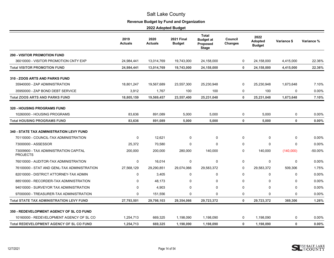# **Revenue Budget by Fund and Organization**

|                                                          | 2019<br><b>Actuals</b> | 2020<br><b>Actuals</b> | <b>2021 Final</b><br><b>Budget</b> | <b>Total</b><br><b>Budget at</b><br>Proposed<br><b>Stage</b> | Council<br><b>Changes</b> | 2022<br><b>Adopted</b><br><b>Budget</b> | Variance \$ | Variance % |
|----------------------------------------------------------|------------------------|------------------------|------------------------------------|--------------------------------------------------------------|---------------------------|-----------------------------------------|-------------|------------|
| <b>290 - VISITOR PROMOTION FUND</b>                      |                        |                        |                                    |                                                              |                           |                                         |             |            |
| 36010000 - VISITOR PROMOTION CNTY EXP                    | 24,984,441             | 13,014,769             | 19,743,000                         | 24,158,000                                                   | 0                         | 24,158,000                              | 4,415,000   | 22.36%     |
| <b>Total VISITOR PROMOTION FUND</b>                      | 24,984,441             | 13,014,769             | 19,743,000                         | 24,158,000                                                   | $\mathbf 0$               | 24,158,000                              | 4,415,000   | 22.36%     |
| 310 - ZOOS ARTS AND PARKS FUND                           |                        |                        |                                    |                                                              |                           |                                         |             |            |
| 35940000 - ZAP ADMINISTRATION                            | 18,801,247             | 19,567,689             | 23,557,300                         | 25,230,948                                                   | 0                         | 25,230,948                              | 1,673,648   | 7.10%      |
| 35950000 - ZAP BOND DEBT SERVICE                         | 3,912                  | 1,767                  | 100                                | 100                                                          | 0                         | 100                                     | $\mathbf 0$ | $0.00\%$   |
| <b>Total ZOOS ARTS AND PARKS FUND</b>                    | 18,805,159             | 19,569,457             | 23,557,400                         | 25,231,048                                                   | $\bf{0}$                  | 25,231,048                              | 1,673,648   | 7.10%      |
| <b>320 - HOUSING PROGRAMS FUND</b>                       |                        |                        |                                    |                                                              |                           |                                         |             |            |
| 10260000 - HOUSING PROGRAMS                              | 83,636                 | 891,089                | 5,000                              | 5,000                                                        | 0                         | 5,000                                   | 0           | 0.00%      |
| <b>Total HOUSING PROGRAMS FUND</b>                       | 83,636                 | 891,089                | 5,000                              | 5,000                                                        | $\mathbf 0$               | 5,000                                   | $\mathbf 0$ | 0.00%      |
| <b>340 - STATE TAX ADMINISTRATION LEVY FUND</b>          |                        |                        |                                    |                                                              |                           |                                         |             |            |
| 70110000 - COUNCIL-TAX ADMINISTRATION                    | 0                      | 12.621                 | 0                                  | 0                                                            | 0                         | 0                                       | $\mathbf 0$ | $0.00\%$   |
| 73000000 - ASSESSOR                                      | 25,372                 | 70,580                 | $\mathbf 0$                        | $\mathbf 0$                                                  | $\mathbf 0$               | $\mathbf 0$                             | $\mathbf 0$ | 0.00%      |
| 73009900 - TAX ADMINISTRATION CAPITAL<br><b>PROJECTS</b> | 200,000                | 200,000                | 280,000                            | 140,000                                                      | $\mathbf 0$               | 140,000                                 | (140,000)   | -50.00%    |
| 76010000 - AUDITOR-TAX ADMINISTRATION                    | 0                      | 16,014                 | $\mathbf 0$                        | $\mathbf 0$                                                  | $\mathbf 0$               | 0                                       | 0           | $0.00\%$   |
| 76100000 - STAT AND GENL-TAX ADMINISTRATION              | 27,568,129             | 29,290,851             | 29,074,066                         | 29,583,372                                                   | 0                         | 29,583,372                              | 509,306     | 1.75%      |
| 82010000 - DISTRICT ATTORNEY-TAX ADMIN                   | $\mathbf 0$            | 3,405                  | $\mathbf 0$                        | $\mathbf 0$                                                  | $\Omega$                  | $\mathbf 0$                             | $\mathbf 0$ | $0.00\%$   |
| 88510000 - RECORDER-TAX ADMINISTRATION                   | 0                      | 48,173                 | 0                                  | 0                                                            | $\mathbf 0$               | $\mathbf 0$                             | 0           | $0.00\%$   |
| 94010000 - SURVEYOR TAX ADMINISTRATION                   | $\Omega$               | 4,903                  | $\Omega$                           | $\Omega$                                                     | $\Omega$                  | $\Omega$                                | 0           | 0.00%      |
| 97000000 - TREASURER-TAX ADMINISTRATION                  | 0                      | 151,556                | 0                                  | $\Omega$                                                     | $\mathbf 0$               | 0                                       | 0           | $0.00\%$   |
| <b>Total STATE TAX ADMINISTRATION LEVY FUND</b>          | 27,793,501             | 29,798,103             | 29,354,066                         | 29,723,372                                                   | $\mathbf 0$               | 29,723,372                              | 369,306     | 1.26%      |
| 350 - REDEVELOPMENT AGENCY OF SL CO FUND                 |                        |                        |                                    |                                                              |                           |                                         |             |            |
| 10160000 - REDEVELOPMENT AGENCY OF SL CO                 | 1,254,713              | 669,325                | 1,198,090                          | 1,198,090                                                    | 0                         | 1,198,090                               | 0           | $0.00\%$   |
| <b>Total REDEVELOPMENT AGENCY OF SL CO FUND</b>          | 1,254,713              | 669.325                | 1,198,090                          | 1,198,090                                                    | $\mathbf 0$               | 1,198,090                               | $\mathbf 0$ | 0.00%      |

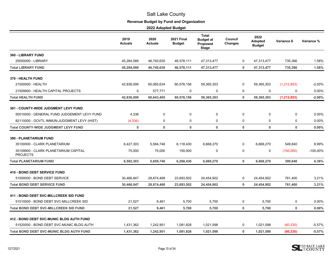# **Revenue Budget by Fund and Organization**

|                                                         | 2019<br><b>Actuals</b> | 2020<br><b>Actuals</b> | <b>2021 Final</b><br><b>Budget</b> | <b>Total</b><br><b>Budget at</b><br>Proposed<br><b>Stage</b> | Council<br><b>Changes</b> | 2022<br>Adopted<br><b>Budget</b> | Variance \$   | Variance % |
|---------------------------------------------------------|------------------------|------------------------|------------------------------------|--------------------------------------------------------------|---------------------------|----------------------------------|---------------|------------|
| 360 - LIBRARY FUND                                      |                        |                        |                                    |                                                              |                           |                                  |               |            |
| 25000000 - LIBRARY                                      | 45,284,089             | 46,740,630             | 46,578,111                         | 47,313,477                                                   | 0                         | 47,313,477                       | 735,366       | 1.58%      |
| <b>Total LIBRARY FUND</b>                               | 45,284,089             | 46,740,630             | 46,578,111                         | 47,313,477                                                   | $\mathbf 0$               | 47,313,477                       | 735,366       | 1.58%      |
| 370 - HEALTH FUND                                       |                        |                        |                                    |                                                              |                           |                                  |               |            |
| 21500000 - HEALTH                                       | 42,836,006             | 60,065,634             | 60,578,156                         | 59,365,303                                                   | $\Omega$                  | 59,365,303                       | (1, 212, 853) | $-2.00%$   |
| 21509900 - HEALTH CAPITAL PROJECTS                      | $\mathbf 0$            | 577,771                | 0                                  | $\mathbf 0$                                                  | $\mathbf 0$               | $\mathbf 0$                      | 0             | $0.00\%$   |
| <b>Total HEALTH FUND</b>                                | 42,836,006             | 60,643,405             | 60,578,156                         | 59,365,303                                                   | $\mathbf 0$               | 59,365,303                       | (1, 212, 853) | $-2.00%$   |
| <b>381 - COUNTY-WIDE JUDGMENT LEVY FUND</b>             |                        |                        |                                    |                                                              |                           |                                  |               |            |
| 50010000 - GENERAL FUND JUDGEMENT LEVY FUND             | 4,336                  | $\mathbf 0$            | 0                                  | 0                                                            | $\mathbf 0$               | 0                                | 0             | 0.00%      |
| 82110000 - GOVTL IMMUN-JUDGMENT LEVY (HIST)             | (4, 336)               | 0                      | 0                                  | 0                                                            | 0                         | 0                                | 0             | 0.00%      |
| <b>Total COUNTY-WIDE JUDGMENT LEVY FUND</b>             | $\mathbf 0$            | $\mathbf 0$            | $\mathbf 0$                        | $\mathbf 0$                                                  | $\mathbf 0$               | $\mathbf 0$                      | $\mathbf 0$   | 0.00%      |
| <b>390 - PLANETARIUM FUND</b>                           |                        |                        |                                    |                                                              |                           |                                  |               |            |
| 35100000 - CLARK PLANETARIUM                            | 6,427,303              | 5,584,746              | 6,118,430                          | 6,668,270                                                    | 0                         | 6,668,270                        | 549,840       | 8.99%      |
| 35109900 - CLARK PLANETARIUM CAPITAL<br><b>PROJECTS</b> | 75,000                 | 75,000                 | 150,000                            | 0                                                            | $\mathbf 0$               | 0                                | (150,000)     | -100.00%   |
| <b>Total PLANETARIUM FUND</b>                           | 6,502,303              | 5,659,746              | 6,268,430                          | 6,668,270                                                    | $\mathbf 0$               | 6,668,270                        | 399,840       | 6.38%      |
| <b>410 - BOND DEBT SERVICE FUND</b>                     |                        |                        |                                    |                                                              |                           |                                  |               |            |
| 51500000 - BOND DEBT SERVICE                            | 30,466,847             | 28,874,468             | 23,693,502                         | 24,454,902                                                   | 0                         | 24,454,902                       | 761,400       | 3.21%      |
| <b>Total BOND DEBT SERVICE FUND</b>                     | 30,466,847             | 28,874,468             | 23,693,502                         | 24,454,902                                                   | $\mathbf 0$               | 24,454,902                       | 761,400       | 3.21%      |
| 411 - BOND DEBT SVC-MILLCREEK SID FUND                  |                        |                        |                                    |                                                              |                           |                                  |               |            |
| 51510000 - BOND DEBT SVC-MILLCREEK SID                  | 21,527                 | 9,461                  | 5,700                              | 5,700                                                        | 0                         | 5,700                            | 0             | 0.00%      |
| <b>Total BOND DEBT SVC-MILLCREEK SID FUND</b>           | 21,527                 | 9,461                  | 5,700                              | 5,700                                                        | $\mathbf 0$               | 5,700                            | $\mathbf 0$   | 0.00%      |
| 412 - BOND DEBT SVC-MUNIC BLDG AUTH FUND                |                        |                        |                                    |                                                              |                           |                                  |               |            |
| 51520000 - BOND DEBT SVC-MUNIC BLDG AUTH                | 1,431,362              | 1,242,951              | 1,081,828                          | 1,021,598                                                    | 0                         | 1,021,598                        | (60, 230)     | $-5.57%$   |
| <b>Total BOND DEBT SVC-MUNIC BLDG AUTH FUND</b>         | 1,431,362              | 1,242,951              | 1,081,828                          | 1,021,598                                                    | $\mathbf{0}$              | 1,021,598                        | (60, 230)     | $-5.57%$   |

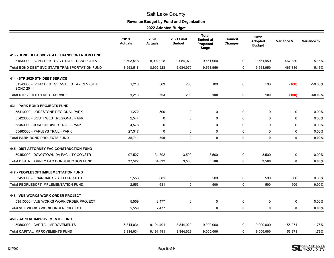# **Revenue Budget by Fund and Organization**

|                                                                  | 2019<br><b>Actuals</b> | 2020<br><b>Actuals</b> | <b>2021 Final</b><br><b>Budget</b> | <b>Total</b><br><b>Budget at</b><br>Proposed<br>Stage | Council<br><b>Changes</b> | 2022<br>Adopted<br><b>Budget</b> | Variance \$ | Variance % |
|------------------------------------------------------------------|------------------------|------------------------|------------------------------------|-------------------------------------------------------|---------------------------|----------------------------------|-------------|------------|
| <b>413 - BOND DEBT SVC-STATE TRANSPORTATION FUND</b>             |                        |                        |                                    |                                                       |                           |                                  |             |            |
| 51530000 - BOND DEBT SVC-STATE TRANSPORTA                        | 8,593,518              | 8,902,928              | 9,084,070                          | 9,551,950                                             | $\mathbf 0$               | 9,551,950                        | 467,880     | 5.15%      |
| <b>Total BOND DEBT SVC-STATE TRANSPORTATION FUND</b>             | 8,593,518              | 8,902,928              | 9,084,070                          | 9,551,950                                             | $\mathbf 0$               | 9,551,950                        | 467,880     | 5.15%      |
| 414 - STR 2020 STH DEBT SERVICE                                  |                        |                        |                                    |                                                       |                           |                                  |             |            |
| 51540000 - BOND DEBT SVC-SALES TAX REV (STR)<br><b>BOND 2014</b> | 1,213                  | 563                    | 200                                | 100                                                   | 0                         | 100                              | (100)       | -50.00%    |
| <b>Total STR 2020 STH DEBT SERVICE</b>                           | 1,213                  | 563                    | 200                                | 100                                                   | $\pmb{0}$                 | 100                              | (100)       | $-50.00\%$ |
| <b>431 - PARK BOND PROJECTS FUND</b>                             |                        |                        |                                    |                                                       |                           |                                  |             |            |
| 55410000 - LODESTONE REGIONAL PARK                               | 1,272                  | 500                    | 0                                  | 0                                                     | 0                         | $\mathbf 0$                      | 0           | 0.00%      |
| 55420000 - SOUTHWEST REGIONAL PARK                               | 2,544                  | $\mathbf 0$            | 0                                  | $\Omega$                                              | $\Omega$                  | $\Omega$                         | $\Omega$    | 0.00%      |
| 55450000 - JORDON RIVER TRAIL - PARK                             | 4,578                  | 0                      | $\Omega$                           | $\mathbf 0$                                           | $\Omega$                  | $\Omega$                         | $\mathbf 0$ | 0.00%      |
| 55460000 - PARLEYS TRAIL - PARK                                  | 27,317                 | 0                      | 0                                  | $\mathbf 0$                                           | $\mathbf 0$               | 0                                | 0           | 0.00%      |
| <b>Total PARK BOND PROJECTS FUND</b>                             | 35,711                 | 500                    | $\mathbf 0$                        | $\mathbf 0$                                           | $\mathbf 0$               | $\mathbf 0$                      | $\mathbf 0$ | 0.00%      |
| <b>445 - DIST ATTORNEY FAC CONSTRUCTION FUND</b>                 |                        |                        |                                    |                                                       |                           |                                  |             |            |
| 50450000 - DOWNTOWN DA FACILITY CONSTR                           | 97,527                 | 34,892                 | 3,500                              | 3,500                                                 | $\mathbf 0$               | 3,500                            | 0           | 0.00%      |
| <b>Total DIST ATTORNEY FAC CONSTRUCTION FUND</b>                 | 97,527                 | 34,892                 | 3,500                              | 3,500                                                 | $\mathbf 0$               | 3,500                            | $\mathbf 0$ | 0.00%      |
| <b>447 - PEOPLESOFT IMPLEMENTATION FUND</b>                      |                        |                        |                                    |                                                       |                           |                                  |             |            |
| 53450000 - FINANCIAL SYSTEM PROJECT                              | 2.553                  | 681                    | 0                                  | 500                                                   | 0                         | 500                              | 500         | 0.00%      |
| <b>Total PEOPLESOFT IMPLEMENTATION FUND</b>                      | 2,553                  | 681                    | $\mathbf 0$                        | 500                                                   | $\bf{0}$                  | 500                              | 500         | 0.00%      |
| 448 - VUE WORKS WORK ORDER PROJECT                               |                        |                        |                                    |                                                       |                           |                                  |             |            |
| 53510000 - VUE WORKS WORK ORDER PROJECT                          | 5,559                  | 2,477                  | 0                                  | 0                                                     | $\boldsymbol{0}$          | $\mathbf 0$                      | $\mathbf 0$ | 0.00%      |
| <b>Total VUE WORKS WORK ORDER PROJECT</b>                        | 5.559                  | 2,477                  | $\mathbf 0$                        | $\mathbf 0$                                           | $\mathbf 0$               | $\mathbf 0$                      | $\mathbf 0$ | 0.00%      |
| <b>450 - CAPITAL IMPROVEMENTS FUND</b>                           |                        |                        |                                    |                                                       |                           |                                  |             |            |
| 50500000 - CAPITAL IMPROVEMENTS                                  | 6,814,034              | 9.191.491              | 8,844,029                          | 9,000,000                                             | 0                         | 9,000,000                        | 155,971     | 1.76%      |
| <b>Total CAPITAL IMPROVEMENTS FUND</b>                           | 6,814,034              | 9,191,491              | 8,844,029                          | 9,000,000                                             | $\mathbf 0$               | 9,000,000                        | 155,971     | 1.76%      |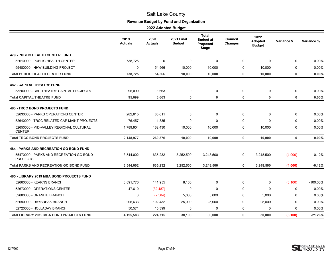# **Revenue Budget by Fund and Organization**

|                                                            | 2019<br><b>Actuals</b> | 2020<br><b>Actuals</b> | <b>2021 Final</b><br><b>Budget</b> | <b>Total</b><br><b>Budget at</b><br>Proposed<br><b>Stage</b> | Council<br><b>Changes</b> | 2022<br>Adopted<br><b>Budget</b> | Variance \$  | Variance % |
|------------------------------------------------------------|------------------------|------------------------|------------------------------------|--------------------------------------------------------------|---------------------------|----------------------------------|--------------|------------|
| <b>479 - PUBLIC HEALTH CENTER FUND</b>                     |                        |                        |                                    |                                                              |                           |                                  |              |            |
| 52610000 - PUBLIC HEALTH CENTER                            | 738,725                | $\mathbf 0$            | 0                                  | $\mathbf 0$                                                  | $\mathbf 0$               | $\mathbf 0$                      | 0            | 0.00%      |
| 55480000 - HHW BUILDING PROJECT                            | 0                      | 54,566                 | 10,000                             | 10,000                                                       | 0                         | 10,000                           | 0            | $0.00\%$   |
| <b>Total PUBLIC HEALTH CENTER FUND</b>                     | 738,725                | 54,566                 | 10,000                             | 10,000                                                       | $\mathbf 0$               | 10.000                           | $\mathbf 0$  | 0.00%      |
| <b>482 - CAPITAL THEATRE FUND</b>                          |                        |                        |                                    |                                                              |                           |                                  |              |            |
| 53200000 - CAP THEATRE CAPITAL PROJECTS                    | 95,099                 | 3,663                  | 0                                  | 0                                                            | $\mathbf 0$               | 0                                | 0            | 0.00%      |
| <b>Total CAPITAL THEATRE FUND</b>                          | 95,099                 | 3,663                  | 0                                  | $\mathbf 0$                                                  | $\mathbf 0$               | $\mathbf 0$                      | $\mathbf 0$  | 0.00%      |
| <b>483 - TRCC BOND PROJECTS FUND</b>                       |                        |                        |                                    |                                                              |                           |                                  |              |            |
| 52630000 - PARKS OPERATIONS CENTER                         | 282,615                | 86,611                 | 0                                  | 0                                                            | 0                         | $\mathbf 0$                      | 0            | 0.00%      |
| 52640000 - TRCC RELATED CAP MAINT PROJECTS                 | 76,457                 | 11,835                 | 0                                  | 0                                                            | $\Omega$                  | $\Omega$                         | $\mathbf 0$  | $0.00\%$   |
| 52650000 - MID-VALLEY REGIONAL CULTURAL<br><b>CENTER</b>   | 1,789,904              | 162,430                | 10,000                             | 10,000                                                       | $\mathbf 0$               | 10,000                           | 0            | 0.00%      |
| <b>Total TRCC BOND PROJECTS FUND</b>                       | 2,148,977              | 260,876                | 10,000                             | 10,000                                                       | $\mathbf 0$               | 10,000                           | $\mathbf 0$  | 0.00%      |
| <b>484 - PARKS AND RECREATION GO BOND FUND</b>             |                        |                        |                                    |                                                              |                           |                                  |              |            |
| 55470000 - PARKS AND RECREATION GO BOND<br><b>PROJECTS</b> | 3,544,002              | 635,232                | 3,252,500                          | 3,248,500                                                    | 0                         | 3,248,500                        | (4,000)      | $-0.12%$   |
| <b>Total PARKS AND RECREATION GO BOND FUND</b>             | 3,544,002              | 635,232                | 3,252,500                          | 3,248,500                                                    | 0                         | 3,248,500                        | (4,000)      | $-0.12%$   |
| 485 - LIBRARY 2019 MBA BOND PROJECTS FUND                  |                        |                        |                                    |                                                              |                           |                                  |              |            |
| 52660000 - KEARNS BRANCH                                   | 3,891,770              | 141,955                | 8,100                              | 0                                                            | 0                         | 0                                | (8, 100)     | -100.00%   |
| 52670000 - OPERATIONS CENTER                               | 47,610                 | (32, 487)              | 0                                  | $\mathbf 0$                                                  | 0                         | $\Omega$                         | 0            | 0.00%      |
| 52680000 - GRANITE BRANCH                                  | 0                      | (2,584)                | 5,000                              | 5,000                                                        | $\Omega$                  | 5,000                            | $\mathbf 0$  | 0.00%      |
| 52690000 - DAYBREAK BRANCH                                 | 205,633                | 102,432                | 25,000                             | 25,000                                                       | 0                         | 25,000                           | 0            | 0.00%      |
| 52720000 - HOLLADAY BRANCH                                 | 50,571                 | 15.399                 | 0                                  | 0                                                            | 0                         | $\Omega$                         | $\mathbf{0}$ | $0.00\%$   |
| <b>Total LIBRARY 2019 MBA BOND PROJECTS FUND</b>           | 4,195,583              | 224,715                | 38,100                             | 30,000                                                       | $\mathbf 0$               | 30,000                           | (8, 100)     | $-21.26%$  |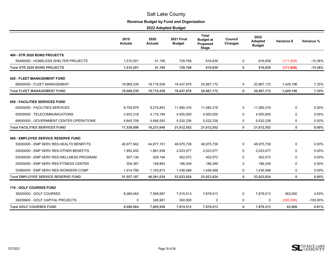# **Revenue Budget by Fund and Organization**

|                                            | 2019<br>Actuals | 2020<br><b>Actuals</b> | <b>2021 Final</b><br><b>Budget</b> | <b>Total</b><br><b>Budget at</b><br>Proposed<br><b>Stage</b> | Council<br><b>Changes</b> | 2022<br><b>Adopted</b><br><b>Budget</b> | Variance \$ | Variance %  |
|--------------------------------------------|-----------------|------------------------|------------------------------------|--------------------------------------------------------------|---------------------------|-----------------------------------------|-------------|-------------|
| 486 - STR 2020 BOND PROJECTS               |                 |                        |                                    |                                                              |                           |                                         |             |             |
| 55490000 - HOMELESS SHELTER PROJECTS       | 1,510,201       | 41,195                 | 728,768                            | 616,839                                                      | 0                         | 616,839                                 | (111, 929)  | $-15.36%$   |
| <b>Total STR 2020 BOND PROJECTS</b>        | 1,510,201       | 41,195                 | 728,768                            | 616,839                                                      | $\mathbf 0$               | 616,839                                 | (111, 929)  | $-15.36%$   |
| <b>620 - FLEET MANAGEMENT FUND</b>         |                 |                        |                                    |                                                              |                           |                                         |             |             |
| 68000000 - FLEET MANAGEMENT                | 19,969,239      | 18,716,536             | 19,437,976                         | 20,867,172                                                   | 0                         | 20,867,172                              | 1,429,196   | 7.35%       |
| <b>Total FLEET MANAGEMENT FUND</b>         | 19,969,239      | 18,716,536             | 19,437,976                         | 20,867,172                                                   | $\mathbf 0$               | 20,867,172                              | 1,429,196   | 7.35%       |
| <b>650 - FACILITIES SERVICES FUND</b>      |                 |                        |                                    |                                                              |                           |                                         |             |             |
| 63000000 - FACILITIES SERVICES             | 8,759,879       | 9,274,853              | 11,580,316                         | 11,580,316                                                   | 0                         | 11,580,316                              | 0           | 0.00%       |
| 63500000 - TELECOMMUNICATIONS              | 3,933,318       | 4,110,194              | 4,500,000                          | 4,500,000                                                    | $\mathbf 0$               | 4,500,000                               | 0           | 0.00%       |
| 69000000 - GOVERNMENT CENTER OPERATIONS    | 4,845,709       | 4,846,593              | 5,532,236                          | 5,532,236                                                    | $\Omega$                  | 5,532,236                               | 0           | 0.00%       |
| <b>Total FACILITIES SERVICES FUND</b>      | 17,538,906      | 18,231,640             | 21,612,552                         | 21,612,552                                                   | $\mathbf 0$               | 21,612,552                              | $\mathbf 0$ | 0.00%       |
| 680 - EMPLOYEE SERVICE RESERVE FUND        |                 |                        |                                    |                                                              |                           |                                         |             |             |
| 53000000 - EMP SERV RES-HEALTH BENEFITS    | 46,977,942      | 44,877,151             | 48,975,738                         | 48,975,738                                                   | $\Omega$                  | 48,975,738                              | 0           | 0.00%       |
| 53020000 - EMP SERV RES-OTHER BENEFITS     | 1,952,932       | 1,861,938              | 2,023,077                          | 2,023,077                                                    | 0                         | 2,023,077                               | 0           | 0.00%       |
| 53040000 - EMP SERV RES-WELLNESS PROGRAM   | 507.136         | 529,194                | 402,072                            | 402,072                                                      | $\Omega$                  | 402,072                                 | 0           | 0.00%       |
| 53050000 - EMP SERV RES-FITNESS CENTER     | 204.387         | 158,883                | 186,349                            | 186,349                                                      | $\Omega$                  | 186,349                                 | 0           | 0.00%       |
| 53060000 - EMP SERV RES-WORKERS COMP       | 1,914,790       | 1,163,873              | 1,436,588                          | 1,436,588                                                    | 0                         | 1,436,588                               | 0           | 0.00%       |
| <b>Total EMPLOYEE SERVICE RESERVE FUND</b> | 51,557,187      | 48,591,039             | 53,023,824                         | 53,023,824                                                   | $\mathbf 0$               | 53,023,824                              | $\mathbf 0$ | 0.00%       |
| <b>710 - GOLF COURSES FUND</b>             |                 |                        |                                    |                                                              |                           |                                         |             |             |
| 38200000 - GOLF COURSES                    | 8,089,064       | 7,568,997              | 7,515,513                          | 7,878,513                                                    | 0                         | 7,878,513                               | 363,000     | 4.83%       |
| 38209900 - GOLF CAPITAL PROJECTS           | 0               | 326,961                | 300,000                            | 0                                                            | $\mathbf 0$               | $\Omega$                                | (300,000)   | $-100.00\%$ |
| <b>Total GOLF COURSES FUND</b>             | 8,089,064       | 7,895,958              | 7,815,513                          | 7,878,513                                                    | $\mathbf 0$               | 7,878,513                               | 63,000      | 0.81%       |

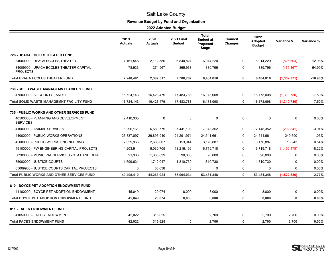# **Revenue Budget by Fund and Organization**

|                                                            | 2019<br><b>Actuals</b> | 2020<br><b>Actuals</b> | <b>2021 Final</b><br><b>Budget</b> | <b>Total</b><br><b>Budget at</b><br>Proposed<br>Stage | Council<br><b>Changes</b> | 2022<br><b>Adopted</b><br><b>Budget</b> | Variance \$   | Variance % |
|------------------------------------------------------------|------------------------|------------------------|------------------------------------|-------------------------------------------------------|---------------------------|-----------------------------------------|---------------|------------|
| <b>726 - UPACA ECCLES THEATER FUND</b>                     |                        |                        |                                    |                                                       |                           |                                         |               |            |
| 34000000 - UPACA ECCLES THEATER                            | 7,161,548              | 2,112,550              | 6,840,824                          | 6,014,220                                             | $\mathbf 0$               | 6,014,220                               | (826, 604)    | $-12.08%$  |
| 34009900 - UPACA ECCLES THEATER CAPITAL<br><b>PROJECTS</b> | 78.933                 | 274,967                | 865.963                            | 389.796                                               | $\Omega$                  | 389.796                                 | (476, 167)    | -54.99%    |
| <b>Total UPACA ECCLES THEATER FUND</b>                     | 7,240,481              | 2,387,517              | 7,706,787                          | 6,404,016                                             | $\mathbf 0$               | 6,404,016                               | (1, 302, 771) | $-16.90%$  |
| <b>730 - SOLID WASTE MANAGEMNT FACILITY FUND</b>           |                        |                        |                                    |                                                       |                           |                                         |               |            |
| 47500000 - SL COUNTY LANDFILL                              | 16.724.143             | 16,423,479             | 17,483,788                         | 16,173,008                                            | 0                         | 16,173,008                              | (1,310,780)   | $-7.50%$   |
| <b>Total SOLID WASTE MANAGEMNT FACILITY FUND</b>           | 16,724,143             | 16,423,479             | 17,483,788                         | 16,173,008                                            | $\mathbf{0}$              | 16,173,008                              | (1,310,780)   | $-7.50%$   |
| 735 - PUBLIC WORKS AND OTHER SERVICES FUND                 |                        |                        |                                    |                                                       |                           |                                         |               |            |
| 40500000 - PLANNING AND DEVELOPMENT<br><b>SERVICES</b>     | 2,410,305              | $\mathbf 0$            | $\mathbf 0$                        | $\mathbf 0$                                           | $\mathbf 0$               | 0                                       | 0             | $0.00\%$   |
| 41000000 - ANIMAL SERVICES                                 | 6,296,161              | 6,580,779              | 7,441,193                          | 7,148,352                                             | 0                         | 7,148,352                               | (292, 841)    | $-3.94%$   |
| 44000000 - PUBLIC WORKS OPERATIONS                         | 23,837,097             | 26,896,910             | 24,291,971                         | 24,541,661                                            | 0                         | 24,541,661                              | 249,690       | 1.03%      |
| 45000000 - PUBLIC WORKS ENGINEERING                        | 2,029,966              | 2,683,007              | 3,153,944                          | 3,170,887                                             | 0                         | 3,170,887                               | 16,943        | 0.54%      |
| 45100000 - PW ENGINEERING CAPITAL PROJECTS                 | 4,203,914              | 5,030,705              | 18,216,196                         | 16,719,718                                            | $\Omega$                  | 16,719,718                              | (1,496,478)   | $-8.22%$   |
| 50200000 - MUNICIPAL SERVICES - STAT AND GENL              | 21,333                 | 1,303,839              | 90,000                             | 90,000                                                | 0                         | 90,000                                  | 0             | 0.00%      |
| 85000000 - JUSTICE COURTS                                  | 1,699,634              | 1,712,047              | 1,810,730                          | 1,810,730                                             | $\mathbf 0$               | 1,810,730                               | 0             | 0.00%      |
| 85009900 - JUSTICE COURTS CAPITAL PROJECTS                 | 0                      | 56,638                 | 0                                  | 0                                                     | $\mathbf 0$               | 0                                       | 0             | $0.00\%$   |
| <b>Total PUBLIC WORKS AND OTHER SERVICES FUND</b>          | 40,498,410             | 44,263,924             | 55,004,034                         | 53,481,348                                            | $\mathbf 0$               | 53,481,348                              | (1,522,686)   | $-2.77%$   |
| <b>810 - BOYCE PET ADOPTION ENDOWMENT FUND</b>             |                        |                        |                                    |                                                       |                           |                                         |               |            |
| 41100000 - BOYCE PET ADOPTION ENDOWMENT                    | 45,049                 | 20,074                 | 8,000                              | 8,000                                                 | 0                         | 8,000                                   | 0             | $0.00\%$   |
| <b>Total BOYCE PET ADOPTION ENDOWMENT FUND</b>             | 45,049                 | 20,074                 | 8,000                              | 8,000                                                 | $\mathbf 0$               | 8,000                                   | $\mathbf 0$   | 0.00%      |
| <b>811 - FACES ENDOWMENT FUND</b>                          |                        |                        |                                    |                                                       |                           |                                         |               |            |
| 41050000 - FACES ENDOWMENT                                 | 42,022                 | 315,625                | 0                                  | 2,700                                                 | 0                         | 2,700                                   | 2,700         | $0.00\%$   |
| <b>Total FACES ENDOWMENT FUND</b>                          | 42,022                 | 315,625                | $\mathbf{0}$                       | 2,700                                                 | $\mathbf{0}$              | 2,700                                   | 2,700         | 0.00%      |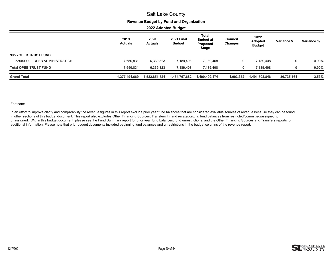#### **Revenue Budget by Fund and Organization**

**2022 Adopted Budget**

|                                | 2019<br><b>Actuals</b> | 2020<br><b>Actuals</b> | <b>2021 Final</b><br><b>Budget</b> | Total<br><b>Budget at</b><br>Proposed<br><b>Stage</b> | Council<br><b>Changes</b> | 2022<br>Adopted<br><b>Budget</b> | Variance \$ | Variance % |
|--------------------------------|------------------------|------------------------|------------------------------------|-------------------------------------------------------|---------------------------|----------------------------------|-------------|------------|
| 995 - OPEB TRUST FUND          |                        |                        |                                    |                                                       |                           |                                  |             |            |
| 53080000 - OPEB ADMINISTRATION | 7,650,831              | 6,339,323              | 7,189,408                          | 7,189,408                                             | 0                         | 7.189.408                        | 0           | $0.00\%$   |
| <b>Total OPEB TRUST FUND</b>   | 7,650,831              | 6,339,323              | 7,189,408                          | 7,189,408                                             |                           | 7.189.408                        |             | 0.00%      |
| <b>Grand Total</b>             | 1,277,494,669          | 1,522,851,524          | 1,454,767,682                      | 1,490,409,474                                         | 1,093,372                 | 1,491,502,846                    | 36,735,164  | 2.53%      |

#### Footnote:

In an effort to improve clarity and comparability the revenue figures in this report exclude prior year fund balances that are considered available sources of revenue because they can be found in other sections of this budget document. This report also excludes Other Financing Sources, Transfers In, and recategorizing fund balances from restricted/committed/assigned to unassigned. Within this budget document, please see the Fund Summary report for prior year fund balances, fund unrestrictions, and the Other Financing Sources and Transfers reports for additional information. Please note that prior budget documents included beginning fund balances and unrestrictions in the budget columns of the revenue report.

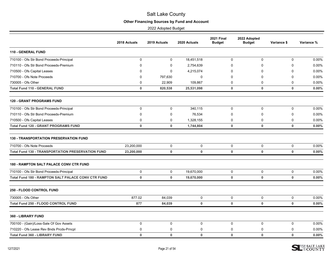# **Other Financing Sources by Fund and Account**

<span id="page-21-0"></span>

|                                                           | 2018 Actuals | 2019 Actuals | 2020 Actuals | <b>2021 Final</b><br><b>Budget</b> | 2022 Adopted<br><b>Budget</b> | Variance \$  | Variance % |
|-----------------------------------------------------------|--------------|--------------|--------------|------------------------------------|-------------------------------|--------------|------------|
| <b>110 - GENERAL FUND</b>                                 |              |              |              |                                    |                               |              |            |
| 710100 - Ofs Str Bond Proceeds-Principal                  | $\mathbf 0$  | $\mathbf 0$  | 18,451,518   | $\Omega$                           | $\mathbf 0$                   | $\Omega$     | 0.00%      |
| 710110 - Ofs Str Bond Proceeds-Premium                    | $\mathbf 0$  | $\mathbf 0$  | 2,754,639    | $\Omega$                           | $\mathbf 0$                   | 0            | 0.00%      |
| 710500 - Ofs Capital Leases                               | $\Omega$     | $\mathbf 0$  | 4,215,074    | $\Omega$                           | $\Omega$                      | 0            | 0.00%      |
| 710700 - Ofs Note Proceeds                                | $\mathbf 0$  | 797,630      | $\mathbf 0$  | $\Omega$                           | $\Omega$                      | 0            | 0.00%      |
| 730005 - Ofs Other                                        | $\mathbf 0$  | 22,909       | 109,867      | 0                                  | 0                             | 0            | 0.00%      |
| <b>Total Fund 110 - GENERAL FUND</b>                      | $\mathbf 0$  | 820,538      | 25,531,098   | $\mathbf 0$                        | 0                             | 0            | 0.00%      |
| <b>120 - GRANT PROGRAMS FUND</b>                          |              |              |              |                                    |                               |              |            |
| 710100 - Ofs Str Bond Proceeds-Principal                  | $\mathbf 0$  | 0            | 340,115      | $\mathbf 0$                        | 0                             | 0            | 0.00%      |
| 710110 - Ofs Str Bond Proceeds-Premium                    | 0            | $\mathbf 0$  | 76,534       | $\Omega$                           | 0                             | 0            | 0.00%      |
| 710500 - Ofs Capital Leases                               | $\mathbf 0$  | $\mathbf 0$  | 1,328,155    | $\Omega$                           | 0                             | 0            | 0.00%      |
| <b>Total Fund 120 - GRANT PROGRAMS FUND</b>               | $\mathbf 0$  | $\mathbf 0$  | 1,744,804    | $\mathbf 0$                        | $\mathbf 0$                   | $\mathbf 0$  | 0.00%      |
| <b>130 - TRANSPORTATION PRESERVATION FUND</b>             |              |              |              |                                    |                               |              |            |
| 710700 - Ofs Note Proceeds                                | 23,200,000   | $\mathbf 0$  | $\mathbf 0$  | $\pmb{0}$                          | 0                             | $\mathbf 0$  | 0.00%      |
| <b>Total Fund 130 - TRANSPORTATION PRESERVATION FUND</b>  | 23,200,000   | $\mathbf 0$  | $\mathbf{0}$ | $\mathbf{0}$                       | $\mathbf 0$                   | $\mathbf{0}$ | $0.00\%$   |
| 180 - RAMPTON SALT PALACE CONV CTR FUND                   |              |              |              |                                    |                               |              |            |
| 710100 - Ofs Str Bond Proceeds-Principal                  | $\mathbf 0$  | $\mathbf 0$  | 19,670,000   | $\mathbf 0$                        | 0                             | $\mathbf 0$  | 0.00%      |
| <b>Total Fund 180 - RAMPTON SALT PALACE CONV CTR FUND</b> | $\mathbf 0$  | $\mathbf 0$  | 19,670,000   | $\mathbf 0$                        | $\mathbf 0$                   | 0            | 0.00%      |
| <b>250 - FLOOD CONTROL FUND</b>                           |              |              |              |                                    |                               |              |            |
| 730005 - Ofs Other                                        | 877.02       | 84,039       | $\mathbf 0$  | $\mathbf 0$                        | 0                             | $\mathbf 0$  | 0.00%      |
| <b>Total Fund 250 - FLOOD CONTROL FUND</b>                | 877          | 84,039       | $\pmb{0}$    | $\mathbf{0}$                       | $\mathbf 0$                   | $\mathbf{0}$ | 0.00%      |
| 360 - LIBRARY FUND                                        |              |              |              |                                    |                               |              |            |
| 700100 - (Gain)/Loss-Sale Of Gov Assets                   | $\mathbf 0$  | $\mathbf 0$  | $\mathbf 0$  | $\mathbf 0$                        | $\mathbf 0$                   | 0            | 0.00%      |
| 710220 - Ofs Lease Rev Bnds Prcds-Prncpl                  | $\mathbf 0$  | $\mathbf 0$  | 0            | 0                                  | $\mathbf 0$                   | 0            | 0.00%      |
| <b>Total Fund 360 - LIBRARY FUND</b>                      | $\mathbf 0$  | $\mathbf 0$  | $\mathbf 0$  | $\bf{0}$                           | $\mathbf 0$                   | $\mathbf 0$  | 0.00%      |

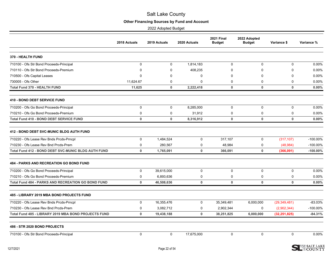# **Other Financing Sources by Fund and Account**

|                                                            | 2018 Actuals | 2019 Actuals | 2020 Actuals | <b>2021 Final</b><br><b>Budget</b> | 2022 Adopted<br><b>Budget</b> | Variance \$    | Variance %  |
|------------------------------------------------------------|--------------|--------------|--------------|------------------------------------|-------------------------------|----------------|-------------|
| 370 - HEALTH FUND                                          |              |              |              |                                    |                               |                |             |
| 710100 - Ofs Str Bond Proceeds-Principal                   | $\mathbf 0$  | $\mathbf 0$  | 1,814,183    | $\mathbf 0$                        | $\mathbf 0$                   | $\mathbf 0$    | 0.00%       |
| 710110 - Ofs Str Bond Proceeds-Premium                     | 0            | 0            | 408,235      | $\mathbf 0$                        | $\Omega$                      | $\Omega$       | 0.00%       |
| 710500 - Ofs Capital Leases                                | 0            | $\Omega$     | $\mathbf 0$  | $\mathbf 0$                        | $\mathbf 0$                   | 0              | 0.00%       |
| 730005 - Ofs Other                                         | 11,624.67    | 0            | $\Omega$     | $\Omega$                           | $\Omega$                      | $\Omega$       | 0.00%       |
| <b>Total Fund 370 - HEALTH FUND</b>                        | 11,625       | $\bf{0}$     | 2,222,418    | $\mathbf 0$                        | $\mathbf 0$                   | $\bf{0}$       | 0.00%       |
| <b>410 - BOND DEBT SERVICE FUND</b>                        |              |              |              |                                    |                               |                |             |
| 710200 - Ofs Go Bond Proceeds-Principal                    | $\mathbf 0$  | $\pmb{0}$    | 8,285,000    | 0                                  | 0                             | 0              | 0.00%       |
| 710210 - Ofs Go Bond Proceeds-Premium                      | 0            | $\mathbf 0$  | 31,912       | $\mathbf 0$                        | $\mathbf 0$                   | 0              | 0.00%       |
| <b>Total Fund 410 - BOND DEBT SERVICE FUND</b>             | 0            | $\mathbf 0$  | 8,316,912    | $\mathbf 0$                        | $\mathbf 0$                   | $\mathbf 0$    | 0.00%       |
| <b>412 - BOND DEBT SVC-MUNIC BLDG AUTH FUND</b>            |              |              |              |                                    |                               |                |             |
| 710220 - Ofs Lease Rev Bnds Prcds-Prncpl                   | $\mathbf 0$  | 1,484,524    | $\mathbf 0$  | 317,107                            | $\mathbf 0$                   | (317, 107)     | $-100.00\%$ |
| 710230 - Ofs Lease Rev Bnd Prcds-Prem                      | 0            | 280,567      | 0            | 48,984                             | 0                             | (48, 984)      | $-100.00\%$ |
| <b>Total Fund 412 - BOND DEBT SVC-MUNIC BLDG AUTH FUND</b> | 0            | 1,765,091    | $\mathbf 0$  | 366,091                            | $\mathbf 0$                   | (366,091)      | $-100.00\%$ |
| <b>484 - PARKS AND RECREATION GO BOND FUND</b>             |              |              |              |                                    |                               |                |             |
| 710200 - Ofs Go Bond Proceeds-Principal                    | $\mathbf 0$  | 39,615,000   | $\Omega$     | 0                                  | $\mathbf 0$                   | 0              | 0.00%       |
| 710210 - Ofs Go Bond Proceeds-Premium                      | $\mathbf 0$  | 6.893.636    | $\mathbf 0$  | $\mathbf 0$                        | $\mathbf 0$                   | 0              | 0.00%       |
| Total Fund 484 - PARKS AND RECREATION GO BOND FUND         | 0            | 46,508,636   | 0            | $\mathbf 0$                        | $\mathbf 0$                   | $\mathbf{0}$   | 0.00%       |
| 485 - LIBRARY 2019 MBA BOND PROJECTS FUND                  |              |              |              |                                    |                               |                |             |
| 710220 - Ofs Lease Rev Bnds Prcds-Prncpl                   | $\mathbf 0$  | 16,355,476   | $\Omega$     | 35,349,481                         | 6,000,000                     | (29, 349, 481) | $-83.03%$   |
| 710230 - Ofs Lease Rev Bnd Prcds-Prem                      | 0            | 3,082,712    | 0            | 2,902,344                          | $\mathbf 0$                   | (2,902,344)    | -100.00%    |
| Total Fund 485 - LIBRARY 2019 MBA BOND PROJECTS FUND       | $\mathbf 0$  | 19,438,188   | $\mathbf 0$  | 38,251,825                         | 6,000,000                     | (32, 251, 825) | $-84.31%$   |
| 486 - STR 2020 BOND PROJECTS                               |              |              |              |                                    |                               |                |             |
| 710100 - Ofs Str Bond Proceeds-Principal                   | $\mathbf 0$  | 0            | 17,675,000   | 0                                  | 0                             | 0              | 0.00%       |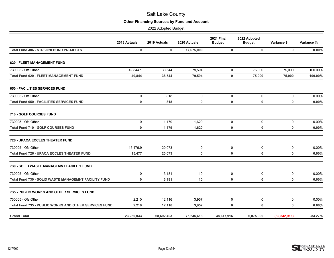# **Other Financing Sources by Fund and Account**

|                                                              | 2018 Actuals | 2019 Actuals | 2020 Actuals | <b>2021 Final</b><br><b>Budget</b> | 2022 Adopted<br><b>Budget</b> | Variance \$    | Variance % |
|--------------------------------------------------------------|--------------|--------------|--------------|------------------------------------|-------------------------------|----------------|------------|
| Total Fund 486 - STR 2020 BOND PROJECTS                      | $\mathbf 0$  | $\mathbf 0$  | 17,675,000   |                                    | $\mathbf 0$<br>$\mathbf 0$    | $\mathbf 0$    | 0.00%      |
| <b>620 - FLEET MANAGEMENT FUND</b>                           |              |              |              |                                    |                               |                |            |
| 730005 - Ofs Other                                           | 49,844.1     | 38,544       | 79.594       | $\mathbf 0$                        | 75,000                        | 75,000         | 100.00%    |
| <b>Total Fund 620 - FLEET MANAGEMENT FUND</b>                | 49,844       | 38,544       | 79,594       | $\mathbf 0$                        | 75,000                        | 75,000         | 100.00%    |
| <b>650 - FACILITIES SERVICES FUND</b>                        |              |              |              |                                    |                               |                |            |
| 730005 - Ofs Other                                           | $\mathbf 0$  | 818          | $\mathbf 0$  | 0                                  | $\mathbf 0$                   | 0              | 0.00%      |
| <b>Total Fund 650 - FACILITIES SERVICES FUND</b>             | $\mathbf 0$  | 818          | $\mathbf 0$  | $\mathbf 0$                        | $\mathbf 0$                   | $\mathbf 0$    | 0.00%      |
| 710 - GOLF COURSES FUND                                      |              |              |              |                                    |                               |                |            |
| 730005 - Ofs Other                                           | $\mathbf 0$  | 1,179        | 1,620        | $\mathbf 0$                        | $\mathbf 0$                   | $\mathbf 0$    | 0.00%      |
| <b>Total Fund 710 - GOLF COURSES FUND</b>                    | $\bf{0}$     | 1,179        | 1,620        | $\mathbf 0$                        | 0                             | $\mathbf 0$    | 0.00%      |
| 726 - UPACA ECCLES THEATER FUND                              |              |              |              |                                    |                               |                |            |
| 730005 - Ofs Other                                           | 15,476.9     | 20,073       | $\pmb{0}$    | $\pmb{0}$                          | 0                             | $\mathbf 0$    | 0.00%      |
| <b>Total Fund 726 - UPACA ECCLES THEATER FUND</b>            | 15,477       | 20,073       | $\mathbf 0$  | $\mathbf 0$                        | $\mathbf 0$                   | $\mathbf 0$    | 0.00%      |
| <b>730 - SOLID WASTE MANAGEMNT FACILITY FUND</b>             |              |              |              |                                    |                               |                |            |
| 730005 - Ofs Other                                           | $\mathbf 0$  | 3,181        | 10           | $\mathbf 0$                        | 0                             | $\mathbf 0$    | 0.00%      |
| Total Fund 730 - SOLID WASTE MANAGEMNT FACILITY FUND         | $\mathbf 0$  | 3,181        | 10           | $\mathbf 0$                        | $\mathbf 0$                   | $\mathbf 0$    | 0.00%      |
| 735 - PUBLIC WORKS AND OTHER SERVICES FUND                   |              |              |              |                                    |                               |                |            |
| 730005 - Ofs Other                                           | 2,210        | 12,116       | 3,957        | 0                                  | 0                             | 0              | 0.00%      |
| <b>Total Fund 735 - PUBLIC WORKS AND OTHER SERVICES FUND</b> | 2,210        | 12,116       | 3,957        | $\mathbf 0$                        | $\mathbf 0$                   | $\mathbf 0$    | 0.00%      |
| <b>Grand Total</b>                                           | 23,280,033   | 68,692,403   | 75,245,413   | 38,617,916                         | 6,075,000                     | (32, 542, 916) | $-84.27%$  |

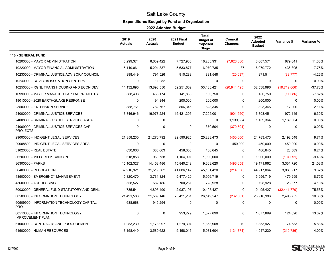# **Expenditures Budget by Fund and Organization**

<span id="page-24-0"></span>

|                                                              | 2019<br><b>Actuals</b> | 2020<br><b>Actuals</b> | <b>2021 Final</b><br><b>Budget</b> | <b>Total</b><br><b>Budget at</b><br>Proposed<br><b>Stage</b> | Council<br><b>Changes</b> | 2022<br><b>Adopted</b><br><b>Budget</b> | Variance \$    | Variance % |
|--------------------------------------------------------------|------------------------|------------------------|------------------------------------|--------------------------------------------------------------|---------------------------|-----------------------------------------|----------------|------------|
| <b>110 - GENERAL FUND</b>                                    |                        |                        |                                    |                                                              |                           |                                         |                |            |
| 10200000 - MAYOR ADMINISTRATION                              | 6.299.374              | 6,639,422              | 7,727,930                          | 16,233,931                                                   | (7,626,360)               | 8.607.571                               | 879,641        | 11.38%     |
| 10220000 - MAYOR FINANCIAL ADMINISTRATION                    | 5,119,061              | 5,201,837              | 5,633,877                          | 6,070,735                                                    | 37                        | 6,070,772                               | 436,895        | 7.75%      |
| 10230000 - CRIMINAL JUSTICE ADVISORY COUNCIL                 | 998,449                | 791,526                | 910,288                            | 891,548                                                      | (20, 037)                 | 871,511                                 | (38, 777)      | $-4.26%$   |
| 10240000 - COVID-19 ISOLATION CENTERS                        | 0                      | 11,252                 | 0                                  | 0                                                            | 0                         | 0                                       | 0              | 0.00%      |
| 10250000 - RGNL TRANS HOUSING AND ECON DEV                   | 14,132,695             | 13,893,550             | 52,251,662                         | 53,483,421                                                   | (20, 944, 425)            | 32,538,996                              | (19,712,666)   | $-37.73%$  |
| 10990000 - MAYOR MANAGED CAPITAL PROJECTS                    | 388,493                | 463,174                | 141,836                            | 130,750                                                      | $\mathbf 0$               | 130,750                                 | (11,086)       | $-7.82%$   |
| 19010000 - 2020 EARTHQUAKE RESPONSE                          | $\Omega$               | 194,344                | 200,000                            | 200,000                                                      | $\Omega$                  | 200,000                                 | $\Omega$       | 0.00%      |
| 23500000 - EXTENSION SERVICE                                 | 888,761                | 782,767                | 806,345                            | 823,345                                                      | $\mathbf 0$               | 823,345                                 | 17,000         | 2.11%      |
| 24000000 - CRIMINAL JUSTICE SERVICES                         | 13,346,946             | 16,978,224             | 15,421,306                         | 17,295,001                                                   | (901, 550)                | 16,393,451                              | 972,145        | 6.30%      |
| 24008800 - CRIMINAL JUSTICE SERVICES ARPA                    | $\mathbf 0$            | $\mathbf 0$            | $\mathbf 0$                        | $\mathbf 0$                                                  | 1,139,364                 | 1,139,364                               | 1,139,364      | 0.00%      |
| 24009900 - CRIMINAL JUSTICE SERVICES CAP<br><b>PROJECTS</b>  | 0                      | 0                      | 0                                  | 370,504                                                      | (370, 504)                | 0                                       | 0              | 0.00%      |
| 29000000 - INDIGENT LEGAL SERVICES                           | 21,358,230             | 21,270,792             | 22,590,925                         | 25,233,473                                                   | (450,000)                 | 24,783,473                              | 2,192,548      | 9.71%      |
| 29008800 - INDIGENT LEGAL SERVICES ARPA                      | $\mathbf{0}$           | $\Omega$               | $\mathbf 0$                        | $\mathbf{0}$                                                 | 450,000                   | 450,000                                 | 450,000        | 0.00%      |
| 31020000 - REAL ESTATE                                       | 630,066                | 386,603                | 458,056                            | 486,645                                                      | 0                         | 486,645                                 | 28,589         | 6.24%      |
| 36200000 - MILLCREEK CANYON                                  | 618,858                | 960,758                | 1,104,091                          | 1,000,000                                                    | $\mathbf 0$               | 1,000,000                               | (104, 091)     | $-9.43%$   |
| 36300000 - PARKS                                             | 15,102,327             | 14,453,486             | 15,840,242                         | 19,668,620                                                   | (496, 658)                | 19,171,962                              | 3,331,720      | 21.03%     |
| 36400000 - RECREATION                                        | 37,916,921             | 31,519,362             | 41,086,147                         | 45,131,420                                                   | (214, 356)                | 44,917,064                              | 3,830,917      | 9.32%      |
| 43500000 - EMERGENCY MANAGEMENT                              | 5,820,470              | 3,731,824              | 5,477,420                          | 5,956,719                                                    | 0                         | 5,956,719                               | 479,299        | 8.75%      |
| 43600000 - ADDRESSING                                        | 558,527                | 582,186                | 700,251                            | 728,928                                                      | $\mathbf 0$               | 728,928                                 | 28,677         | 4.10%      |
| 50030000 - GENERAL FUND-STATUTORY AND GENL                   | 4,735,541              | 4,895,490              | 42,937,197                         | 10,495,427                                                   | $\mathbf 0$               | 10,495,427                              | (32, 441, 770) | -75.56%    |
| 60500000 - INFORMATION TECHNOLOGY                            | 21,491,583             | 21,589,146             | 23,421,231                         | 26,149,547                                                   | (232, 561)                | 25,916,986                              | 2,495,755      | 10.66%     |
| 60509900 - INFORMATION TECHNOLOGY CAPITAL<br><b>PROJ</b>     | 638,668                | 945,254                | 0                                  | $\mathbf 0$                                                  | $\mathbf 0$               | $\mathbf 0$                             | 0              | 0.00%      |
| 60510000 - INFORMATION TECHNOLOGY<br><b>IMPROVEMENT PLAN</b> | $\mathbf 0$            | 0                      | 953,279                            | 1,077,899                                                    | $\mathbf 0$               | 1,077,899                               | 124,620        | 13.07%     |
| 61000000 - CONTRACTS AND PROCUREMENT                         | 1,253,239              | 1,173,097              | 1,279,394                          | 1,353,908                                                    | 19                        | 1,353,927                               | 74,533         | 5.83%      |
| 61500000 - HUMAN RESOURCES                                   | 3,158,449              | 3,589,622              | 5,158,016                          | 5,081,604                                                    | (134, 374)                | 4,947,230                               | (210, 786)     | -4.09%     |

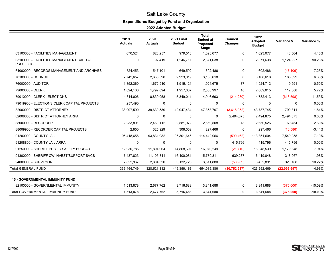# **Expenditures Budget by Fund and Organization**

|                                                             | 2019<br><b>Actuals</b> | 2020<br><b>Actuals</b> | <b>2021 Final</b><br><b>Budget</b> | <b>Total</b><br><b>Budget at</b><br>Proposed<br><b>Stage</b> | Council<br>Changes | 2022<br><b>Adopted</b><br><b>Budget</b> | Variance \$  | Variance % |
|-------------------------------------------------------------|------------------------|------------------------|------------------------------------|--------------------------------------------------------------|--------------------|-----------------------------------------|--------------|------------|
| 63100000 - FACILITIES MANAGEMENT                            | 670,524                | 828,257                | 979,513                            | 1,023,077                                                    | $\mathbf 0$        | 1,023,077                               | 43,564       | 4.45%      |
| 63109900 - FACILITIES MANAGEMENT CAPITAL<br><b>PROJECTS</b> | $\mathbf 0$            | 97,419                 | 1,246,711                          | 2,371,638                                                    | 0                  | 2,371,638                               | 1,124,927    | 90.23%     |
| 64000000 - RECORDS MANAGEMENT AND ARCHIVES                  | 524,453                | 547,101                | 649,592                            | 602,486                                                      | 0                  | 602,486                                 | (47, 106)    | $-7.25%$   |
| 70100000 - COUNCIL                                          | 2,742,657              | 2,636,598              | 2,923,019                          | 3,108,618                                                    | $\mathbf{0}$       | 3,108,618                               | 185,599      | 6.35%      |
| 76000000 - AUDITOR                                          | 1,852,360              | 1,672,910              | 1,915,121                          | 1,924,675                                                    | 37                 | 1,924,712                               | 9,591        | 0.50%      |
| 79000000 - CLERK                                            | 1,824,130              | 1,792,894              | 1,957,007                          | 2,068,997                                                    | 18                 | 2,069,015                               | 112,008      | 5.72%      |
| 79010000 - CLERK - ELECTIONS                                | 4,314,006              | 8,839,958              | 5,349,011                          | 4,946,693                                                    | (214, 280)         | 4,732,413                               | (616, 598)   | $-11.53%$  |
| 79019900 - ELECTIONS CLERK CAPITAL PROJECTS                 | 257,490                | 0                      | 0                                  | 0                                                            | 0                  | 0                                       | 0            | 0.00%      |
| 82000000 - DISTRICT ATTORNEY                                | 38,997,590             | 39,630,539             | 42,947,434                         | 47,353,797                                                   | (3,616,052)        | 43,737,745                              | 790,311      | 1.84%      |
| 82008800 - DISTRICT ATTORNEY ARPA                           | 0                      | $\mathbf 0$            | 0                                  | 0                                                            | 2,494,875          | 2,494,875                               | 2,494,875    | 0.00%      |
| 88000000 - RECORDER                                         | 2,233,801              | 2,460,112              | 2,581,072                          | 2,650,508                                                    | 18                 | 2,650,526                               | 69,454       | 2.69%      |
| 88009900 - RECORDER CAPITAL PROJECTS                        | 2,850                  | 325,929                | 308,052                            | 297,466                                                      | $\Omega$           | 297,466                                 | (10, 586)    | $-3.44%$   |
| 91200000 - COUNTY JAIL                                      | 95,418,656             | 93,831,982             | 106,301,646                        | 114,442,066                                                  | (590, 462)         | 113,851,604                             | 7,549,958    | 7.10%      |
| 91208800 - COUNTY JAIL ARPA                                 | $\mathbf 0$            | $\mathbf 0$            | $\mathbf 0$                        | $\mathbf 0$                                                  | 415,796            | 415,796                                 | 415,796      | 0.00%      |
| 91250000 - SHERIFF PUBLIC SAFETY BUREAU                     | 12,030,785             | 11,894,064             | 14,868,691                         | 16,070,249                                                   | (21, 710)          | 16,048,539                              | 1,179,848    | 7.94%      |
| 91300000 - SHERIFF CW INVEST/SUPPORT SVCS                   | 17,487,823             | 11,105,311             | 16,100,081                         | 15,779,811                                                   | 639,237            | 16,419,048                              | 318,967      | 1.98%      |
| 94000000 - SURVEYOR                                         | 2,652,967              | 2,804,320              | 3,132,723                          | 3,511,880                                                    | (58, 989)          | 3,452,891                               | 320,168      | 10.22%     |
| <b>Total GENERAL FUND</b>                                   | 335,466,749            | 328,521,112            | 445,359,166                        | 454,015,386                                                  | (30, 752, 917)     | 423,262,469                             | (22,096,697) | $-4.96%$   |
| <b>115 - GOVERNMENTAL IMMUNITY FUND</b>                     |                        |                        |                                    |                                                              |                    |                                         |              |            |
| 82100000 - GOVERNMENTAL IMMUNITY                            | 1,513,878              | 2,677,762              | 3,716,688                          | 3,341,688                                                    | 0                  | 3,341,688                               | (375,000)    | $-10.09%$  |
| <b>Total GOVERNMENTAL IMMUNITY FUND</b>                     | 1,513,878              | 2,677,762              | 3,716,688                          | 3,341,688                                                    | $\mathbf{0}$       | 3,341,688                               | (375,000)    | $-10.09%$  |

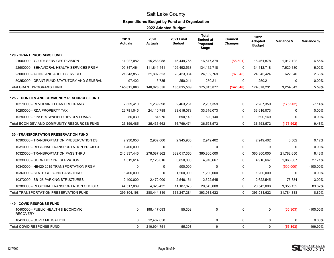# **Expenditures Budget by Fund and Organization**

|                                                        | 2019<br><b>Actuals</b> | 2020<br><b>Actuals</b> | <b>2021 Final</b><br><b>Budget</b> | <b>Total</b><br><b>Budget at</b><br>Proposed<br>Stage | Council<br><b>Changes</b> | 2022<br>Adopted<br><b>Budget</b> | Variance \$ | Variance %  |
|--------------------------------------------------------|------------------------|------------------------|------------------------------------|-------------------------------------------------------|---------------------------|----------------------------------|-------------|-------------|
| <b>120 - GRANT PROGRAMS FUND</b>                       |                        |                        |                                    |                                                       |                           |                                  |             |             |
| 21000000 - YOUTH SERVICES DIVISION                     | 14,227,082             | 15,263,958             | 15,449,756                         | 16,517,379                                            | (55, 501)                 | 16,461,878                       | 1,012,122   | 6.55%       |
| 22500000 - BEHAVIORAL HEALTH SERVICES PRGM             | 109,347,464            | 111,841,441            | 126,492,538                        | 134, 112, 718                                         | $\Omega$                  | 134, 112, 718                    | 7,620,180   | 6.02%       |
| 23000000 - AGING AND ADULT SERVICES                    | 21,343,856             | 21,807,523             | 23,423,084                         | 24,132,769                                            | (87, 345)                 | 24,045,424                       | 622,340     | 2.66%       |
| 50250000 - GRANT FUND STATUTORY AND GENERAL            | 97,402                 | 13,735                 | 250,211                            | 250,211                                               | 0                         | 250,211                          | 0           | 0.00%       |
| <b>Total GRANT PROGRAMS FUND</b>                       | 145,015,803            | 148,926,656            | 165,615,589                        | 175,013,077                                           | (142, 846)                | 174,870,231                      | 9,254,642   | 5.59%       |
| <b>125 - ECON DEV AND COMMUNITY RESOURCES FUND</b>     |                        |                        |                                    |                                                       |                           |                                  |             |             |
| 10270000 - REVOLVING LOAN PROGRAMS                     | 2,359,410              | 1,239,898              | 2,463,261                          | 2,287,359                                             | $\Omega$                  | 2,287,359                        | (175,902)   | $-7.14%$    |
| 10280000 - RDA PROPERTY TAX                            | 22,781,045             | 24,110,788             | 33,616,073                         | 33,616,073                                            | $\Omega$                  | 33,616,073                       | $\mathbf 0$ | 0.00%       |
| 10290000 - EPA BROWNFIELD REVOLV LOANS                 | 50,030                 | 84,976                 | 690,140                            | 690,140                                               | 0                         | 690,140                          | 0           | 0.00%       |
| <b>Total ECON DEV AND COMMUNITY RESOURCES FUND</b>     | 25,190,485             | 25,435,662             | 36,769,474                         | 36,593,572                                            | $\mathbf{0}$              | 36,593,572                       | (175, 902)  | $-0.48%$    |
| <b>130 - TRANSPORTATION PRESERVATION FUND</b>          |                        |                        |                                    |                                                       |                           |                                  |             |             |
| 10300000 - TRANSPORTATION PRESERVATION DS              | 2,930,050              | 2,932,000              | 2,945,900                          | 2,949,402                                             | 0                         | 2,949,402                        | 3,502       | 0.12%       |
| 10310000 - REGIONAL TRANSPORTATION PROJECT             | 1,400,000              | $\mathbf 0$            | 0                                  | $\mathbf 0$                                           | $\mathbf 0$               | 0                                | 0           | 0.00%       |
| 10320000 - TRANSPORTATION PASS THRU                    | 240,337,445            | 276,087,862            | 339,017,350                        | 360,800,000                                           | $\Omega$                  | 360,800,000                      | 21,782,650  | 6.43%       |
| 10330000 - CORRIDOR PRESERVATION                       | 1,319,614              | 2,126,016              | 3,850,000                          | 4,916,667                                             | $\Omega$                  | 4,916,667                        | 1,066,667   | 27.71%      |
| 10340000 - HB420 2015 TRANSPORTATION PRGM              | 0                      | 0                      | 500,000                            | 0                                                     | 0                         | 0                                | (500,000)   | $-100.00\%$ |
| 10360000 - STATE GO BOND PASS-THRU                     | 6,400,000              | $\Omega$               | 1,200,000                          | 1,200,000                                             | 0                         | 1,200,000                        | 0           | $0.00\%$    |
| 10370000 - SB128 PARKING STRUCTURES                    | 2,400,000              | 2,472,000              | 2,546,161                          | 2,622,545                                             | 0                         | 2,622,545                        | 76,384      | 3.00%       |
| 10380000 - REGIONAL TRANSPORTATION CHOICES             | 44,517,089             | 4,826,432              | 11,187,873                         | 20,543,008                                            | $\Omega$                  | 20,543,008                       | 9.355,135   | 83.62%      |
| <b>Total TRANSPORTATION PRESERVATION FUND</b>          | 299,304,198            | 288,444,310            | 361,247,284                        | 393,031,622                                           | $\mathbf{0}$              | 393,031,622                      | 31,784,338  | 8.80%       |
| <b>140 - COVID RESPONSE FUND</b>                       |                        |                        |                                    |                                                       |                           |                                  |             |             |
| 10400000 - PUBLIC HEALTH & ECONOMIC<br><b>RECOVERY</b> | $\mathbf 0$            | 198,417,093            | 55,303                             | 0                                                     | $\mathbf 0$               | $\mathbf 0$                      | (55, 303)   | $-100.00\%$ |
| 10410000 - COVID MITIGATION                            | 0                      | 12,487,658             | 0                                  | 0                                                     | 0                         | $\mathbf 0$                      | 0           | 0.00%       |
| <b>Total COVID RESPONSE FUND</b>                       | $\mathbf{0}$           | 210,904,751            | 55,303                             | $\mathbf{0}$                                          | $\mathbf{0}$              | $\mathbf{0}$                     | (55, 303)   | $-100.00\%$ |

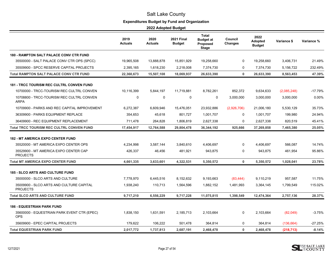# **Expenditures Budget by Fund and Organization**

|                                                             | 2019<br><b>Actuals</b> | 2020<br><b>Actuals</b> | <b>2021 Final</b><br><b>Budget</b> | <b>Total</b><br><b>Budget at</b><br>Proposed<br>Stage | Council<br><b>Changes</b> | 2022<br>Adopted<br><b>Budget</b> | Variance \$ | Variance % |
|-------------------------------------------------------------|------------------------|------------------------|------------------------------------|-------------------------------------------------------|---------------------------|----------------------------------|-------------|------------|
| 180 - RAMPTON SALT PALACE CONV CTR FUND                     |                        |                        |                                    |                                                       |                           |                                  |             |            |
| 35500000 - SALT PALACE CONV CTR OPS (SPCC)                  | 19,965,508             | 13,888,878             | 15,851,929                         | 19,258,660                                            | 0                         | 19,258,660                       | 3,406,731   | 21.49%     |
| 35509900 - SPCC RESERVE CAPITAL PROJECTS                    | 2,395,165              | 1,618,230              | 2,218,008                          | 7,374,730                                             | 0                         | 7,374,730                        | 5,156,722   | 232.49%    |
| <b>Total RAMPTON SALT PALACE CONV CTR FUND</b>              | 22.360.673             | 15,507,108             | 18,069,937                         | 26,633,390                                            | $\mathbf{0}$              | 26,633,390                       | 8,563,453   | 47.39%     |
| <b>181 - TRCC TOURISM REC CULTRL CONVEN FUND</b>            |                        |                        |                                    |                                                       |                           |                                  |             |            |
| 10700000 - TRCC-TOURISM REC CULTRL CONVEN                   | 10,116,399             | 5,844,197              | 11,719,881                         | 8,782,261                                             | 852,372                   | 9,634,633                        | (2,085,248) | -17.79%    |
| 10708800 - TRCC-TOURISM REC CULTRL CONVEN<br><b>ARPA</b>    | $\mathbf 0$            | 0                      | 0                                  | $\mathbf 0$                                           | 3,000,000                 | 3,000,000                        | 3,000,000   | 0.00%      |
| 10709900 - PARKS AND REC CAPITAL IMPROVEMENT                | 6,272,387              | 6,609,946              | 15,476,051                         | 23,932,886                                            | (2,926,706)               | 21,006,180                       | 5,530,129   | 35.73%     |
| 36309900 - PARKS EQUIPMENT REPLACE                          | 354,653                | 45,618                 | 801,727                            | 1,001,707                                             | 0                         | 1,001,707                        | 199,980     | 24.94%     |
| 36409900 - REC EQUIPMENT REPLACEMENT                        | 711,478                | 264,828                | 1,806,819                          | 2,627,338                                             | $\Omega$                  | 2,627,338                        | 820,519     | 45.41%     |
| <b>Total TRCC TOURISM REC CULTRL CONVEN FUND</b>            | 17,454,917             | 12,764,588             | 29,804,478                         | 36,344,192                                            | 925,666                   | 37,269,858                       | 7,465,380   | 25.05%     |
| <b>182 - MT AMERICA EXPO CENTER FUND</b>                    |                        |                        |                                    |                                                       |                           |                                  |             |            |
| 35520000 - MT AMERICA EXPO CENTER OPS                       | 4,234,998              | 3,587,144              | 3,840,610                          | 4,406,697                                             | $\mathbf 0$               | 4,406,697                        | 566,087     | 14.74%     |
| 35529900 - MT AMERICA EXPO CENTER CAP<br><b>PROJECTS</b>    | 426,337                | 46,456                 | 481,921                            | 943,875                                               | 0                         | 943,875                          | 461,954     | 95.86%     |
| <b>Total MT AMERICA EXPO CENTER FUND</b>                    | 4,661,335              | 3,633,601              | 4,322,531                          | 5,350,572                                             | $\mathbf 0$               | 5,350,572                        | 1,028,041   | 23.78%     |
| <b>185 - SLCO ARTS AND CULTURE FUND</b>                     |                        |                        |                                    |                                                       |                           |                                  |             |            |
| 35000000 - SLCO ARTS AND CULTURE                            | 7,778,970              | 6,445,516              | 8,152,632                          | 9,193,663                                             | (83, 444)                 | 9,110,219                        | 957,587     | 11.75%     |
| 35009900 - SLCO ARTS AND CULTURE CAPITAL<br><b>PROJECTS</b> | 1,938,240              | 110,713                | 1,564,596                          | 1,882,152                                             | 1,481,993                 | 3,364,145                        | 1,799,549   | 115.02%    |
| <b>Total SLCO ARTS AND CULTURE FUND</b>                     | 9,717,210              | 6,556,229              | 9,717,228                          | 11,075,815                                            | 1,398,549                 | 12,474,364                       | 2,757,136   | 28.37%     |
| <b>186 - EQUESTRIAN PARK FUND</b>                           |                        |                        |                                    |                                                       |                           |                                  |             |            |
| 35600000 - EQUESTRIAN PARK EVENT CTR (EPEC)<br><b>OPS</b>   | 1,838,150              | 1,631,591              | 2,185,713                          | 2,103,664                                             | $\mathbf 0$               | 2,103,664                        | (82,049)    | $-3.75%$   |
| 35609900 - EPEC CAPITAL PROJECTS                            | 179.622                | 106,222                | 501,478                            | 364,814                                               | $\mathbf 0$               | 364,814                          | (136, 664)  | $-27.25%$  |
| <b>Total EQUESTRIAN PARK FUND</b>                           | 2,017,772              | 1,737,813              | 2,687,191                          | 2,468,478                                             | 0                         | 2,468,478                        | (218, 713)  | $-8.14%$   |

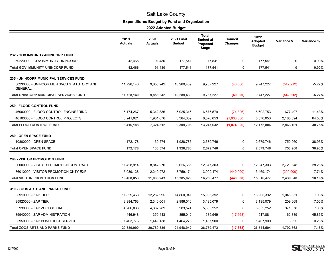# **Expenditures Budget by Fund and Organization**

|                                                             | 2019<br>Actuals | 2020<br>Actuals | <b>2021 Final</b><br><b>Budget</b> | <b>Total</b><br><b>Budget at</b><br>Proposed<br>Stage | Council<br><b>Changes</b> | 2022<br><b>Adopted</b><br><b>Budget</b> | Variance \$ | Variance % |
|-------------------------------------------------------------|-----------------|-----------------|------------------------------------|-------------------------------------------------------|---------------------------|-----------------------------------------|-------------|------------|
| <b>232 - GOV IMMUNITY-UNINCORP FUND</b>                     |                 |                 |                                    |                                                       |                           |                                         |             |            |
| 50220000 - GOV IMMUNITY UNINCORP                            | 42,466          | 91,430          | 177,541                            | 177,541                                               | $\mathbf 0$               | 177,541                                 | 0           | 0.00%      |
| <b>Total GOV IMMUNITY-UNINCORP FUND</b>                     | 42,466          | 91,430          | 177,541                            | 177,541                                               | $\mathbf 0$               | 177,541                                 | $\bf{0}$    | 0.00%      |
| <b>235 - UNINCORP MUNICIPAL SERVICES FUND</b>               |                 |                 |                                    |                                                       |                           |                                         |             |            |
| 50230000 - UNINCOR MUN SVCS STATUTORY AND<br><b>GENERAL</b> | 11,728,140      | 9,858,242       | 10,289,439                         | 9,787,227                                             | (40,000)                  | 9,747,227                               | (542, 212)  | $-5.27%$   |
| <b>Total UNINCORP MUNICIPAL SERVICES FUND</b>               | 11,728,140      | 9,858,242       | 10,289,439                         | 9,787,227                                             | (40,000)                  | 9,747,227                               | (542, 212)  | $-5.27%$   |
| <b>250 - FLOOD CONTROL FUND</b>                             |                 |                 |                                    |                                                       |                           |                                         |             |            |
| 46000000 - FLOOD CONTROL ENGINEERING                        | 5,174,267       | 5,342,836       | 5,925,346                          | 6,677,579                                             | (74, 826)                 | 6,602,753                               | 677,407     | 11.43%     |
| 46100000 - FLOOD CONTROL PROJECTS                           | 3,241,921       | 1,981,676       | 3,384,359                          | 6,570,053                                             | (1,000,000)               | 5,570,053                               | 2,185,694   | 64.58%     |
| <b>Total FLOOD CONTROL FUND</b>                             | 8,416,188       | 7,324,512       | 9,309,705                          | 13,247,632                                            | (1,074,826)               | 12,172,806                              | 2,863,101   | 30.75%     |
| <b>280 - OPEN SPACE FUND</b>                                |                 |                 |                                    |                                                       |                           |                                         |             |            |
| 10800000 - OPEN SPACE                                       | 172,178         | 130,574         | 1,928,786                          | 2,679,746                                             | 0                         | 2,679,746                               | 750,960     | 38.93%     |
| <b>Total OPEN SPACE FUND</b>                                | 172,178         | 130,574         | 1,928,786                          | 2,679,746                                             | $\mathbf 0$               | 2,679,746                               | 750,960     | 38.93%     |
| <b>290 - VISITOR PROMOTION FUND</b>                         |                 |                 |                                    |                                                       |                           |                                         |             |            |
| 36000000 - VISITOR PROMOTION CONTRACT                       | 11,428,914      | 8,847,270       | 9,626,655                          | 12,347,303                                            | 0                         | 12,347,303                              | 2,720,648   | 28.26%     |
| 36010000 - VISITOR PROMOTION CNTY EXP                       | 5,039,138       | 2,240,972       | 3,759,174                          | 3,909,174                                             | (440,000)                 | 3,469,174                               | (290,000)   | $-7.71%$   |
| <b>Total VISITOR PROMOTION FUND</b>                         | 16,468,053      | 11,088,243      | 13,385,829                         | 16,256,477                                            | (440,000)                 | 15,816,477                              | 2,430,648   | 18.16%     |
| 310 - ZOOS ARTS AND PARKS FUND                              |                 |                 |                                    |                                                       |                           |                                         |             |            |
| 35910000 - ZAP TIER I                                       | 11,829,468      | 12,282,995      | 14,860,041                         | 15,905,392                                            | $\Omega$                  | 15,905,392                              | 1,045,351   | 7.03%      |
| 35920000 - ZAP TIER II                                      | 2,384,763       | 2,340,001       | 2,986,010                          | 3,195,079                                             | $\Omega$                  | 3,195,079                               | 209,069     | 7.00%      |
| 35930000 - ZAP ZOOLOGICAL                                   | 4,206,036       | 4,367,289       | 5,283,574                          | 5,655,252                                             | 0                         | 5,655,252                               | 371,678     | 7.03%      |
| 35940000 - ZAP ADMINISTRATION                               | 446,948         | 350,413         | 355,042                            | 535,549                                               | (17,668)                  | 517,881                                 | 162,839     | 45.86%     |
| 35950000 - ZAP BOND DEBT SERVICE                            | 1,463,775       | 1,449,138       | 1,464,275                          | 1,467,900                                             | 0                         | 1,467,900                               | 3,625       | 0.25%      |
| <b>Total ZOOS ARTS AND PARKS FUND</b>                       | 20,330,990      | 20,789,836      | 24,948,942                         | 26,759,172                                            | (17,668)                  | 26,741,504                              | 1,792,562   | 7.18%      |

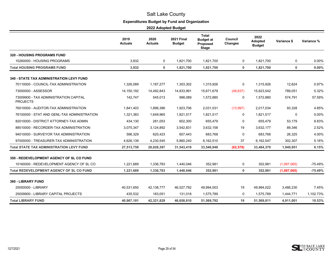# **Expenditures Budget by Fund and Organization**

|                                                          | 2019<br><b>Actuals</b> | 2020<br><b>Actuals</b> | <b>2021 Final</b><br><b>Budget</b> | <b>Total</b><br><b>Budget at</b><br>Proposed<br><b>Stage</b> | Council<br>Changes | 2022<br>Adopted<br><b>Budget</b> | Variance \$ | Variance % |
|----------------------------------------------------------|------------------------|------------------------|------------------------------------|--------------------------------------------------------------|--------------------|----------------------------------|-------------|------------|
| <b>320 - HOUSING PROGRAMS FUND</b>                       |                        |                        |                                    |                                                              |                    |                                  |             |            |
| 10260000 - HOUSING PROGRAMS                              | 3,932                  | $\mathbf 0$            | 1.821.700                          | 1.821.700                                                    | $\Omega$           | 1.821.700                        | 0           | 0.00%      |
| <b>Total HOUSING PROGRAMS FUND</b>                       | 3,932                  | 0                      | 1,821,700                          | 1,821,700                                                    | 0                  | 1,821,700                        | $\mathbf 0$ | 0.00%      |
| <b>340 - STATE TAX ADMINISTRATION LEVY FUND</b>          |                        |                        |                                    |                                                              |                    |                                  |             |            |
| 70110000 - COUNCIL-TAX ADMINISTRATION                    | 1,326,089              | 1,187,277              | 1,303,302                          | 1,315,926                                                    | 0                  | 1,315,926                        | 12,624      | 0.97%      |
| 73000000 - ASSESSOR                                      | 14,150,192             | 14,492,843             | 14,833,991                         | 15,671,679                                                   | (48, 637)          | 15,623,042                       | 789,051     | 5.32%      |
| 73009900 - TAX ADMINISTRATION CAPITAL<br><b>PROJECTS</b> | 142,747                | 545,013                | 998,089                            | 1,572,880                                                    | 0                  | 1,572,880                        | 574,791     | 57.59%     |
| 76010000 - AUDITOR-TAX ADMINISTRATION                    | 1,841,403              | 1,896,386              | 1,923,706                          | 2,031,031                                                    | (13,997)           | 2,017,034                        | 93,328      | 4.85%      |
| 76100000 - STAT AND GENL-TAX ADMINISTRATION              | 1,321,383              | 1,649,965              | 1,821,517                          | 1,821,517                                                    | 0                  | 1,821,517                        | 0           | 0.00%      |
| 82010000 - DISTRICT ATTORNEY-TAX ADMIN                   | 434,130                | 281,053                | 602,300                            | 655,479                                                      | 0                  | 655,479                          | 53,179      | 8.83%      |
| 88510000 - RECORDER-TAX ADMINISTRATION                   | 3,075,347              | 3,124,892              | 3,542,831                          | 3,632,158                                                    | 19                 | 3,632,177                        | 89,346      | 2.52%      |
| 94010000 - SURVEYOR TAX ADMINISTRATION                   | 596,329                | 620,423                | 657,443                            | 683,768                                                      | $\Omega$           | 683,768                          | 26,325      | 4.00%      |
| 97000000 - TREASURER-TAX ADMINISTRATION                  | 4,626,139              | 4,230,545              | 5,860,240                          | 6,162,510                                                    | 37                 | 6,162,547                        | 302,307     | 5.16%      |
| <b>Total STATE TAX ADMINISTRATION LEVY FUND</b>          | 27,513,759             | 28,028,397             | 31,543,419                         | 33,546,948                                                   | (62, 578)          | 33,484,370                       | 1,940,951   | 6.15%      |
| 350 - REDEVELOPMENT AGENCY OF SL CO FUND                 |                        |                        |                                    |                                                              |                    |                                  |             |            |
| 10160000 - REDEVELOPMENT AGENCY OF SL CO                 | 1,221,689              | 1,336,783              | 1,440,046                          | 352,981                                                      | 0                  | 352,981                          | (1,087,065) | $-75.49%$  |
| <b>Total REDEVELOPMENT AGENCY OF SL CO FUND</b>          | 1,221,689              | 1,336,783              | 1,440,046                          | 352,981                                                      | 0                  | 352,981                          | (1,087,065) | $-75.49%$  |
| <b>360 - LIBRARY FUND</b>                                |                        |                        |                                    |                                                              |                    |                                  |             |            |
| 25000000 - LIBRARY                                       | 40,531,650             | 42,138,777             | 46,527,792                         | 49,994,003                                                   | 19                 | 49,994,022                       | 3,466,230   | 7.45%      |
| 25009900 - LIBRARY CAPITAL PROJECTS                      | 435,532                | 183,051                | 131,018                            | 1,575,789                                                    | 0                  | 1,575,789                        | 1,444,771   | 1,102.73%  |
| <b>Total LIBRARY FUND</b>                                | 40,967,181             | 42,321,828             | 46.658.810                         | 51,569,792                                                   | 19                 | 51.569.811                       | 4.911.001   | 10.53%     |

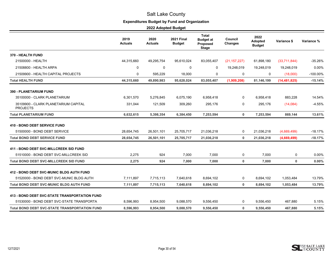# **Expenditures Budget by Fund and Organization**

|                                                         | 2019<br>Actuals | 2020<br>Actuals | <b>2021 Final</b><br><b>Budget</b> | <b>Total</b><br><b>Budget at</b><br>Proposed<br><b>Stage</b> | Council<br><b>Changes</b> | 2022<br>Adopted<br><b>Budget</b> | Variance \$    | Variance %  |
|---------------------------------------------------------|-----------------|-----------------|------------------------------------|--------------------------------------------------------------|---------------------------|----------------------------------|----------------|-------------|
| 370 - HEALTH FUND                                       |                 |                 |                                    |                                                              |                           |                                  |                |             |
| 21500000 - HEALTH                                       | 44,315,660      | 49,295,754      | 95,610,024                         | 83,055,407                                                   | (21, 157, 227)            | 61,898,180                       | (33,711,844)   | $-35.26%$   |
| 21508800 - HEALTH ARPA                                  | 0               | $\mathbf 0$     | $\mathbf 0$                        | 0                                                            | 19,248,019                | 19,248,019                       | 19,248,019     | 0.00%       |
| 21509900 - HEALTH CAPITAL PROJECTS                      | 0               | 595,229         | 18,000                             | 0                                                            | 0                         | $\mathbf 0$                      | (18,000)       | $-100.00\%$ |
| <b>Total HEALTH FUND</b>                                | 44,315,660      | 49,890,983      | 95,628,024                         | 83,055,407                                                   | (1,909,208)               | 81,146,199                       | (14, 481, 825) | $-15.14%$   |
| 390 - PLANETARIUM FUND                                  |                 |                 |                                    |                                                              |                           |                                  |                |             |
| 35100000 - CLARK PLANETARIUM                            | 6,301,570       | 5,276,845       | 6,075,190                          | 6,958,418                                                    | 0                         | 6,958,418                        | 883,228        | 14.54%      |
| 35109900 - CLARK PLANETARIUM CAPITAL<br><b>PROJECTS</b> | 331,044         | 121,509         | 309,260                            | 295,176                                                      | 0                         | 295,176                          | (14,084)       | $-4.55%$    |
| <b>Total PLANETARIUM FUND</b>                           | 6,632,615       | 5,398,354       | 6,384,450                          | 7,253,594                                                    | 0                         | 7,253,594                        | 869,144        | 13.61%      |
| <b>410 - BOND DEBT SERVICE FUND</b>                     |                 |                 |                                    |                                                              |                           |                                  |                |             |
| 51500000 - BOND DEBT SERVICE                            | 28,654,745      | 26,501,101      | 25,705,717                         | 21,036,218                                                   | 0                         | 21,036,218                       | (4,669,499)    | $-18.17%$   |
| <b>Total BOND DEBT SERVICE FUND</b>                     | 28,654,745      | 26,501,101      | 25,705,717                         | 21,036,218                                                   | 0                         | 21,036,218                       | (4,669,499)    | $-18.17%$   |
| 411 - BOND DEBT SVC-MILLCREEK SID FUND                  |                 |                 |                                    |                                                              |                           |                                  |                |             |
| 51510000 - BOND DEBT SVC-MILLCREEK SID                  | 2,275           | 924             | 7,000                              | 7,000                                                        | 0                         | 7,000                            | 0              | 0.00%       |
| <b>Total BOND DEBT SVC-MILLCREEK SID FUND</b>           | 2,275           | 924             | 7,000                              | 7,000                                                        | 0                         | 7,000                            | $\mathbf 0$    | 0.00%       |
| <b>412 - BOND DEBT SVC-MUNIC BLDG AUTH FUND</b>         |                 |                 |                                    |                                                              |                           |                                  |                |             |
| 51520000 - BOND DEBT SVC-MUNIC BLDG AUTH                | 7,111,897       | 7,715,113       | 7,640,618                          | 8,694,102                                                    | 0                         | 8,694,102                        | 1,053,484      | 13.79%      |
| <b>Total BOND DEBT SVC-MUNIC BLDG AUTH FUND</b>         | 7,111,897       | 7,715,113       | 7,640,618                          | 8,694,102                                                    | 0                         | 8,694,102                        | 1,053,484      | 13.79%      |
| <b>413 - BOND DEBT SVC-STATE TRANSPORTATION FUND</b>    |                 |                 |                                    |                                                              |                           |                                  |                |             |
| 51530000 - BOND DEBT SVC-STATE TRANSPORTA               | 8,596,993       | 8,954,500       | 9,088,570                          | 9,556,450                                                    | 0                         | 9,556,450                        | 467,880        | 5.15%       |
| <b>Total BOND DEBT SVC-STATE TRANSPORTATION FUND</b>    | 8,596,993       | 8,954,500       | 9,088,570                          | 9,556,450                                                    | 0                         | 9,556,450                        | 467,880        | 5.15%       |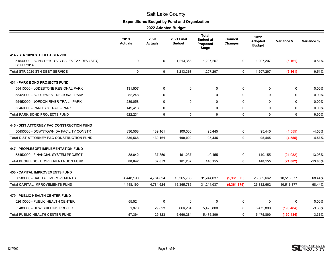# **Expenditures Budget by Fund and Organization**

|                                                                                            | 2019<br><b>Actuals</b> | 2020<br><b>Actuals</b> | <b>2021 Final</b><br><b>Budget</b> | <b>Total</b><br><b>Budget at</b><br>Proposed<br><b>Stage</b> | Council<br><b>Changes</b> | 2022<br>Adopted<br><b>Budget</b> | Variance \$ | Variance % |
|--------------------------------------------------------------------------------------------|------------------------|------------------------|------------------------------------|--------------------------------------------------------------|---------------------------|----------------------------------|-------------|------------|
| 414 - STR 2020 STH DEBT SERVICE                                                            |                        |                        |                                    |                                                              |                           |                                  |             |            |
| 51540000 - BOND DEBT SVC-SALES TAX REV (STR)<br><b>BOND 2014</b>                           | 0                      | 0                      | 1,213,368                          | 1,207,207                                                    | $\mathbf 0$               | 1,207,207                        | (6, 161)    | $-0.51%$   |
| <b>Total STR 2020 STH DEBT SERVICE</b>                                                     | $\mathbf 0$            | $\mathbf 0$            | 1,213,368                          | 1,207,207                                                    | $\mathbf 0$               | 1,207,207                        | (6, 161)    | $-0.51%$   |
| <b>431 - PARK BOND PROJECTS FUND</b>                                                       |                        |                        |                                    |                                                              |                           |                                  |             |            |
| 55410000 - LODESTONE REGIONAL PARK                                                         | 131,507                | 0                      | 0                                  | 0                                                            | $\mathbf 0$               | 0                                | $\mathbf 0$ | 0.00%      |
| 55420000 - SOUTHWEST REGIONAL PARK                                                         | 52.248                 | $\Omega$               | $\Omega$                           | $\mathbf{0}$                                                 | $\Omega$                  | $\Omega$                         | $\Omega$    | 0.00%      |
| 55450000 - JORDON RIVER TRAIL - PARK                                                       | 289,058                | 0                      | 0                                  | 0                                                            | $\mathbf 0$               | 0                                | 0           | 0.00%      |
| 55460000 - PARLEYS TRAIL - PARK                                                            | 149,418                | $\mathbf 0$            | $\mathbf 0$                        | $\mathbf 0$                                                  | $\mathbf 0$               | 0                                | 0           | 0.00%      |
| <b>Total PARK BOND PROJECTS FUND</b>                                                       | 622,231                | $\mathbf{0}$           | $\mathbf{0}$                       | $\mathbf 0$                                                  | $\mathbf 0$               | 0                                | $\mathbf 0$ | 0.00%      |
| <b>445 - DIST ATTORNEY FAC CONSTRUCTION FUND</b><br>50450000 - DOWNTOWN DA FACILITY CONSTR | 836,568                | 139,161                | 100,000                            | 95,445                                                       | 0                         | 95,445                           | (4, 555)    | $-4.56%$   |
| <b>Total DIST ATTORNEY FAC CONSTRUCTION FUND</b>                                           | 836,568                | 139,161                | 100,000                            | 95,445                                                       | $\mathbf{0}$              | 95,445                           | (4, 555)    | $-4.56%$   |
| <b>447 - PEOPLESOFT IMPLEMENTATION FUND</b>                                                |                        |                        |                                    |                                                              |                           |                                  |             |            |
| 53450000 - FINANCIAL SYSTEM PROJECT                                                        | 88.842                 | 37,859                 | 161,237                            | 140,155                                                      | 0                         | 140,155                          | (21,082)    | $-13.08%$  |
| <b>Total PEOPLESOFT IMPLEMENTATION FUND</b>                                                | 88,842                 | 37,859                 | 161,237                            | 140,155                                                      | $\mathbf 0$               | 140,155                          | (21, 082)   | $-13.08%$  |
| <b>450 - CAPITAL IMPROVEMENTS FUND</b>                                                     |                        |                        |                                    |                                                              |                           |                                  |             |            |
| 50500000 - CAPITAL IMPROVEMENTS                                                            | 4.448.190              | 4,784,624              | 15,365,785                         | 31,244,037                                                   | (5,361,375)               | 25.882.662                       | 10,516,877  | 68.44%     |
| <b>Total CAPITAL IMPROVEMENTS FUND</b>                                                     | 4,448,190              | 4,784,624              | 15,365,785                         | 31,244,037                                                   | (5,361,375)               | 25,882,662                       | 10,516,877  | 68.44%     |
| <b>479 - PUBLIC HEALTH CENTER FUND</b>                                                     |                        |                        |                                    |                                                              |                           |                                  |             |            |
| 52610000 - PUBLIC HEALTH CENTER                                                            | 55,524                 | $\mathbf 0$            | 0                                  | 0                                                            | $\mathbf 0$               | 0                                | 0           | 0.00%      |
| 55480000 - HHW BUILDING PROJECT                                                            | 1.870                  | 29,823                 | 5,666,284                          | 5,475,800                                                    | 0                         | 5,475,800                        | (190, 484)  | $-3.36%$   |
| <b>Total PUBLIC HEALTH CENTER FUND</b>                                                     | 57,394                 | 29,823                 | 5,666,284                          | 5,475,800                                                    | 0                         | 5,475,800                        | (190, 484)  | $-3.36%$   |

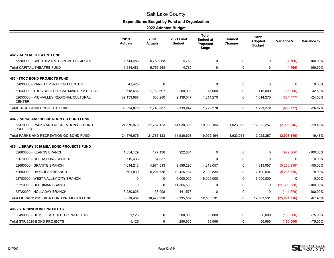# **Expenditures Budget by Fund and Organization**

|                                                                                                              | 2019<br><b>Actuals</b> | 2020<br><b>Actuals</b> | <b>2021 Final</b><br><b>Budget</b> | <b>Total</b><br><b>Budget at</b><br>Proposed<br><b>Stage</b> | Council<br><b>Changes</b> | 2022<br>Adopted<br><b>Budget</b> | Variance \$    | Variance %  |
|--------------------------------------------------------------------------------------------------------------|------------------------|------------------------|------------------------------------|--------------------------------------------------------------|---------------------------|----------------------------------|----------------|-------------|
| <b>482 - CAPITAL THEATRE FUND</b>                                                                            |                        |                        |                                    |                                                              |                           |                                  |                |             |
| 53200000 - CAP THEATRE CAPITAL PROJECTS                                                                      | 1,544,483              | 5,759,968              | 4,760                              | 0                                                            | 0                         | 0                                | (4,760)        | -100.00%    |
| <b>Total CAPITAL THEATRE FUND</b>                                                                            | 1,544,483              | 5,759,968              | 4,760                              | $\mathbf 0$                                                  | $\mathbf 0$               | $\mathbf 0$                      | (4,760)        | $-100.00\%$ |
| <b>483 - TRCC BOND PROJECTS FUND</b>                                                                         |                        |                        |                                    |                                                              |                           |                                  |                |             |
| 52630000 - PARKS OPERATIONS CENTER                                                                           | 41,425                 | $\mathbf 0$            | 0                                  | 0                                                            | 0                         | 0                                | 0              | 0.00%       |
| 52640000 - TRCC RELATED CAP MAINT PROJECTS                                                                   | 518,666                | 1,160,607              | 200,000                            | 115,000                                                      | 0                         | 115,000                          | (85,000)       | -42.50%     |
| 52650000 - MID-VALLEY REGIONAL CULTURAL<br><b>CENTER</b>                                                     | 39,133,987             | 583,280                | 2,139,047                          | 1,614,270                                                    | 0                         | 1,614,270                        | (524, 777)     | $-24.53%$   |
| <b>Total TRCC BOND PROJECTS FUND</b>                                                                         | 39,694,078             | 1,743,887              | 2,339,047                          | 1,729,270                                                    | $\mathbf{0}$              | 1,729,270                        | (609, 777)     | $-26.07%$   |
| <b>484 - PARKS AND RECREATION GO BOND FUND</b><br>55470000 - PARKS AND RECREATION GO BOND<br><b>PROJECTS</b> | 24,576,975             | 21,787,123             | 14,930,603                         | 10,999,194                                                   | 1,023,063                 | 12,022,257                       | (2,908,346)    | -19.48%     |
| <b>Total PARKS AND RECREATION GO BOND FUND</b>                                                               | 24,576,975             | 21,787,123             | 14,930,603                         | 10,999,194                                                   | 1,023,063                 | 12,022,257                       | (2,908,346)    | $-19.48%$   |
| 485 - LIBRARY 2019 MBA BOND PROJECTS FUND                                                                    |                        |                        |                                    |                                                              |                           |                                  |                |             |
| 52660000 - KEARNS BRANCH                                                                                     | 1,054,129              | 177,136                | 922,864                            | $\mathbf 0$                                                  | $\mathbf 0$               | $\mathbf 0$                      | (922, 864)     | -100.00%    |
| 52670000 - OPERATIONS CENTER                                                                                 | 719,433                | 84,637                 | 0                                  | $\mathbf 0$                                                  | 0                         | 0                                | 0              | 0.00%       |
| 52680000 - GRANITE BRANCH                                                                                    | 4,014,213              | 4,974,513              | 9,598,295                          | 4,313,057                                                    | 0                         | 4,313,057                        | (5,285,238)    | -55.06%     |
| 52690000 - DAYBREAK BRANCH                                                                                   | 601,830                | 5,204,636              | 10,426,184                         | 2,190,534                                                    | 0                         | 2,190,534                        | (8,235,650)    | -78.99%     |
| 52700000 - WEST VALLEY CITY BRANCH                                                                           | 0                      | 0                      | 6,000,000                          | 6,000,000                                                    | 0                         | 6,000,000                        | 0              | $0.00\%$    |
| 52710000 - HERRIMAN BRANCH                                                                                   | $\Omega$               | $\Omega$               | 11,306,588                         | 0                                                            | 0                         | 0                                | (11, 306, 588) | -100.00%    |
| 52720000 - HOLLADAY BRANCH                                                                                   | 3,280,826              | 38,998                 | 141,576                            | 0                                                            | 0                         | 0                                | (141, 576)     | -100.00%    |
| <b>Total LIBRARY 2019 MBA BOND PROJECTS FUND</b>                                                             | 9,670,432              | 10,479,920             | 38,395,507                         | 12,503,591                                                   | $\mathbf 0$               | 12,503,591                       | (25,891,916)   | $-67.43%$   |
| 486 - STR 2020 BOND PROJECTS                                                                                 |                        |                        |                                    |                                                              |                           |                                  |                |             |
| 55490000 - HOMELESS SHELTER PROJECTS                                                                         | 1.125                  | 0                      | 200,000                            | 50,000                                                       | $\mathbf 0$               | 50,000                           | (150,000)      | -75.00%     |
| <b>Total STR 2020 BOND PROJECTS</b>                                                                          | 1,125                  | 0                      | 200,000                            | 50,000                                                       | $\mathbf{0}$              | 50,000                           | (150,000)      | $-75.00%$   |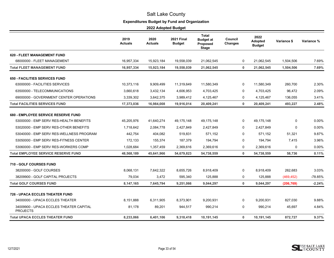# **Expenditures Budget by Fund and Organization**

|                                                            | 2019<br><b>Actuals</b> | 2020<br><b>Actuals</b> | <b>2021 Final</b><br><b>Budget</b> | Total<br><b>Budget at</b><br>Proposed<br><b>Stage</b> | Council<br><b>Changes</b> | 2022<br>Adopted<br><b>Budget</b> | Variance \$ | Variance % |
|------------------------------------------------------------|------------------------|------------------------|------------------------------------|-------------------------------------------------------|---------------------------|----------------------------------|-------------|------------|
| <b>620 - FLEET MANAGEMENT FUND</b>                         |                        |                        |                                    |                                                       |                           |                                  |             |            |
| 68000000 - FLEET MANAGEMENT                                | 16,957,334             | 15,923,184             | 19,558,039                         | 21,062,545                                            | 0                         | 21,062,545                       | 1,504,506   | 7.69%      |
| <b>Total FLEET MANAGEMENT FUND</b>                         | 16,957,334             | 15,923,184             | 19,558,039                         | 21,062,545                                            | 0                         | 21,062,545                       | 1,504,506   | 7.69%      |
| <b>650 - FACILITIES SERVICES FUND</b>                      |                        |                        |                                    |                                                       |                           |                                  |             |            |
| 63000000 - FACILITIES SERVICES                             | 10,373,116             | 9,909,499              | 11,319,649                         | 11,580,349                                            | 0                         | 11,580,349                       | 260,700     | 2.30%      |
| 63500000 - TELECOMMUNICATIONS                              | 3,660,618              | 3,432,134              | 4,606,953                          | 4,703,425                                             | 0                         | 4,703,425                        | 96,472      | 2.09%      |
| 69000000 - GOVERNMENT CENTER OPERATIONS                    | 3,339,302              | 3,642,375              | 3,989,412                          | 4,125,467                                             | 0                         | 4,125,467                        | 136,055     | 3.41%      |
| <b>Total FACILITIES SERVICES FUND</b>                      | 17,373,036             | 16,984,008             | 19,916,014                         | 20,409,241                                            | $\mathbf 0$               | 20,409,241                       | 493,227     | 2.48%      |
| <b>680 - EMPLOYEE SERVICE RESERVE FUND</b>                 |                        |                        |                                    |                                                       |                           |                                  |             |            |
| 53000000 - EMP SERV RES-HEALTH BENEFITS                    | 45,205,976             | 41,640,274             | 49, 175, 148                       | 49,175,148                                            | $\Omega$                  | 49,175,148                       | 0           | 0.00%      |
| 53020000 - EMP SERV RES-OTHER BENEFITS                     | 1,718,642              | 2,084,778              | 2,427,849                          | 2,427,849                                             | $\Omega$                  | 2,427,849                        | $\Omega$    | 0.00%      |
| 53040000 - EMP SERV RES-WELLNESS PROGRAM                   | 442,754                | 404,082                | 519,831                            | 571,152                                               | 0                         | 571,152                          | 51,321      | 9.87%      |
| 53050000 - EMP SERV RES-FITNESS CENTER                     | 172,133                | 155,374                | 187,379                            | 194,794                                               | $\mathbf 0$               | 194,794                          | 7,415       | 3.96%      |
| 53060000 - EMP SERV RES-WORKERS COMP                       | 1,028,684              | 1,357,459              | 2,369,616                          | 2,369,616                                             | 0                         | 2,369,616                        | 0           | 0.00%      |
| <b>Total EMPLOYEE SERVICE RESERVE FUND</b>                 | 48,568,189             | 45,641,966             | 54,679,823                         | 54,738,559                                            | $\mathbf 0$               | 54,738,559                       | 58,736      | 0.11%      |
| <b>710 - GOLF COURSES FUND</b>                             |                        |                        |                                    |                                                       |                           |                                  |             |            |
| 38200000 - GOLF COURSES                                    | 8,068,131              | 7,642,322              | 8,655,726                          | 8,918,409                                             | 0                         | 8,918,409                        | 262,683     | 3.03%      |
| 38209900 - GOLF CAPITAL PROJECTS                           | 79,034                 | 3,472                  | 595,340                            | 125,888                                               | 0                         | 125,888                          | (469, 452)  | -78.85%    |
| <b>Total GOLF COURSES FUND</b>                             | 8,147,165              | 7,645,794              | 9,251,066                          | 9,044,297                                             | $\mathbf{0}$              | 9,044,297                        | (206, 769)  | $-2.24%$   |
| <b>726 - UPACA ECCLES THEATER FUND</b>                     |                        |                        |                                    |                                                       |                           |                                  |             |            |
| 34000000 - UPACA ECCLES THEATER                            | 8,151,888              | 6,311,905              | 8,373,901                          | 9,200,931                                             | $\mathbf 0$               | 9,200,931                        | 827,030     | 9.88%      |
| 34009900 - UPACA ECCLES THEATER CAPITAL<br><b>PROJECTS</b> | 81,178                 | 89,201                 | 944,517                            | 990,214                                               | 0                         | 990,214                          | 45,697      | 4.84%      |
| <b>Total UPACA ECCLES THEATER FUND</b>                     | 8,233,066              | 6,401,106              | 9,318,418                          | 10,191,145                                            | $\mathbf 0$               | 10,191,145                       | 872,727     | 9.37%      |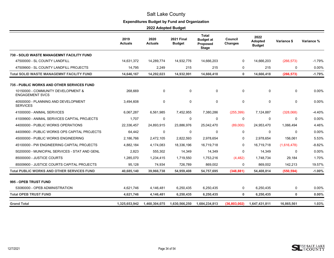# **Expenditures Budget by Fund and Organization**

|                                                              | 2019<br><b>Actuals</b> | 2020<br><b>Actuals</b> | <b>2021 Final</b><br><b>Budget</b> | <b>Total</b><br><b>Budget at</b><br><b>Proposed</b><br><b>Stage</b> | Council<br><b>Changes</b> | 2022<br><b>Adopted</b><br><b>Budget</b> | Variance \$ | Variance % |
|--------------------------------------------------------------|------------------------|------------------------|------------------------------------|---------------------------------------------------------------------|---------------------------|-----------------------------------------|-------------|------------|
| 730 - SOLID WASTE MANAGEMNT FACILITY FUND                    |                        |                        |                                    |                                                                     |                           |                                         |             |            |
| 47500000 - SL COUNTY LANDFILL                                | 14,631,372             | 14,289,774             | 14,932,776                         | 14,666,203                                                          | $\Omega$                  | 14,666,203                              | (266, 573)  | $-1.79%$   |
| 47509900 - SL COUNTY LANDFILL PROJECTS                       | 14,795                 | 2,249                  | 215                                | 215                                                                 | 0                         | 215                                     | 0           | 0.00%      |
| <b>Total SOLID WASTE MANAGEMNT FACILITY FUND</b>             | 14,646,167             | 14,292,023             | 14,932,991                         | 14,666,418                                                          | $\mathbf 0$               | 14,666,418                              | (266, 573)  | $-1.79%$   |
| 735 - PUBLIC WORKS AND OTHER SERVICES FUND                   |                        |                        |                                    |                                                                     |                           |                                         |             |            |
| 10150000 - COMMUNITY DEVELOPMENT &<br><b>ENGAGEMENT SVCS</b> | 268,669                | $\mathbf 0$            | $\mathbf 0$                        | 0                                                                   | $\mathbf 0$               | $\mathbf 0$                             | 0           | 0.00%      |
| 40500000 - PLANNING AND DEVELOPMENT<br><b>SERVICES</b>       | 3,494,608              | $\mathbf 0$            | $\mathbf 0$                        | $\mathbf 0$                                                         | $\mathbf 0$               | $\mathbf 0$                             | $\mathbf 0$ | 0.00%      |
| 41000000 - ANIMAL SERVICES                                   | 6,067,287              | 6,561,985              | 7,452,955                          | 7,380,286                                                           | (255, 399)                | 7,124,887                               | (328,068)   | $-4.40%$   |
| 41009900 - ANIMAL SERVICES CAPITAL PROJECTS                  | 1,707                  | $\mathbf 0$            | $\mathbf 0$                        | 0                                                                   | 0                         | $\mathbf 0$                             | 0           | 0.00%      |
| 44000000 - PUBLIC WORKS OPERATIONS                           | 22,336,457             | 24,893,915             | 23,886,976                         | 25,042,470                                                          | (89,000)                  | 24,953,470                              | 1,066,494   | 4.46%      |
| 44009900 - PUBLIC WORKS OPS CAPITAL PROJECTS                 | 64,442                 | 0                      | 0                                  | 0                                                                   | $\Omega$                  | $\Omega$                                | 0           | 0.00%      |
| 45000000 - PUBLIC WORKS ENGINEERING                          | 2,186,766              | 2,472,105              | 2,822,593                          | 2,978,654                                                           | 0                         | 2,978,654                               | 156,061     | 5.53%      |
| 45100000 - PW ENGINEERING CAPITAL PROJECTS                   | 4,882,184              | 4,174,083              | 18,336,196                         | 16,719,718                                                          | 0                         | 16,719,718                              | (1,616,478) | $-8.82%$   |
| 50200000 - MUNICIPAL SERVICES - STAT AND GENL                | 2,823                  | 555,302                | 14,349                             | 14,349                                                              | $\Omega$                  | 14,349                                  | 0           | $0.00\%$   |
| 85000000 - JUSTICE COURTS                                    | 1,285,070              | 1,234,415              | 1,719,550                          | 1,753,216                                                           | (4, 482)                  | 1,748,734                               | 29,184      | 1.70%      |
| 85009900 - JUSTICE COURTS CAPITAL PROJECTS                   | 95,128                 | 74,934                 | 726,789                            | 869,002                                                             | 0                         | 869,002                                 | 142,213     | 19.57%     |
| <b>Total PUBLIC WORKS AND OTHER SERVICES FUND</b>            | 40,685,140             | 39,966,738             | 54,959,408                         | 54,757,695                                                          | (348, 881)                | 54,408,814                              | (550, 594)  | $-1.00%$   |
| 995 - OPEB TRUST FUND                                        |                        |                        |                                    |                                                                     |                           |                                         |             |            |
| 53080000 - OPEB ADMINISTRATION                               | 4,621,746              | 4,146,481              | 6,250,435                          | 6,250,435                                                           | 0                         | 6,250,435                               | 0           | 0.00%      |
| <b>Total OPEB TRUST FUND</b>                                 | 4,621,746              | 4,146,481              | 6,250,435                          | 6,250,435                                                           | $\mathbf 0$               | 6,250,435                               | $\mathbf 0$ | 0.00%      |
| <b>Grand Total</b>                                           | 1,325,653,942          | 1,460,304,075          | 1,630,566,250                      | 1,684,234,813                                                       | (36,803,002)              | 1,647,431,811                           | 16,865,561  | 1.03%      |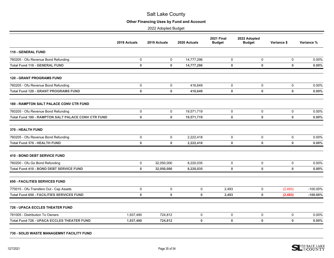# **Other Financing Uses by Fund and Account**

2022 Adopted Budget

<span id="page-35-0"></span>

|                                                           | 2018 Actuals | 2019 Actuals | 2020 Actuals | <b>2021 Final</b><br><b>Budget</b> | 2022 Adopted<br><b>Budget</b> | Variance \$ | Variance %  |
|-----------------------------------------------------------|--------------|--------------|--------------|------------------------------------|-------------------------------|-------------|-------------|
| <b>110 - GENERAL FUND</b>                                 |              |              |              |                                    |                               |             |             |
| 760205 - Ofu Revenue Bond Refunding                       | 0            | 0            | 14,777,296   | 0                                  | 0                             | 0           | 0.00%       |
| <b>Total Fund 110 - GENERAL FUND</b>                      | $\bf{0}$     | $\mathbf 0$  | 14,777,296   | $\mathbf 0$                        | $\mathbf 0$                   | $\mathbf 0$ | 0.00%       |
| <b>120 - GRANT PROGRAMS FUND</b>                          |              |              |              |                                    |                               |             |             |
| 760205 - Ofu Revenue Bond Refunding                       | 0            | 0            | 416,649      | 0                                  | 0                             | 0           | 0.00%       |
| <b>Total Fund 120 - GRANT PROGRAMS FUND</b>               | $\mathbf 0$  | $\mathbf 0$  | 416,649      | $\mathbf 0$                        | 0                             | $\mathbf 0$ | 0.00%       |
| <b>180 - RAMPTON SALT PALACE CONV CTR FUND</b>            |              |              |              |                                    |                               |             |             |
| 760205 - Ofu Revenue Bond Refunding                       | 0            | $\mathbf 0$  | 19,571,719   | $\Omega$                           | 0                             | 0           | 0.00%       |
| <b>Total Fund 180 - RAMPTON SALT PALACE CONV CTR FUND</b> | $\pmb{0}$    | $\mathbf 0$  | 19,571,719   | $\mathbf 0$                        | 0                             | $\mathbf 0$ | 0.00%       |
| 370 - HEALTH FUND                                         |              |              |              |                                    |                               |             |             |
| 760205 - Ofu Revenue Bond Refunding                       | $\mathbf 0$  | $\mathbf 0$  | 2.222.418    | 0                                  | 0                             | 0           | 0.00%       |
| <b>Total Fund 370 - HEALTH FUND</b>                       | $\mathbf 0$  | 0            | 2,222,418    | $\mathbf 0$                        | 0                             | $\mathbf 0$ | 0.00%       |
| <b>410 - BOND DEBT SERVICE FUND</b>                       |              |              |              |                                    |                               |             |             |
| 760200 - Ofu Go Bond Refunding                            | $\mathbf 0$  | 32,050,000   | 8,220,035    | 0                                  | 0                             | $\mathbf 0$ | 0.00%       |
| Total Fund 410 - BOND DEBT SERVICE FUND                   | $\mathbf 0$  | 32,050,000   | 8,220,035    | 0                                  | 0                             | $\mathbf 0$ | 0.00%       |
| <b>650 - FACILITIES SERVICES FUND</b>                     |              |              |              |                                    |                               |             |             |
| 770015 - Ofu Transfers Out - Cap Assets                   | 0            | $\mathbf 0$  | $\mathbf 0$  | 2,493                              | $\mathbf 0$                   | (2, 493)    | $-100.00\%$ |
| <b>Total Fund 650 - FACILITIES SERVICES FUND</b>          | $\mathbf 0$  | $\mathbf 0$  | $\mathbf 0$  | 2,493                              | 0                             | (2, 493)    | $-100.00\%$ |
| <b>726 - UPACA ECCLES THEATER FUND</b>                    |              |              |              |                                    |                               |             |             |
| 781005 - Distribution To Owners                           | 1,937,490    | 724,812      | 0            | 0                                  | 0                             | 0           | 0.00%       |
| <b>Total Fund 726 - UPACA ECCLES THEATER FUND</b>         | 1,937,490    | 724,812      | 0            | $\mathbf 0$                        | $\mathbf 0$                   | $\mathbf 0$ | 0.00%       |
|                                                           |              |              |              |                                    |                               |             |             |

#### **730 - SOLID WASTE MANAGEMNT FACILITY FUND**

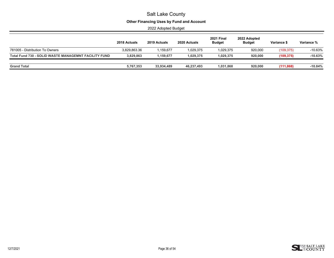# **Other Financing Uses by Fund and Account**

|                                                             | 2018 Actuals | 2019 Actuals | 2020 Actuals | <b>2021 Final</b><br><b>Budget</b> | 2022 Adopted<br><b>Budget</b> | Variance \$ | Variance % |
|-------------------------------------------------------------|--------------|--------------|--------------|------------------------------------|-------------------------------|-------------|------------|
| 781005 - Distribution To Owners                             | 3.829.863.36 | 1,159,677    | 1,029,375    | 1,029,375                          | 920,000                       | (109, 375)  | $-10.63%$  |
| <b>Total Fund 730 - SOLID WASTE MANAGEMNT FACILITY FUND</b> | 3,829,863    | 1,159,677    | 1,029,375    | 1,029,375                          | 920.000                       | (109, 375)  | $-10.63%$  |
| <b>Grand Total</b>                                          | 5,767,353    | 33.934.489   | 46.237.493   | 1,031,868                          | 920,000                       | (111, 868)  | $-10.84%$  |

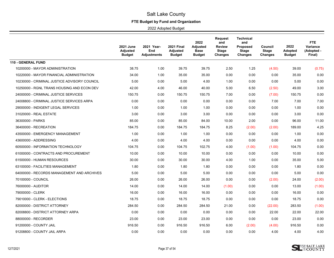# **FTE Budget by Fund and Organization**

<span id="page-37-0"></span>

|                                              | <b>2021 June</b><br>Adjusted<br><b>Budget</b> | 2021 Year-<br>End<br><b>Adjustments</b> | 2021 Final<br><b>Adjusted</b><br><b>Budget</b> | 2022<br>Adjusted<br><b>Base</b><br><b>Budget</b> | <b>Request</b><br>and<br><b>Review</b><br><b>Stage</b><br><b>Changes</b> | Technical<br>and<br><b>Proposed</b><br><b>Stage</b><br><b>Changes</b> | Council<br><b>Stage</b><br><b>Changes</b> | 2022<br><b>Adopted</b><br><b>Budget</b> | FTE<br>Variance<br>(Adopted -<br>Final) |
|----------------------------------------------|-----------------------------------------------|-----------------------------------------|------------------------------------------------|--------------------------------------------------|--------------------------------------------------------------------------|-----------------------------------------------------------------------|-------------------------------------------|-----------------------------------------|-----------------------------------------|
| <b>110 - GENERAL FUND</b>                    |                                               |                                         |                                                |                                                  |                                                                          |                                                                       |                                           |                                         |                                         |
| 10200000 - MAYOR ADMINISTRATION              | 38.75                                         | 1.00                                    | 39.75                                          | 39.75                                            | 2.50                                                                     | 1.25                                                                  | (4.50)                                    | 39.00                                   | (0.75)                                  |
| 10220000 - MAYOR FINANCIAL ADMINISTRATION    | 34.00                                         | 1.00                                    | 35.00                                          | 35.00                                            | 0.00                                                                     | 0.00                                                                  | 0.00                                      | 35.00                                   | 0.00                                    |
| 10230000 - CRIMINAL JUSTICE ADVISORY COUNCIL | 5.00                                          | 0.00                                    | 5.00                                           | 4.00                                             | 1.00                                                                     | 0.00                                                                  | 0.00                                      | 5.00                                    | 0.00                                    |
| 10250000 - RGNL TRANS HOUSING AND ECON DEV   | 42.00                                         | 4.00                                    | 46.00                                          | 40.00                                            | 5.00                                                                     | 6.50                                                                  | (2.50)                                    | 49.00                                   | 3.00                                    |
| 24000000 - CRIMINAL JUSTICE SERVICES         | 150.75                                        | 0.00                                    | 150.75                                         | 150.75                                           | 7.00                                                                     | 0.00                                                                  | (7.00)                                    | 150.75                                  | 0.00                                    |
| 24008800 - CRIMINAL JUSTICE SERVICES ARPA    | 0.00                                          | 0.00                                    | 0.00                                           | 0.00                                             | 0.00                                                                     | 0.00                                                                  | 7.00                                      | 7.00                                    | 7.00                                    |
| 29000000 - INDIGENT LEGAL SERVICES           | 1.00                                          | 0.00                                    | 1.00                                           | 1.00                                             | 0.00                                                                     | 0.00                                                                  | 0.00                                      | 1.00                                    | 0.00                                    |
| 31020000 - REAL ESTATE                       | 3.00                                          | 0.00                                    | 3.00                                           | 3.00                                             | 0.00                                                                     | 0.00                                                                  | 0.00                                      | 3.00                                    | 0.00                                    |
| 36300000 - PARKS                             | 85.00                                         | 0.00                                    | 85.00                                          | 84.00                                            | 10.00                                                                    | 2.00                                                                  | 0.00                                      | 96.00                                   | 11.00                                   |
| 36400000 - RECREATION                        | 184.75                                        | 0.00                                    | 184.75                                         | 184.75                                           | 8.25                                                                     | (2.00)                                                                | (2.00)                                    | 189.00                                  | 4.25                                    |
| 43500000 - EMERGENCY MANAGEMENT              | 1.00                                          | 0.00                                    | 1.00                                           | 1.00                                             | 0.00                                                                     | 0.00                                                                  | 0.00                                      | 1.00                                    | 0.00                                    |
| 43600000 - ADDRESSING                        | 4.00                                          | 0.00                                    | 4.00                                           | 4.00                                             | 0.00                                                                     | 0.00                                                                  | 0.00                                      | 4.00                                    | 0.00                                    |
| 60500000 - INFORMATION TECHNOLOGY            | 104.75                                        | 0.00                                    | 104.75                                         | 102.75                                           | 4.00                                                                     | (1.00)                                                                | (1.00)                                    | 104.75                                  | 0.00                                    |
| 61000000 - CONTRACTS AND PROCUREMENT         | 10.00                                         | 0.00                                    | 10.00                                          | 10.00                                            | 0.00                                                                     | 0.00                                                                  | 0.00                                      | 10.00                                   | 0.00                                    |
| 61500000 - HUMAN RESOURCES                   | 30.00                                         | 0.00                                    | 30.00                                          | 30.00                                            | 4.00                                                                     | 1.00                                                                  | 0.00                                      | 35.00                                   | 5.00                                    |
| 63100000 - FACILITIES MANAGEMENT             | 1.80                                          | 0.00                                    | 1.80                                           | 1.80                                             | 0.00                                                                     | 0.00                                                                  | 0.00                                      | 1.80                                    | 0.00                                    |
| 64000000 - RECORDS MANAGEMENT AND ARCHIVES   | 5.00                                          | 0.00                                    | 5.00                                           | 5.00                                             | 0.00                                                                     | 0.00                                                                  | 0.00                                      | 5.00                                    | 0.00                                    |
| 70100000 - COUNCIL                           | 26.00                                         | 0.00                                    | 26.00                                          | 26.00                                            | 0.00                                                                     | 0.00                                                                  | (2.00)                                    | 24.00                                   | (2.00)                                  |
| 76000000 - AUDITOR                           | 14.00                                         | 0.00                                    | 14.00                                          | 14.00                                            | (1.00)                                                                   | 0.00                                                                  | 0.00                                      | 13.00                                   | (1.00)                                  |
| 79000000 - CLERK                             | 16.00                                         | 0.00                                    | 16.00                                          | 16.00                                            | 0.00                                                                     | 0.00                                                                  | 0.00                                      | 16.00                                   | 0.00                                    |
| 79010000 - CLERK - ELECTIONS                 | 18.75                                         | 0.00                                    | 18.75                                          | 18.75                                            | 0.00                                                                     | 0.00                                                                  | 0.00                                      | 18.75                                   | 0.00                                    |
| 82000000 - DISTRICT ATTORNEY                 | 284.50                                        | 0.00                                    | 284.50                                         | 284.50                                           | 21.00                                                                    | 0.00                                                                  | (22.00)                                   | 283.50                                  | (1.00)                                  |
| 82008800 - DISTRICT ATTORNEY ARPA            | 0.00                                          | 0.00                                    | 0.00                                           | 0.00                                             | 0.00                                                                     | 0.00                                                                  | 22.00                                     | 22.00                                   | 22.00                                   |
| 88000000 - RECORDER                          | 23.00                                         | 0.00                                    | 23.00                                          | 23.00                                            | 0.00                                                                     | 0.00                                                                  | 0.00                                      | 23.00                                   | 0.00                                    |
| 91200000 - COUNTY JAIL                       | 916.50                                        | 0.00                                    | 916.50                                         | 916.50                                           | 6.00                                                                     | (2.00)                                                                | (4.00)                                    | 916.50                                  | 0.00                                    |
| 91208800 - COUNTY JAIL ARPA                  | 0.00                                          | 0.00                                    | 0.00                                           | 0.00                                             | 0.00                                                                     | 0.00                                                                  | 4.00                                      | 4.00                                    | 4.00                                    |

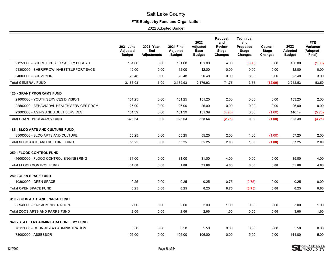# **FTE Budget by Fund and Organization**

|                                                 | <b>2021 June</b><br>Adjusted<br><b>Budget</b> | 2021 Year-<br>End<br><b>Adjustments</b> | <b>2021 Final</b><br>Adjusted<br><b>Budget</b> | 2022<br><b>Adjusted</b><br><b>Base</b><br><b>Budget</b> | <b>Request</b><br>and<br><b>Review</b><br><b>Stage</b><br><b>Changes</b> | <b>Technical</b><br>and<br>Proposed<br><b>Stage</b><br><b>Changes</b> | Council<br><b>Stage</b><br><b>Changes</b> | 2022<br>Adopted<br><b>Budget</b> | FTE<br>Variance<br>(Adopted -<br>Final) |
|-------------------------------------------------|-----------------------------------------------|-----------------------------------------|------------------------------------------------|---------------------------------------------------------|--------------------------------------------------------------------------|-----------------------------------------------------------------------|-------------------------------------------|----------------------------------|-----------------------------------------|
| 91250000 - SHERIFF PUBLIC SAFETY BUREAU         | 151.00                                        | 0.00                                    | 151.00                                         | 151.00                                                  | 4.00                                                                     | (5.00)                                                                | 0.00                                      | 150.00                           | (1.00)                                  |
| 91300000 - SHERIFF CW INVEST/SUPPORT SVCS       | 12.00                                         | 0.00                                    | 12.00                                          | 12.00                                                   | 0.00                                                                     | 0.00                                                                  | 0.00                                      | 12.00                            | 0.00                                    |
| 94000000 - SURVEYOR                             | 20.48                                         | 0.00                                    | 20.48                                          | 20.48                                                   | 0.00                                                                     | 3.00                                                                  | 0.00                                      | 23.48                            | 3.00                                    |
| <b>Total GENERAL FUND</b>                       | 2,183.03                                      | 6.00                                    | 2,189.03                                       | 2,179.03                                                | 71.75                                                                    | 3.75                                                                  | (12.00)                                   | 2,242.53                         | 53.50                                   |
| <b>120 - GRANT PROGRAMS FUND</b>                |                                               |                                         |                                                |                                                         |                                                                          |                                                                       |                                           |                                  |                                         |
| 21000000 - YOUTH SERVICES DIVISION              | 151.25                                        | 0.00                                    | 151.25                                         | 151.25                                                  | 2.00                                                                     | 0.00                                                                  | 0.00                                      | 153.25                           | 2.00                                    |
| 22500000 - BEHAVIORAL HEALTH SERVICES PRGM      | 26.00                                         | 0.00                                    | 26.00                                          | 26.00                                                   | 0.00                                                                     | 0.00                                                                  | 0.00                                      | 26.00                            | 0.00                                    |
| 23000000 - AGING AND ADULT SERVICES             | 151.39                                        | 0.00                                    | 151.39                                         | 151.39                                                  | (4.25)                                                                   | 0.00                                                                  | (1.00)                                    | 146.14                           | (5.25)                                  |
| <b>Total GRANT PROGRAMS FUND</b>                | 328.64                                        | 0.00                                    | 328.64                                         | 328.64                                                  | (2.25)                                                                   | 0.00                                                                  | (1.00)                                    | 325.39                           | (3.25)                                  |
| <b>185 - SLCO ARTS AND CULTURE FUND</b>         |                                               |                                         |                                                |                                                         |                                                                          |                                                                       |                                           |                                  |                                         |
| 35000000 - SLCO ARTS AND CULTURE                | 55.25                                         | 0.00                                    | 55.25                                          | 55.25                                                   | 2.00                                                                     | 1.00                                                                  | (1.00)                                    | 57.25                            | 2.00                                    |
| <b>Total SLCO ARTS AND CULTURE FUND</b>         | 55.25                                         | 0.00                                    | 55.25                                          | 55.25                                                   | 2.00                                                                     | 1.00                                                                  | (1.00)                                    | 57.25                            | 2.00                                    |
| <b>250 - FLOOD CONTROL FUND</b>                 |                                               |                                         |                                                |                                                         |                                                                          |                                                                       |                                           |                                  |                                         |
| 46000000 - FLOOD CONTROL ENGINEERING            | 31.00                                         | 0.00                                    | 31.00                                          | 31.00                                                   | 4.00                                                                     | 0.00                                                                  | 0.00                                      | 35.00                            | 4.00                                    |
| <b>Total FLOOD CONTROL FUND</b>                 | 31.00                                         | 0.00                                    | 31.00                                          | 31.00                                                   | 4.00                                                                     | 0.00                                                                  | 0.00                                      | 35.00                            | 4.00                                    |
| 280 - OPEN SPACE FUND                           |                                               |                                         |                                                |                                                         |                                                                          |                                                                       |                                           |                                  |                                         |
| 10800000 - OPEN SPACE                           | 0.25                                          | 0.00                                    | 0.25                                           | 0.25                                                    | 0.75                                                                     | (0.75)                                                                | 0.00                                      | 0.25                             | 0.00                                    |
| <b>Total OPEN SPACE FUND</b>                    | 0.25                                          | 0.00                                    | 0.25                                           | 0.25                                                    | 0.75                                                                     | (0.75)                                                                | 0.00                                      | 0.25                             | 0.00                                    |
| 310 - ZOOS ARTS AND PARKS FUND                  |                                               |                                         |                                                |                                                         |                                                                          |                                                                       |                                           |                                  |                                         |
| 35940000 - ZAP ADMINISTRATION                   | 2.00                                          | 0.00                                    | 2.00                                           | 2.00                                                    | 1.00                                                                     | 0.00                                                                  | 0.00                                      | 3.00                             | 1.00                                    |
| <b>Total ZOOS ARTS AND PARKS FUND</b>           | 2.00                                          | 0.00                                    | 2.00                                           | 2.00                                                    | 1.00                                                                     | 0.00                                                                  | 0.00                                      | 3.00                             | 1.00                                    |
| <b>340 - STATE TAX ADMINISTRATION LEVY FUND</b> |                                               |                                         |                                                |                                                         |                                                                          |                                                                       |                                           |                                  |                                         |
| 70110000 - COUNCIL-TAX ADMINISTRATION           | 5.50                                          | 0.00                                    | 5.50                                           | 5.50                                                    | 0.00                                                                     | 0.00                                                                  | 0.00                                      | 5.50                             | 0.00                                    |
| 73000000 - ASSESSOR                             | 106.00                                        | 0.00                                    | 106.00                                         | 106.00                                                  | 0.00                                                                     | 5.00                                                                  | 0.00                                      | 111.00                           | 5.00                                    |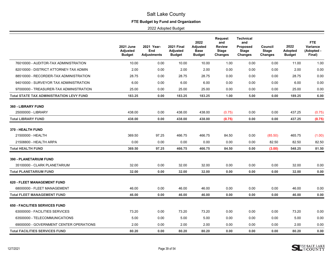# **FTE Budget by Fund and Organization**

|                                                 | <b>2021 June</b><br>Adjusted<br><b>Budget</b> | 2021 Year-<br>End<br><b>Adjustments</b> | <b>2021 Final</b><br>Adjusted<br><b>Budget</b> | 2022<br><b>Adjusted</b><br><b>Base</b><br><b>Budget</b> | <b>Request</b><br>and<br><b>Review</b><br><b>Stage</b><br><b>Changes</b> | <b>Technical</b><br>and<br>Proposed<br><b>Stage</b><br><b>Changes</b> | Council<br>Stage<br><b>Changes</b> | 2022<br><b>Adopted</b><br><b>Budget</b> | FTE<br>Variance<br>(Adopted -<br>Final) |
|-------------------------------------------------|-----------------------------------------------|-----------------------------------------|------------------------------------------------|---------------------------------------------------------|--------------------------------------------------------------------------|-----------------------------------------------------------------------|------------------------------------|-----------------------------------------|-----------------------------------------|
| 76010000 - AUDITOR-TAX ADMINISTRATION           | 10.00                                         | 0.00                                    | 10.00                                          | 10.00                                                   | 1.00                                                                     | 0.00                                                                  | 0.00                               | 11.00                                   | 1.00                                    |
| 82010000 - DISTRICT ATTORNEY-TAX ADMIN          | 2.00                                          | 0.00                                    | 2.00                                           | 2.00                                                    | 0.00                                                                     | 0.00                                                                  | 0.00                               | 2.00                                    | 0.00                                    |
| 88510000 - RECORDER-TAX ADMINISTRATION          | 28.75                                         | 0.00                                    | 28.75                                          | 28.75                                                   | 0.00                                                                     | 0.00                                                                  | 0.00                               | 28.75                                   | 0.00                                    |
| 94010000 - SURVEYOR TAX ADMINISTRATION          | 6.00                                          | 0.00                                    | 6.00                                           | 6.00                                                    | 0.00                                                                     | 0.00                                                                  | 0.00                               | 6.00                                    | 0.00                                    |
| 97000000 - TREASURER-TAX ADMINISTRATION         | 25.00                                         | 0.00                                    | 25.00                                          | 25.00                                                   | 0.00                                                                     | 0.00                                                                  | 0.00                               | 25.00                                   | 0.00                                    |
| <b>Total STATE TAX ADMINISTRATION LEVY FUND</b> | 183.25                                        | 0.00                                    | 183.25                                         | 183.25                                                  | 1.00                                                                     | 5.00                                                                  | 0.00                               | 189.25                                  | 6.00                                    |
| 360 - LIBRARY FUND                              |                                               |                                         |                                                |                                                         |                                                                          |                                                                       |                                    |                                         |                                         |
| 25000000 - LIBRARY                              | 438.00                                        | 0.00                                    | 438.00                                         | 438.00                                                  | (0.75)                                                                   | 0.00                                                                  | 0.00                               | 437.25                                  | (0.75)                                  |
| <b>Total LIBRARY FUND</b>                       | 438.00                                        | 0.00                                    | 438.00                                         | 438.00                                                  | (0.75)                                                                   | 0.00                                                                  | 0.00                               | 437.25                                  | (0.75)                                  |
| 370 - HEALTH FUND                               |                                               |                                         |                                                |                                                         |                                                                          |                                                                       |                                    |                                         |                                         |
| 21500000 - HEALTH                               | 369.50                                        | 97.25                                   | 466.75                                         | 466.75                                                  | 84.50                                                                    | 0.00                                                                  | (85.50)                            | 465.75                                  | (1.00)                                  |
| 21508800 - HEALTH ARPA                          | 0.00                                          | 0.00                                    | 0.00                                           | 0.00                                                    | 0.00                                                                     | 0.00                                                                  | 82.50                              | 82.50                                   | 82.50                                   |
| <b>Total HEALTH FUND</b>                        | 369.50                                        | 97.25                                   | 466.75                                         | 466.75                                                  | 84.50                                                                    | 0.00                                                                  | (3.00)                             | 548.25                                  | 81.50                                   |
| <b>390 - PLANETARIUM FUND</b>                   |                                               |                                         |                                                |                                                         |                                                                          |                                                                       |                                    |                                         |                                         |
| 35100000 - CLARK PLANETARIUM                    | 32.00                                         | 0.00                                    | 32.00                                          | 32.00                                                   | 0.00                                                                     | 0.00                                                                  | 0.00                               | 32.00                                   | 0.00                                    |
| <b>Total PLANETARIUM FUND</b>                   | 32.00                                         | 0.00                                    | 32.00                                          | 32.00                                                   | 0.00                                                                     | 0.00                                                                  | 0.00                               | 32.00                                   | 0.00                                    |
| <b>620 - FLEET MANAGEMENT FUND</b>              |                                               |                                         |                                                |                                                         |                                                                          |                                                                       |                                    |                                         |                                         |
| 68000000 - FLEET MANAGEMENT                     | 46.00                                         | 0.00                                    | 46.00                                          | 46.00                                                   | 0.00                                                                     | 0.00                                                                  | 0.00                               | 46.00                                   | 0.00                                    |
| <b>Total FLEET MANAGEMENT FUND</b>              | 46.00                                         | 0.00                                    | 46.00                                          | 46.00                                                   | 0.00                                                                     | 0.00                                                                  | 0.00                               | 46.00                                   | 0.00                                    |
| <b>650 - FACILITIES SERVICES FUND</b>           |                                               |                                         |                                                |                                                         |                                                                          |                                                                       |                                    |                                         |                                         |
| 63000000 - FACILITIES SERVICES                  | 73.20                                         | 0.00                                    | 73.20                                          | 73.20                                                   | 0.00                                                                     | 0.00                                                                  | 0.00                               | 73.20                                   | 0.00                                    |
| 63500000 - TELECOMMUNICATIONS                   | 5.00                                          | 0.00                                    | 5.00                                           | 5.00                                                    | 0.00                                                                     | 0.00                                                                  | 0.00                               | 5.00                                    | 0.00                                    |
| 69000000 - GOVERNMENT CENTER OPERATIONS         | 2.00                                          | 0.00                                    | 2.00                                           | 2.00                                                    | 0.00                                                                     | 0.00                                                                  | 0.00                               | 2.00                                    | 0.00                                    |
| <b>Total FACILITIES SERVICES FUND</b>           | 80.20                                         | 0.00                                    | 80.20                                          | 80.20                                                   | 0.00                                                                     | 0.00                                                                  | 0.00                               | 80.20                                   | 0.00                                    |

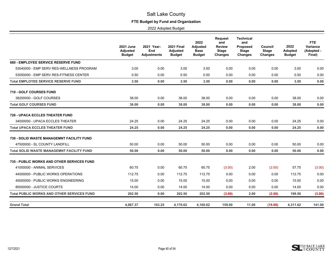# **FTE Budget by Fund and Organization**

|                                                   | <b>2021 June</b><br>Adjusted<br><b>Budget</b> | 2021 Year-<br>End<br><b>Adjustments</b> | <b>2021 Final</b><br>Adjusted<br><b>Budget</b> | 2022<br><b>Adjusted</b><br><b>Base</b><br><b>Budget</b> | <b>Request</b><br>and<br><b>Review</b><br><b>Stage</b><br><b>Changes</b> | <b>Technical</b><br>and<br>Proposed<br><b>Stage</b><br><b>Changes</b> | Council<br><b>Stage</b><br><b>Changes</b> | 2022<br>Adopted<br><b>Budget</b> | FTE.<br>Variance<br>(Adopted -<br>Final) |
|---------------------------------------------------|-----------------------------------------------|-----------------------------------------|------------------------------------------------|---------------------------------------------------------|--------------------------------------------------------------------------|-----------------------------------------------------------------------|-------------------------------------------|----------------------------------|------------------------------------------|
| 680 - EMPLOYEE SERVICE RESERVE FUND               |                                               |                                         |                                                |                                                         |                                                                          |                                                                       |                                           |                                  |                                          |
| 53040000 - EMP SERV RES-WELLNESS PROGRAM          | 3.00                                          | 0.00                                    | 3.00                                           | 3.00                                                    | 0.00                                                                     | 0.00                                                                  | 0.00                                      | 3.00                             | 0.00                                     |
| 53050000 - EMP SERV RES-FITNESS CENTER            | 0.50                                          | 0.00                                    | 0.50                                           | 0.50                                                    | 0.00                                                                     | 0.00                                                                  | 0.00                                      | 0.50                             | 0.00                                     |
| <b>Total EMPLOYEE SERVICE RESERVE FUND</b>        | 3.50                                          | 0.00                                    | 3.50                                           | 3.50                                                    | 0.00                                                                     | 0.00                                                                  | 0.00                                      | 3.50                             | 0.00                                     |
| <b>710 - GOLF COURSES FUND</b>                    |                                               |                                         |                                                |                                                         |                                                                          |                                                                       |                                           |                                  |                                          |
| 38200000 - GOLF COURSES                           | 38.00                                         | 0.00                                    | 38.00                                          | 38.00                                                   | 0.00                                                                     | 0.00                                                                  | 0.00                                      | 38.00                            | 0.00                                     |
| <b>Total GOLF COURSES FUND</b>                    | 38.00                                         | 0.00                                    | 38.00                                          | 38.00                                                   | 0.00                                                                     | 0.00                                                                  | 0.00                                      | 38.00                            | 0.00                                     |
| <b>726 - UPACA ECCLES THEATER FUND</b>            |                                               |                                         |                                                |                                                         |                                                                          |                                                                       |                                           |                                  |                                          |
| 34000000 - UPACA ECCLES THEATER                   | 24.25                                         | 0.00                                    | 24.25                                          | 24.25                                                   | 0.00                                                                     | 0.00                                                                  | 0.00                                      | 24.25                            | 0.00                                     |
| <b>Total UPACA ECCLES THEATER FUND</b>            | 24.25                                         | 0.00                                    | 24.25                                          | 24.25                                                   | 0.00                                                                     | 0.00                                                                  | 0.00                                      | 24.25                            | 0.00                                     |
| 730 - SOLID WASTE MANAGEMNT FACILITY FUND         |                                               |                                         |                                                |                                                         |                                                                          |                                                                       |                                           |                                  |                                          |
| 47500000 - SL COUNTY LANDFILL                     | 50.00                                         | 0.00                                    | 50.00                                          | 50.00                                                   | 0.00                                                                     | 0.00                                                                  | 0.00                                      | 50.00                            | 0.00                                     |
| <b>Total SOLID WASTE MANAGEMNT FACILITY FUND</b>  | 50.00                                         | 0.00                                    | 50.00                                          | 50.00                                                   | 0.00                                                                     | 0.00                                                                  | 0.00                                      | 50.00                            | 0.00                                     |
| 735 - PUBLIC WORKS AND OTHER SERVICES FUND        |                                               |                                         |                                                |                                                         |                                                                          |                                                                       |                                           |                                  |                                          |
| 41000000 - ANIMAL SERVICES                        | 60.75                                         | 0.00                                    | 60.75                                          | 60.75                                                   | (3.00)                                                                   | 2.00                                                                  | (2.00)                                    | 57.75                            | (3.00)                                   |
| 44000000 - PUBLIC WORKS OPERATIONS                | 112.75                                        | 0.00                                    | 112.75                                         | 112.75                                                  | 0.00                                                                     | 0.00                                                                  | 0.00                                      | 112.75                           | 0.00                                     |
| 45000000 - PUBLIC WORKS ENGINEERING               | 15.00                                         | 0.00                                    | 15.00                                          | 15.00                                                   | 0.00                                                                     | 0.00                                                                  | 0.00                                      | 15.00                            | 0.00                                     |
| 85000000 - JUSTICE COURTS                         | 14.00                                         | 0.00                                    | 14.00                                          | 14.00                                                   | 0.00                                                                     | 0.00                                                                  | 0.00                                      | 14.00                            | 0.00                                     |
| <b>Total PUBLIC WORKS AND OTHER SERVICES FUND</b> | 202.50                                        | 0.00                                    | 202.50                                         | 202.50                                                  | (3.00)                                                                   | 2.00                                                                  | (2.00)                                    | 199.50                           | (3.00)                                   |
| <b>Grand Total</b>                                | 4,067.37                                      | 103.25                                  | 4,170.62                                       | 4,160.62                                                | 159.00                                                                   | 11.00                                                                 | (19.00)                                   | 4,311.62                         | 141.00                                   |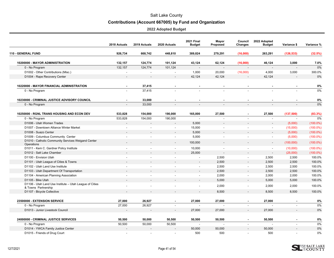# **Contributions (Account 667005) by Fund and Organization**

<span id="page-41-0"></span>

|                                                                                | 2018 Actuals             | 2019 Actuals             | 2020 Actuals             | <b>2021 Final</b><br><b>Budget</b> | Mayor<br>Proposed        | Council<br>Changes       | 2022 Adopted<br><b>Budget</b> | Variance \$              | Variance %  |
|--------------------------------------------------------------------------------|--------------------------|--------------------------|--------------------------|------------------------------------|--------------------------|--------------------------|-------------------------------|--------------------------|-------------|
| 110 - GENERAL FUND                                                             | 926,734                  | 668,742                  | 448,810                  | 389,824                            | 279,291                  | (16,000)                 | 263,291                       | (126, 533)               | (32.5%)     |
| 10200000 - MAYOR ADMINISTRATION                                                | 132,157                  | 124,774                  | 101,124                  | 43,124                             | 62,124                   | (16,000)                 | 46,124                        | 3,000                    | 7.0%        |
| 0 - No Program                                                                 | 132,157                  | 124,774                  | 101,124                  |                                    |                          |                          |                               |                          | 0%          |
| D1002 - Other Contributions (Misc.)                                            | $\overline{a}$           | $\ddot{\phantom{a}}$     | $\mathbf{r}$             | 1,000                              | 20,000                   | (16,000)                 | 4,000                         | 3,000                    | 300.0%      |
| D1004 - Rape Recovery Center                                                   | $\overline{\phantom{0}}$ |                          | $\blacksquare$           | 42,124                             | 42,124                   |                          | 42,124                        |                          | 0%          |
| <b>10220000 - MAYOR FINANCIAL ADMINISTRATION</b>                               |                          | 37,415                   |                          |                                    |                          |                          |                               |                          | 0%          |
| 0 - No Program                                                                 |                          | 37,415                   |                          |                                    |                          |                          |                               |                          | 0%          |
| 10230000 - CRIMINAL JUSTICE ADVISORY COUNCIL                                   |                          | 33,000                   |                          |                                    |                          |                          |                               |                          | 0%          |
| 0 - No Program                                                                 |                          | 33,000                   |                          |                                    |                          |                          |                               |                          | 0%          |
| 10250000 - RGNL TRANS HOUSING AND ECON DEV                                     | 533,828                  | 154,000                  | 190,000                  | 165,000                            | 27,500                   | $\blacksquare$           | 27,500                        | (137, 500)               | (83.3%)     |
| 0 - No Program                                                                 | 533,828                  | 154,000                  | 190,000                  | $\overline{\phantom{a}}$           | $\overline{\phantom{a}}$ |                          | $\blacksquare$                | $\sim$                   | 0%          |
| D1006 - Utah Women Trades                                                      |                          |                          |                          | 5,000                              |                          |                          |                               | (5,000)                  | $(100.0\%)$ |
| D1007 - Downtown Alliance Winter Market                                        | $\sim$                   | $\overline{a}$           | $\overline{a}$           | 15,000                             | $\sim$                   | ÷.                       | $\sim$                        | (15,000)                 | $(100.0\%)$ |
| D1008 - Suazo Center                                                           |                          |                          | $\blacksquare$           | 5,000                              |                          |                          | $\overline{\phantom{a}}$      | (5,000)                  | $(100.0\%)$ |
| D1009 - Columbus Community Center                                              | $\overline{a}$           |                          | $\ddot{\phantom{a}}$     | 5,000                              | $\ddot{\phantom{a}}$     | $\overline{a}$           | $\blacksquare$                | (5,000)                  | $(100.0\%)$ |
| D1010 - Catholic Community Services Weigand Center<br>Operations               |                          |                          | $\blacksquare$           | 100,000                            | $\overline{\phantom{a}}$ | $\overline{\phantom{a}}$ | $\overline{\phantom{a}}$      | (100,000)                | $(100.0\%)$ |
| D1011 - Kem C. Gardner Policy Institute                                        | $\blacksquare$           | $\overline{\phantom{a}}$ | $\overline{\phantom{a}}$ | 10,000                             | $\blacksquare$           | $\overline{\phantom{a}}$ | $\overline{\phantom{a}}$      | (10,000)                 | $(100.0\%)$ |
| D1012 - Salt Lake Chamber                                                      |                          |                          | $\overline{\phantom{a}}$ | 25,000                             | $\overline{a}$           |                          | $\blacksquare$                | (25,000)                 | $(100.0\%)$ |
| D1100 - Envision Utah                                                          | $\overline{\phantom{a}}$ | $\overline{\phantom{a}}$ | $\sim$                   | $\sim$                             | 2,500                    | $\frac{1}{2}$            | 2,500                         | 2,500                    | 100.0%      |
| D1101 - Utah League of Cities & Towns                                          |                          |                          | $\overline{\phantom{a}}$ | $\overline{\phantom{a}}$           | 2,500                    | $\overline{\phantom{a}}$ | 2,500                         | 2,500                    | 100.0%      |
| D1102 - Utah Land Use Institute                                                |                          |                          | $\sim$                   | $\sim$                             | 2,500                    | $\blacksquare$           | 2,500                         | 2,500                    | 100.0%      |
| D1103 - Utah Department Of Transportation                                      |                          |                          | $\overline{\phantom{a}}$ | $\overline{\phantom{a}}$           | 2,500                    | $\overline{\phantom{a}}$ | 2,500                         | 2,500                    | 100.0%      |
| D1104 - American Planning Association                                          |                          |                          |                          | $\overline{a}$                     | 2,000                    | $\overline{a}$           | 2,000                         | 2,000                    | 100.0%      |
| D1105 - Bike Utah                                                              |                          |                          |                          | $\overline{\phantom{a}}$           | 5,000                    | $\overline{\phantom{a}}$ | 5,000                         | 5,000                    | 100.0%      |
| D1106 - Utah Land Use Institute - Utah League of Cities<br>& Towns Partnership |                          |                          |                          |                                    | 2,000                    |                          | 2,000                         | 2,000                    | 100.0%      |
| D1107 - Bicycle Collective                                                     |                          |                          | $\overline{\phantom{a}}$ | $\overline{\phantom{a}}$           | 8,500                    | $\blacksquare$           | 8,500                         | 8,500                    | 100.0%      |
| 23500000 - EXTENSION SERVICE                                                   | 27,000                   | 26,927                   | $\blacksquare$           | 27,000                             | 27,000                   | $\blacksquare$           | 27,000                        |                          | 0%          |
| 0 - No Program                                                                 | 27,000                   | 26,927                   | $\sim$                   | $\sim$                             |                          | $\overline{a}$           |                               |                          | 0%          |
| D1013 - Junior Livestock Council                                               |                          |                          | $\overline{\phantom{a}}$ | 27,000                             | 27,000                   | $\overline{\phantom{a}}$ | 27,000                        |                          | 0%          |
| 24000000 - CRIMINAL JUSTICE SERVICES                                           | 50,500                   | 50,000                   | 50,500                   | 50,500                             | 50,500                   | $\blacksquare$           | 50,500                        |                          | 0%          |
| 0 - No Program                                                                 | 50,500                   | 50,000                   | 50,500                   | $\overline{\phantom{a}}$           | - 11                     | $\overline{\phantom{a}}$ | $\overline{a}$                | $\overline{\phantom{a}}$ | 0%          |
| D1014 - YWCA Family Justice Center                                             |                          |                          |                          | 50,000                             | 50,000                   |                          | 50,000                        |                          | 0%          |
| D1015 - Friends of Drug Court                                                  |                          |                          |                          | 500                                | 500                      | $\overline{a}$           | 500                           |                          | 0%          |

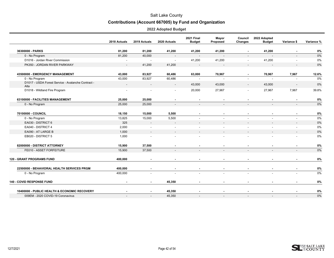# **Contributions (Account 667005) by Fund and Organization**

|                                                            | 2018 Actuals             | 2019 Actuals             | 2020 Actuals             | <b>2021 Final</b><br><b>Budget</b> | Mayor<br>Proposed        | Council<br>Changes       | 2022 Adopted<br><b>Budget</b> | Variance \$              | Variance % |
|------------------------------------------------------------|--------------------------|--------------------------|--------------------------|------------------------------------|--------------------------|--------------------------|-------------------------------|--------------------------|------------|
| 36300000 - PARKS                                           | 81,200                   | 81,200                   | 41,200                   | 41,200                             | 41,200                   |                          | 41,200                        |                          | 0%         |
| 0 - No Program                                             | 81,200                   | 40,000                   |                          |                                    | $\overline{\phantom{a}}$ |                          |                               |                          | 0%         |
| D1016 - Jordan River Commission                            | $\overline{\phantom{a}}$ | $\sim$                   | $\sim$                   | 41,200                             | 41,200                   | $\blacksquare$           | 41,200                        | $\overline{\phantom{a}}$ | 0%         |
| PK350 - JORDAN RIVER PARKWAY                               | $\overline{\phantom{a}}$ | 41,200                   | 41,200                   | $\overline{\phantom{a}}$           | $\overline{\phantom{a}}$ | $\overline{\phantom{a}}$ |                               |                          | 0%         |
| 43500000 - EMERGENCY MANAGEMENT                            | 43,000                   | 83,927                   | 60,486                   | 63,000                             | 70,967                   | $\blacksquare$           | 70,967                        | 7,967                    | 12.6%      |
| 0 - No Program                                             | 43,000                   | 83,927                   | 60,486                   | $\sim$                             | $\blacksquare$           | $\blacksquare$           |                               |                          | 0%         |
| D1017 - USDA Forest Service - Avalanche Contract -<br>Alta | $\overline{\phantom{a}}$ | $\overline{\phantom{a}}$ | $\overline{\phantom{a}}$ | 43,000                             | 43,000                   | $\overline{\phantom{a}}$ | 43,000                        | $\overline{\phantom{a}}$ | 0%         |
| D1018 - Wildland Fire Program                              |                          |                          |                          | 20,000                             | 27,967                   | $\overline{\phantom{a}}$ | 27,967                        | 7,967                    | 39.8%      |
| 63100000 - FACILITIES MANAGEMENT                           | 25,000                   | 25,000                   |                          | $\blacksquare$                     |                          |                          |                               |                          | 0%         |
| 0 - No Program                                             | 25,000                   | 25,000                   |                          | $\overline{\phantom{a}}$           | $\overline{\phantom{a}}$ |                          |                               |                          | 0%         |
| 70100000 - COUNCIL                                         | 18,150                   | 15,000                   | 5,500                    | $\blacksquare$                     | $\sim$                   |                          |                               |                          | 0%         |
| 0 - No Program                                             | 13,825                   | 15,000                   | 5,500                    | $\overline{\phantom{a}}$           | $\blacksquare$           | $\overline{\phantom{a}}$ |                               | $\sim$                   | 0%         |
| EA030 - DISTRICT 6                                         | 325                      | $\overline{\phantom{a}}$ | $\overline{\phantom{a}}$ | $\overline{\phantom{a}}$           | $\overline{\phantom{a}}$ |                          |                               | $\overline{\phantom{a}}$ | 0%         |
| EA040 - DISTRICT 4                                         | 2,000                    | $\blacksquare$           |                          | $\sim$                             | $\blacksquare$           |                          |                               | $\sim$                   | 0%         |
| EA090 - AT LARGE B                                         | 1,000                    | $\overline{\phantom{a}}$ | $\overline{\phantom{a}}$ | $\blacksquare$                     | $\overline{\phantom{a}}$ |                          |                               |                          | 0%         |
| EB020 - DISTRICT 5                                         | 1,000                    |                          |                          |                                    |                          |                          |                               |                          | 0%         |
| 82000000 - DISTRICT ATTORNEY                               | 15,900                   | 37,500                   |                          |                                    |                          |                          |                               |                          | 0%         |
| FE010 - ASSET FORFEITURE                                   | 15,900                   | 37,500                   |                          |                                    |                          |                          |                               |                          | 0%         |
| <b>120 - GRANT PROGRAMS FUND</b>                           | 400,000                  | $\blacksquare$           |                          | $\sim$                             | $\sim$                   |                          | $\sim$                        |                          | $0\%$      |
| 22500000 - BEHAVIORAL HEALTH SERVICES PRGM                 | 400,000                  |                          |                          | $\blacksquare$                     | $\blacksquare$           |                          |                               |                          | 0%         |
| 0 - No Program                                             | 400,000                  |                          |                          | $\blacksquare$                     | $\blacksquare$           | $\overline{a}$           |                               |                          | 0%         |
| 140 - COVID RESPONSE FUND                                  |                          | $\blacksquare$           | 45,350                   |                                    |                          |                          |                               |                          | 0%         |
| 10400000 - PUBLIC HEALTH & ECONOMIC RECOVERY               |                          |                          | 45,350                   | ٠                                  | $\blacksquare$           |                          |                               |                          | 0%         |
| 009EM - 2020 COVID-19 Coronavirus                          | $\overline{\phantom{a}}$ |                          | 45,350                   |                                    | $\overline{\phantom{a}}$ | $\overline{\phantom{a}}$ | $\overline{\phantom{a}}$      |                          | 0%         |

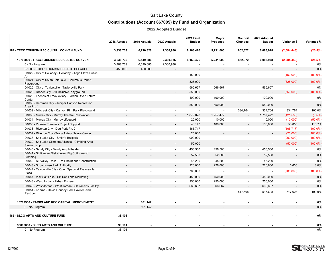# **Contributions (Account 667005) by Fund and Organization**

|                                                                    | 2018 Actuals | 2019 Actuals | 2020 Actuals             | <b>2021 Final</b><br><b>Budget</b> | Mayor<br>Proposed        | Council<br>Changes       | 2022 Adopted<br><b>Budget</b> | Variance \$              | Variance %  |
|--------------------------------------------------------------------|--------------|--------------|--------------------------|------------------------------------|--------------------------|--------------------------|-------------------------------|--------------------------|-------------|
| <b>181 - TRCC TOURISM REC CULTRL CONVEN FUND</b>                   | 3,938,739    | 6,710,828    | 2,300,936                | 8,168,426                          | 5,231,606                | 852,372                  | 6,083,978                     | (2,084,448)              | (25.5%)     |
| 10700000 - TRCC-TOURISM REC CULTRL CONVEN                          | 3,938,739    | 6,549,686    | 2,300,936                | 8,168,426                          | 5,231,606                | 852,372                  | 6,083,978                     | (2,084,448)              | (25.5%)     |
| 0 - No Program                                                     | 3,488,739    | 6,099,686    | 2,300,936                | $\overline{\phantom{a}}$           |                          |                          |                               |                          | 0%          |
| BX000 - TRCC: TOURISM, REC, ETC DEFAULT                            | 450,000      | 450,000      |                          |                                    | $\overline{\phantom{a}}$ |                          | $\overline{\phantom{a}}$      |                          | 0%          |
| D1022 - City of Holladay - Holladay Village Plaza Public<br>Art    |              |              |                          | 150,000                            |                          |                          | $\blacksquare$                | (150,000)                | $(100.0\%)$ |
| D1024 - City of South Salt Lake - Columbus Park &<br>Playground    |              |              | $\overline{\phantom{a}}$ | 325,000                            | $\overline{\phantom{a}}$ | $\overline{\phantom{a}}$ | $\overline{\phantom{a}}$      | (325,000)                | $(100.0\%)$ |
| D1025 - City of Taylorsville - Taylorsville Park                   |              |              | $\sim$                   | 566,667                            | 566,667                  | $\blacksquare$           | 566,667                       | $\overline{\phantom{a}}$ | 0%          |
| D1028 - Draper City - All Inclusive Playground                     |              |              |                          | 550,000                            |                          |                          |                               | (550,000)                | $(100.0\%)$ |
| D1029 - Friends of Tracy Aviary - Jordan River Nature<br>Center    |              |              |                          | 100,000                            | 100,000                  | $\overline{\phantom{a}}$ | 100,000                       |                          | 0%          |
| D1030 - Herriman City - Juniper Canyon Recreation<br>Area Ph. 1    |              |              |                          | 550,000                            | 550,000                  | $\blacksquare$           | 550,000                       |                          | 0%          |
| D1032 - Millcreek City - Canyon Rim Park Playground                |              |              |                          | $\sim$                             | $\sim$                   | 334,764                  | 334,764                       | 334,764                  | 100.0%      |
| D1033 - Murray City - Murray Theatre Renovation                    |              |              |                          | 1,879,028                          | 1,757,472                |                          | 1,757,472                     | (121, 556)               | (6.5%)      |
| D1034 - Murray City - Murray Lifeguard                             |              |              | $\sim$                   | 20,000                             | 10,000                   | $\overline{\phantom{a}}$ | 10,000                        | (10,000)                 | $(50.0\%)$  |
| D1035 - Pioneer Theater - Project Support                          |              |              |                          | 46,147                             | 100,000                  |                          | 100,000                       | 53,853                   | 116.7%      |
| D1036 - Riverton City - Dog Park Ph. 2                             |              |              | $\sim$                   | 165,717                            |                          | $\sim$                   | $\overline{\phantom{a}}$      | (165, 717)               | $(100.0\%)$ |
| D1037 - Riverton City - Tracy Aviary Nature Center                 |              |              |                          | 25,000                             |                          |                          | $\overline{\phantom{a}}$      | (25,000)                 | $(100.0\%)$ |
| D1038 - Salt Lake City - Smith's Ballpark                          |              |              | $\overline{a}$           | 900,000                            | $\overline{a}$           | $\sim$                   | $\blacksquare$                | (900,000)                | $(100.0\%)$ |
| D1039 - Salt Lake Climbers Alliance - Climbing Area<br>Stewardship |              |              |                          | 50,000                             | $\overline{\phantom{a}}$ |                          |                               | (50,000)                 | $(100.0\%)$ |
| D1040 - Sandy City - Sandy Amphitheater                            |              |              | $\blacksquare$           | 456,500                            | 456,500                  |                          | 456,500                       |                          | 0%          |
| D1041 - SL Ranger Dist - Lower Big Cottonwood<br>Climbing          |              |              |                          | 52,500                             | 52,500                   |                          | 52,500                        |                          | 0%          |
| D1042 - SL Valley Trails - Trail Maint and Construction            |              |              |                          | 45,200                             | 45,200                   | $\blacksquare$           | 45,200                        | $\overline{\phantom{a}}$ | 0%          |
| D1043 - Sugarhouse Park Authority                                  |              |              | $\overline{\phantom{a}}$ | 220,000                            | 226,600                  | $\overline{\phantom{a}}$ | 226,600                       | 6,600                    | 3.0%        |
| D1044 - Taylorsville City - Open Space at Taylorsville<br>Plaza    |              |              |                          | 700,000                            | $\overline{\phantom{a}}$ |                          | $\overline{\phantom{a}}$      | (700,000)                | $(100.0\%)$ |
| D1047 - Visit Salt Lake - Ski Salt Lake Marketing                  |              |              |                          | 450,000                            | 450,000                  |                          | 450,000                       |                          | 0%          |
| D1048 - West Jordan - Urban Fishery                                |              |              | $\sim$                   | 250,000                            | 250,000                  | $\sim$                   | 250,000                       | $\overline{a}$           | 0%          |
| D1049 - West Jordan - West Jordan Cultural Arts Facility           |              |              | $\sim$                   | 666,667                            | 666,667                  | $\blacksquare$           | 666,667                       |                          | 0%          |
| D1051 - Kearns - David Gourley Park Pavilion And<br>Restroom       |              |              |                          |                                    |                          | 517,608                  | 517,608                       | 517,608                  | 100.0%      |
| 10709900 - PARKS AND REC CAPITAL IMPROVEMENT                       |              | 161,142      |                          |                                    |                          |                          |                               |                          | 0%          |
| 0 - No Program                                                     |              | 161,142      |                          |                                    |                          |                          |                               |                          | 0%          |
| <b>185 - SLCO ARTS AND CULTURE FUND</b>                            | 38,101       |              |                          |                                    |                          |                          |                               |                          | 0%          |
| 35000000 - SLCO ARTS AND CULTURE                                   | 38,101       |              |                          |                                    |                          |                          |                               |                          | 0%          |
| 0 - No Program                                                     | 38.101       |              |                          | $\overline{\phantom{a}}$           | $\overline{\phantom{a}}$ | $\sim$                   |                               |                          | 0%          |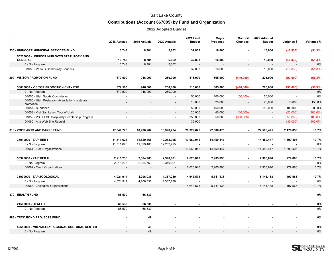# **Contributions (Account 667005) by Fund and Organization**

|                                                               | 2018 Actuals             | 2019 Actuals | 2020 Actuals             | <b>2021 Final</b><br><b>Budget</b> | Mayor<br>Proposed | Council<br>Changes       | 2022 Adopted<br><b>Budget</b> | Variance \$              | Variance %  |
|---------------------------------------------------------------|--------------------------|--------------|--------------------------|------------------------------------|-------------------|--------------------------|-------------------------------|--------------------------|-------------|
| 235 - UNINCORP MUNICIPAL SERVICES FUND                        | 10,748                   | 8,781        | 5,662                    | 32,833                             | 16,000            | ä,                       | 16,000                        | (16, 833)                | (51.3%)     |
| 50230000 - UNINCOR MUN SVCS STATUTORY AND<br><b>GENERAL</b>   | 10,748                   | 8,781        | 5,662                    | 32,833                             | 16,000            |                          | 16,000                        | (16, 833)                | (51.3%)     |
| 0 - No Program                                                | 10,748                   | 8,781        | 5,662                    | $\overline{a}$                     |                   | $\overline{a}$           |                               |                          | 0%          |
| D1053 - Various Community Councils                            |                          |              |                          | 32,833                             | 16,000            | $\tilde{\phantom{a}}$    | 16,000                        | (16, 833)                | (51.3%)     |
| <b>290 - VISITOR PROMOTION FUND</b>                           | 679,500                  | 946,000      | 250,000                  | 515,000                            | 665,000           | (440,000)                | 225,000                       | (290,000)                | (56.3%)     |
| 36010000 - VISITOR PROMOTION CNTY EXP                         | 679,500                  | 946,000      | 250,000                  | 515,000                            | 665,000           | (440,000)                | 225,000                       | (290,000)                | (56.3%)     |
| 0 - No Program                                                | 679,500                  | 946,000      | 250,000                  | $\overline{a}$                     | $\overline{a}$    | $\overline{a}$           |                               | $\overline{a}$           | 0%          |
| D1055 - Utah Sports Commission                                | $\overline{\phantom{a}}$ | $\sim$       | $\sim$                   | 50,000                             | 100,000           | (50,000)                 | 50,000                        | $\overline{\phantom{a}}$ | 0%          |
| D1056 - Utah Restaurant Association - restaurant<br>promotion |                          |              | $\overline{\phantom{a}}$ | 10,000                             | 25,000            | $\blacksquare$           | 25,000                        | 15,000                   | 150.0%      |
| D1057 - Sundance                                              |                          |              |                          | 50,000                             | 150,000           | $\overline{a}$           | 150,000                       | 100,000                  | 200.0%      |
| D1058 - Visit Salt Lake - Tour of Utah                        |                          |              |                          | 20,000                             | 40,000            | (40,000)                 |                               | (20,000)                 | $(100.0\%)$ |
| D1059 - VSL/SLCC Hospitality Scholarship Program              |                          |              |                          | 350,000                            | 350,000           | (350,000)                | $\blacksquare$                | (350,000)                | $(100.0\%)$ |
| D1060 - Alta Web-Site Rebuild                                 |                          |              |                          | 35,000                             |                   |                          |                               | (35,000)                 | $(100.0\%)$ |
| 310 - ZOOS ARTS AND PARKS FUND                                | 17,544,775               | 18,420,267   | 18,990,284               | 20,329,625                         | 22,506,475        | $\blacksquare$           | 22,506,475                    | 2,176,850                | 10.7%       |
| 35910000 - ZAP TIER I                                         | 11,311,626               | 11,829,468   | 12,282,995               | 13,060,042                         | 14,459,447        | $\blacksquare$           | 14,459,447                    | 1,399,405                | 10.7%       |
| 0 - No Program                                                | 11,311,626               | 11,829,468   | 12,282,995               |                                    |                   | $\overline{\phantom{a}}$ |                               |                          | 0%          |
| D1061 - Tier I Organizations                                  |                          |              |                          | 13,060,042                         | 14,459,447        | $\overline{\phantom{a}}$ | 14,459,447                    | 1,399,405                | 10.7%       |
| 35920000 - ZAP TIER II                                        | 2,211,235                | 2,384,763    | 2,340,001                | 2,626,010                          | 2,905,890         | $\blacksquare$           | 2,905,890                     | 279,880                  | 10.7%       |
| 0 - No Program                                                | 2,211,235                | 2,384,763    | 2,340,001                |                                    |                   | $\overline{a}$           |                               |                          | 0%          |
| D1062 - Tier II Organizations                                 |                          |              |                          | 2,626,010                          | 2,905,890         |                          | 2,905,890                     | 279,880                  | 10.7%       |
| 35930000 - ZAP ZOOLOGICAL                                     | 4,021,914                | 4,206,036    | 4,367,289                | 4,643,573                          | 5,141,138         |                          | 5,141,138                     | 497,565                  | 10.7%       |
| 0 - No Program                                                | 4,021,914                | 4,206,036    | 4,367,289                | - 11                               |                   |                          |                               |                          | 0%          |
| D1063 - Zoological Organizations                              |                          |              |                          | 4,643,573                          | 5,141,138         | $\overline{\phantom{a}}$ | 5,141,138                     | 497,565                  | 10.7%       |
| 370 - HEALTH FUND                                             | 66.530                   | 66,530       | $\overline{a}$           | $\overline{a}$                     | $\sim$            |                          |                               |                          | 0%          |
| 21500000 - HEALTH                                             | 66,530                   | 66,530       |                          | $\overline{\phantom{a}}$           |                   |                          |                               |                          | 0%          |
| 0 - No Program                                                | 66,530                   | 66,530       |                          |                                    |                   |                          |                               |                          | 0%          |
| <b>483 - TRCC BOND PROJECTS FUND</b>                          | $\blacksquare$           | 49           | $\blacksquare$           | $\blacksquare$                     | $\blacksquare$    |                          |                               |                          | 0%          |
| 52650000 - MID-VALLEY REGIONAL CULTURAL CENTER                |                          | 49           |                          |                                    |                   |                          |                               |                          | 0%          |
| 0 - No Program                                                |                          | 49           |                          |                                    |                   |                          |                               |                          | 0%          |

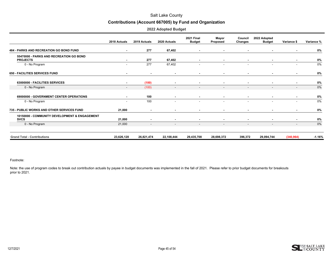#### **Contributions (Account 667005) by Fund and Organization**

|  | 2022 Adopted Budget |  |
|--|---------------------|--|
|--|---------------------|--|

|                                                              | 2018 Actuals             | 2019 Actuals             | 2020 Actuals             | <b>2021 Final</b><br><b>Budget</b> | Mayor<br>Proposed        | Council<br>Changes       | 2022 Adopted<br><b>Budget</b> | Variance \$              | Variance % |
|--------------------------------------------------------------|--------------------------|--------------------------|--------------------------|------------------------------------|--------------------------|--------------------------|-------------------------------|--------------------------|------------|
| <b>484 - PARKS AND RECREATION GO BOND FUND</b>               | $\sim$                   | 277                      | 67,402                   | $\sim$                             | $\sim$                   | $\sim$                   | $\blacksquare$                | ٠                        | 0%         |
| 55470000 - PARKS AND RECREATION GO BOND<br><b>PROJECTS</b>   | $\overline{\phantom{a}}$ | 277                      | 67,402                   | $\sim$                             | $\sim$                   | $\blacksquare$           | $\blacksquare$                | $\blacksquare$           | 0%         |
| 0 - No Program                                               | ٠                        | 277                      | 67,402                   |                                    |                          |                          | $\blacksquare$                | $\overline{\phantom{a}}$ | 0%         |
| 650 - FACILITIES SERVICES FUND                               | $\blacksquare$           | $\blacksquare$           | $\overline{\phantom{a}}$ |                                    | $\blacksquare$           | $\blacksquare$           | $\blacksquare$                | ٠                        | 0%         |
| 63000000 - FACILITIES SERVICES                               | $\blacksquare$           | (100)                    | $\blacksquare$           |                                    | $\blacksquare$           | $\blacksquare$           | $\blacksquare$                | $\blacksquare$           | 0%         |
| 0 - No Program                                               | $\sim$                   | (100)                    | $\sim$                   | $\sim$                             | $\sim$                   | $\sim$                   | $\overline{\phantom{a}}$      | $\overline{\phantom{a}}$ | 0%         |
| 69000000 - GOVERNMENT CENTER OPERATIONS                      | $\sim$                   | 100                      | $\blacksquare$           |                                    | $\blacksquare$           | $\sim$                   | $\blacksquare$                | ٠                        | 0%         |
| 0 - No Program                                               | $\overline{\phantom{a}}$ | 100                      | $\overline{\phantom{a}}$ | $\overline{\phantom{a}}$           | $\overline{\phantom{a}}$ | $\sim$                   | $\overline{\phantom{a}}$      | $\blacksquare$           | 0%         |
| 735 - PUBLIC WORKS AND OTHER SERVICES FUND                   | 21,000                   | $\sim$                   | $\sim$                   | $\sim$                             | $\sim$                   | $\sim$                   | $\blacksquare$                | ٠                        | 0%         |
| 10150000 - COMMUNITY DEVELOPMENT & ENGAGEMENT<br><b>SVCS</b> | 21,000                   | $\blacksquare$           | $\blacksquare$           | $\sim$                             | $\blacksquare$           | $\blacksquare$           | $\blacksquare$                | $\blacksquare$           | 0%         |
| 0 - No Program                                               | 21,000                   | $\overline{\phantom{a}}$ | $\overline{\phantom{a}}$ | $\overline{\phantom{0}}$           | $\overline{\phantom{a}}$ | $\overline{\phantom{a}}$ | $\overline{\phantom{a}}$      | $\overline{\phantom{a}}$ | 0%         |
| <b>Grand Total - Contributions</b>                           | 23,626,128               | 26,821,474               | 22,108,444               | 29,435,708                         | 28,698,372               | 396,372                  | 29,094,744                    | (340, 964)               | $-1.16%$   |

#### Footnote:

Note: the use of program codes to break out contribution actuals by payee in budget documents was implemented in the fall of 2021. Please refer to prior budget documents for breakouts prior to 2021.

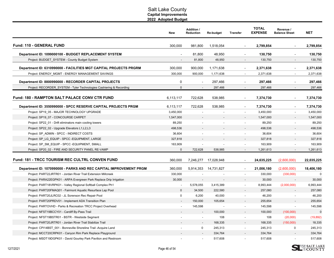<span id="page-46-0"></span>

|                                                                      | New          | <b>Addition /</b><br><b>Reduction</b> | <b>Re-budget</b> | <b>Transfer</b>          | <b>TOTAL</b><br><b>EXPENSE</b> | Revenue /<br><b>Balance Sheet</b> | <b>NET</b>   |
|----------------------------------------------------------------------|--------------|---------------------------------------|------------------|--------------------------|--------------------------------|-----------------------------------|--------------|
| <b>Fund: 110 - GENERAL FUND</b>                                      | 300,000      | 981,800                               | 1,518,054        | $\overline{\phantom{a}}$ | 2,799,854                      | ÷,                                | 2,799,854    |
| Department ID: 1099000100 - BUDGET REPLACEMENT SYSTEM                |              | 81,800                                | 48,950           | $\blacksquare$           | 130,750                        | $\blacksquare$                    | 130,750      |
| Project: BUDGET SYSTEM - County Budget System                        |              | 81,800                                | 48,950           | $\blacksquare$           | 130,750                        | $\overline{\phantom{a}}$          | 130,750      |
| Department ID: 6310990000 - FACILITIES MGT CAPITAL PROJECTS PRGRM    | 300.000      | 900,000                               | 1,171,638        | $\overline{\phantom{a}}$ | 2,371,638                      | $\overline{\phantom{a}}$          | 2,371,638    |
| Project: ENERGY_MGMT - ENERGY MANAGEMENT SAVINGS                     | 300,000      | 900,000                               | 1,171,638        | $\overline{\phantom{a}}$ | 2,371,638                      | $\sim$                            | 2,371,638    |
| Department ID: 8800990000 - RECORDER CAPITAL PROJECTS                | $\Omega$     | $\overline{a}$                        | 297,466          | $\overline{a}$           | 297,466                        | $\overline{a}$                    | 297,466      |
| Project: RECORDER_SYSTEM - Tyler Technologies Cashiering & Recording | $\mathbf{0}$ |                                       | 297,466          | $\overline{a}$           | 297,466                        | $\overline{a}$                    | 297,466      |
| <b>Fund: 180 - RAMPTON SALT PALACE CONV CTR FUND</b>                 | 6,113,117    | 722,628                               | 538,985          | $\overline{\phantom{a}}$ | 7,374,730                      | $\overline{\phantom{0}}$          | 7,374,730    |
| Department ID: 3550990000 - SPCC RESERVE CAPITAL PROJECTS PRGM       | 6,113,117    | 722,628                               | 538,985          | $\blacksquare$           | 7,374,730                      | $\blacksquare$                    | 7,374,730    |
| Project: SP19 05 - MAJOR TECHNOLOGY UPGRADE                          | 3,450,000    |                                       |                  |                          | 3,450,000                      |                                   | 3,450,000    |
| Project: SP19 07 - CONCOURSE CARPET                                  | 1,547,000    |                                       |                  |                          | 1,547,000                      |                                   | 1,547,000    |
| Project: SP22_01 - Drift eliminators main cooling towers             | 89,250       |                                       |                  | $\overline{a}$           | 89,250                         |                                   | 89,250       |
| Project: SP22_02 - Upgrade Elevators L1, L2, L3                      | 498,536      |                                       |                  |                          | 498,536                        |                                   | 498,536      |
| Project: SP ADMIN - SPCC - INDIRECT COSTS                            | 36,604       |                                       |                  | $\overline{\phantom{a}}$ | 36,604                         | $\sim$                            | 36,604       |
| Project: SP LG EQUIP - SPCC - EQUIPMENT, LARGE                       | 327,818      |                                       |                  |                          | 327,818                        |                                   | 327,818      |
| Project: SP SM EQUIP - SPCC - EQUIPMENT, SMALL                       | 163,909      |                                       |                  | $\overline{a}$           | 163,909                        | $\blacksquare$                    | 163,909      |
| Project: SP20_02 - FIRE AND SECURITY PANEL RE-VAMP                   | $\Omega$     | 722,628                               | 538,985          |                          | 1,261,613                      |                                   | 1,261,613    |
| Fund: 181 - TRCC TOURISM REC CULTRL CONVEN FUND                      | 360,000      | 7,246,277                             | 17,028,948       |                          | 24,635,225                     | (2,600,000)                       | 22,035,225   |
| Department ID: 1070990000 - PARKS AND REC CAPITAL IMPROVEMENT PRGM   | 360,000      | 5,914,353                             | 14,731,827       |                          | 21,006,180                     | (2,600,000)                       | 18,406,180   |
| Project: PART22JRTR01 - Jordan River Trail Extension Millcreek       | 330,000      |                                       |                  | $\overline{a}$           | 330,000                        | (330,000)                         | $\mathbf 0$  |
| Project: PARA22EGPK01 - ARPA Evergreen Park Replace Drip Irrigation  | 30,000       |                                       |                  |                          | 30,000                         |                                   | 30,000       |
| Project: PART18VRPK01 - Valley Regional Softball Complex Ph1         |              | 5,578,055                             | 3,415,389        | $\overline{\phantom{a}}$ | 8,993,444                      | (2,000,000)                       | 6,993,444    |
| Project: PART20FMAQ01 - Fairmont Aquatic Resurface Lap Pool          | $\mathbf{0}$ | 34,500                                | 222,580          |                          | 257,080                        |                                   | 257,080      |
| Project: PART20JLRC02 - JL Sorenson Rec Repair Pool                  | $\mathbf 0$  | 6,200                                 | 40,000           | $\blacksquare$           | 46,200                         |                                   | 46,200       |
| Project: PART20PRDV01 - Implement ADA Transition Plan                |              | 150,000                               | 105,654          |                          | 255,654                        |                                   | 255,654      |
| Project: PARTOVHD - Parks & Recreation TRCC Project Overhead         |              | 145,598                               |                  | $\sim$                   | 145,598                        |                                   | 145,598      |
| Project: NFST19BCCY01 - Cardiff By-Pass Trail                        |              | $\blacksquare$                        | 100,000          |                          | 100,000                        | (100,000)                         | $\mathbf{0}$ |
| Project: NFST19BSTR01 - BSTR - Westside Segment                      |              | $\overline{\phantom{a}}$              | 108              | $\overline{\phantom{a}}$ | 108                            | (20,000)                          | (19, 892)    |
| Project: PART20JRTR01 - Jordan River Trail Stabilize Trail           |              | $\overline{\phantom{a}}$              | 168,335          | $\overline{\phantom{a}}$ | 168,335                        | (150,000)                         | 18,335       |
| Project: CPI14BST 001 - Bonneville Shoreline Trail -Acquire Land     |              | $\mathbf 0$                           | 245,313          | $\overline{\phantom{a}}$ | 245,313                        | $\mathbf 0$                       | 245,313      |
| Project: MCCT20CRPK01 - Canyon Rim Park Replace Playground           |              |                                       | 334,764          |                          | 334,764                        |                                   | 334,764      |
| Project: MSDT19DGPK01 - David Gourley Park Pavilion and Restroom     |              |                                       | 517,608          |                          | 517,608                        | $\blacksquare$                    | 517,608      |

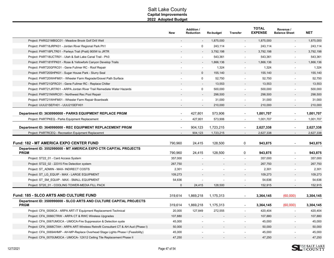|                                                                                                                                   | <b>New</b>         | <b>Addition /</b><br>Reduction | Re-budget          | <b>Transfer</b>          | <b>TOTAL</b><br><b>EXPENSE</b> | Revenue /<br><b>Balance Sheet</b> | <b>NET</b>         |
|-----------------------------------------------------------------------------------------------------------------------------------|--------------------|--------------------------------|--------------------|--------------------------|--------------------------------|-----------------------------------|--------------------|
| Project: PARG21MBGC01 - Meadow Brook Golf Drill Well                                                                              |                    |                                | 1,875,000          |                          | 1,875,000                      |                                   | 1,875,000          |
| Project: PART18JRPK01 - Jordan River Regional Park Ph1                                                                            |                    | $\Omega$                       | 243,114            |                          | 243,114                        |                                   | 243,114            |
| Project: PART18PLTR01 - Parleys Trail (Pratt) 900W to JRTR                                                                        |                    |                                | 3,792,198          |                          | 3,792,198                      |                                   | 3,792,198          |
| Project: PART18UCTR01 - Utah & Salt Lake Canal Trail - Ph3                                                                        |                    |                                | 543,361            | $\overline{a}$           | 543,361                        | $\blacksquare$                    | 543,361            |
| Project: PART18YFPK01 - Rose & Yellowfork Canyon Develop Trails                                                                   |                    |                                | 1,866,136          | $\overline{a}$           | 1,866,136                      |                                   | 1,866,136          |
| Project: PART20GFRC01 - Gene Fullmer RC - Roof Repair                                                                             |                    | $\overline{a}$                 | 1,324              |                          | 1,324                          | $\blacksquare$                    | 1,324              |
| Project: PART20SHPK01 - Sugar House Park - Slurry Seal                                                                            |                    | $\Omega$                       | 155,140            |                          | 155,140                        |                                   | 155,140            |
| Project: PART20WHFM01 - Wheeler Farm Regrade/Gravel Path Surface                                                                  |                    | $\mathbf 0$                    | 52,750             | $\blacksquare$           | 52,750                         | $\blacksquare$                    | 52,750             |
| Project: PART21GFRC01 - Gene Fullmer RC - Replace Chiller                                                                         |                    |                                | 13,553             |                          | 13,553                         |                                   | 13,553             |
| Project: PART21JRTR01 - ARPA Jordan River Trail Remediate Water Hazards                                                           |                    | $\mathbf 0$                    | 500,000            |                          | 500,000                        | $\blacksquare$                    | 500,000            |
| Project: PART21NWRC01 - Northwest Rec Pool Repair                                                                                 |                    |                                | 298,500            |                          | 298,500                        |                                   | 298,500            |
| Project: PART21WHFM01 - Wheeler Farm Repair Boardwalk                                                                             |                    |                                | 31,000             |                          | 31,000                         | $\blacksquare$                    | 31,000             |
| Project: UUU21SEFH01 - UUU21SEFH01                                                                                                |                    | $\blacksquare$                 | 210,000            | $\overline{\phantom{a}}$ | 210,000                        | $\overline{\phantom{a}}$          | 210,000            |
| Department ID: 3630990000 - PARKS EQUIPMENT REPLACE PRGM                                                                          | $\blacksquare$     | 427,801                        | 573,906            | $\overline{\phantom{a}}$ | 1,001,707                      | $\overline{\phantom{a}}$          | 1,001,707          |
| Project: PARTPKEQ - Parks Equipment Replacement                                                                                   | $\blacksquare$     | 427,801                        | 573,906            | $\sim$                   | 1,001,707                      | $\sim$                            | 1,001,707          |
| Department ID: 3640990000 - REC EQUIPMENT REPLACEMENT PRGM                                                                        | $\blacksquare$     | 904,123                        | 1,723,215          | $\overline{\phantom{a}}$ | 2,627,338                      | $\overline{\phantom{a}}$          | 2,627,338          |
| Project: PARTRCEQ - Recreation Equipment Replacemnt                                                                               | $\overline{a}$     | 904,123                        | 1,723,215          |                          | 2,627,338                      | $\blacksquare$                    | 2,627,338          |
| <b>Fund: 182 - MT AMERICA EXPO CENTER FUND</b><br>Department ID: 3552990000 - MT AMERICA EXPO CTR CAPITAL PROJECTS<br><b>PRGM</b> | 790.960<br>790,960 | 24,415<br>24,415               | 128,500<br>128,500 | 0<br>0                   | 943,875<br>943,875             | $\blacksquare$<br>$\blacksquare$  | 943,875<br>943,875 |
| Project: ST22 01 - Card Access System                                                                                             | 357,000            |                                |                    |                          | 357,000                        |                                   | 357,000            |
| Project: ST22 02 - 22315 Fire Detection system                                                                                    | 267,750            |                                |                    |                          | 267,750                        | $\overline{\phantom{a}}$          | 267,750            |
| Project: ST ADMIN - MAX- INDIRECT COSTS                                                                                           | 2,301              |                                |                    | $\overline{\phantom{a}}$ | 2,301                          | $\blacksquare$                    | 2,301              |
| Project: ST LG EQUIP - MAX - LARGE EQUIPMENT                                                                                      | 109,273            |                                |                    |                          | 109,273                        |                                   | 109,273            |
| Project: ST SM EQUIP - MAX - SMALL EQUIPMENT                                                                                      | 54,636             |                                |                    |                          | 54,636                         |                                   | 54,636             |
| Project: ST20_01 - COOLING TOWER-MEDIA FILL PACK                                                                                  | $\mathbf 0$        | 24,415                         | 128,500            | $\sim$                   | 152,915                        | $\sim$                            | 152,915            |
|                                                                                                                                   |                    |                                |                    |                          |                                |                                   |                    |
| <b>Fund: 185 - SLCO ARTS AND CULTURE FUND</b>                                                                                     | 319,614            | 1,869,218                      | 1,175,313          | $\overline{\phantom{a}}$ | 3,364,145                      | (60,000)                          | 3,304,145          |
| Department ID: 3500990000 - SLCO ARTS AND CULTURE CAPITAL PROJECTS<br><b>PRGM</b>                                                 | 319,614            | 1,869,218                      | 1,175,313          |                          | 3,364,145                      | (60,000)                          | 3,304,145          |
| Project: CFA_0009CA - ARPA ART-IT Equipment Replacement-Technical                                                                 | 20,000             | 127,849                        | 272,555            | $\sim$                   | 420,404                        | $\overline{\phantom{a}}$          | 420,404            |
| Project: CFA 0066CTRW - ARPA CT & RWC Wireless Upgrades                                                                           | 107,880            |                                |                    |                          | 107,880                        | $\overline{\phantom{a}}$          | 107,880            |
| Project: CFA_0067UMOCA - UMOCA-Fire Suppression & Detection syste                                                                 | 45,000             | $\overline{\phantom{a}}$       | $\overline{a}$     | $\sim$                   | 45,000                         | $\blacksquare$                    | 45,000             |
| Project: CFA 0068CTAH - ARPA ART-Wireless Retrofit Consultant CT & AH Aud (Phase I)                                               | 50,000             |                                |                    |                          | 50,000                         |                                   | 50,000             |
| Project: CFA 0069AHMP - AH-MP-Replace Overhead Stage Lights Phase I (Feasibility)                                                 | 45,000             |                                |                    |                          | 45,000                         |                                   | 45,000             |
| Project: CFA 0070UMOCA - UMOCA- 12X12 Ceiling Tile Replacement Phase II                                                           | 47,250             |                                |                    |                          | 47,250                         |                                   | 47,250             |

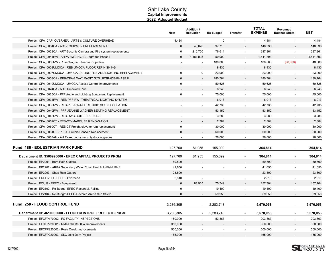|                                                                        | <b>New</b>   | Addition /<br>Reduction  | Re-budget   | <b>Transfer</b>              | <b>TOTAL</b><br><b>EXPENSE</b> | Revenue /<br><b>Balance Sheet</b> | <b>NET</b> |
|------------------------------------------------------------------------|--------------|--------------------------|-------------|------------------------------|--------------------------------|-----------------------------------|------------|
| Project: CFA_CAP_OVERHEA - ARTS & CULTURE OVERHEAD                     | 4,484        | $\overline{\phantom{a}}$ | $\mathbf 0$ | $\overline{\phantom{a}}$     | 4,484                          | $\blacksquare$                    | 4,484      |
| Project: CFA 0004CA - ART-EQUIPMENT REPLACEMENT                        | $\mathbf{0}$ | 48,626                   | 97,710      |                              | 146,336                        |                                   | 146,336    |
| Project: CFA_0023CA - ART-Security Camera and Fire system replacements | $\mathbf 0$  | 210,750                  | 76,611      | $\blacksquare$               | 287,361                        | $\blacksquare$                    | 287,361    |
| Project: CFA 0044RW - ARPA RWC HVAC Upgrades Phase I                   | $\mathbf{0}$ | 1,481,993                | 59,900      | $\overline{\phantom{a}}$     | 1,541,893                      |                                   | 1,541,893  |
| Project: CFA 0065RW - Rose Wagner Cinema Projection                    |              | $\sim$                   | 100,000     | $\blacksquare$               | 100,000                        | (60,000)                          | 40,000     |
| Project: CFA 0003UMOCA - REB-UMOCA FLOOR REFINISHING                   |              | $\overline{a}$           | 8,430       |                              | 8,430                          |                                   | 8,430      |
| Project: CFA 0007UMOCA - UMOCA CEILING TILE AND LIGHTING REPLACEMENT   | $\mathbf 0$  | 0                        | 23,900      |                              | 23,900                         |                                   | 23,900     |
| Project: CFA 0008CA - REB-CFA-2 WAY RADIO SYS UPGRADE-PHASE II         | $\Omega$     | $\overline{a}$           | 180,764     | $\overline{\phantom{a}}$     | 180,764                        |                                   | 180,764    |
| Project: CFA 0010UMOCA - UMOCA Access Control Improvements             | $\mathbf 0$  | $\blacksquare$           | 50,625      | $\blacksquare$               | 50,625                         | $\blacksquare$                    | 50,625     |
| Project: CFA 0024CA - ART Timeclock Plus                               |              | $\overline{\phantom{a}}$ | 6,246       |                              | 6,246                          |                                   | 6,246      |
| Project: CFA 0025CA - PFF Audio and Lighting Equipment Replacement     | $\mathbf 0$  | $\sim$                   | 75,000      | $\overline{\phantom{a}}$     | 75,000                         | $\blacksquare$                    | 75,000     |
| Project: CFA_0034RW - REB-PFF-RW- THEATRICAL LIGHTING SYSTEM           |              |                          | 6,013       |                              | 6,013                          |                                   | 6,013      |
| Project: CFA 0035RW - REB-PFF-RW-REH. STUDIO SOUND ISOLATION           |              | $\overline{\phantom{a}}$ | 42,735      | $\qquad \qquad \blacksquare$ | 42,735                         | $\overline{\phantom{a}}$          | 42,735     |
| Project: CFA 0040RW - PFF-JEANNE WAGNER SEATING REPLACEMENT            |              | $\overline{\phantom{a}}$ | 53,152      |                              | 53,152                         |                                   | 53,152     |
| Project: CFA_0042RW - REB-RWC-BOILER REPAIRS                           |              |                          | 3,288       |                              | 3,288                          | $\blacksquare$                    | 3,288      |
| Project: CFA 0052CT - REB-CT- MARQUEE RENOVATION                       |              |                          | 2,384       |                              | 2,384                          |                                   | 2,384      |
| Project: CFA_0060CT - REB CT Freight elevator ram replacement          | 0            | $\overline{a}$           | 30,000      | $\overline{a}$               | 30,000                         | $\overline{a}$                    | 30,000     |
| Project: CFA 0061CT - PFF-CT Audio Console Replacement                 | $\mathbf{0}$ | $\overline{a}$           | 60,000      | $\overline{\phantom{a}}$     | 60,000                         | $\overline{\phantom{a}}$          | 60,000     |
| Project: CFA_0063AH - AH Ticket Lobby security door upgrades           |              | $\overline{a}$           | 26,000      | $\overline{a}$               | 26,000                         | $\blacksquare$                    | 26,000     |
| <b>Fund: 186 - EQUESTRIAN PARK FUND</b>                                | 127,760      | 81,955                   | 155,099     | $\blacksquare$               | 364,814                        | L,                                | 364,814    |
| Department ID: 3560990000 - EPEC CAPITAL PROJECTS PRGM                 | 127,760      | 81,955                   | 155,099     |                              | 364,814                        | L,                                | 364,814    |
| Project: EP2201 - Barn Rain Gutters                                    | 59,500       |                          |             |                              | 59,500                         |                                   | 59,500     |
| Project: EP2202 - ARPA Secondary Water Consultant Polo Field, Ph.1     | 41,650       |                          |             | $\overline{\phantom{a}}$     | 41,650                         | $\blacksquare$                    | 41,650     |
| Project: EP2203 - Shop Rain Gutters                                    | 23,800       |                          |             | $\overline{\phantom{a}}$     | 23,800                         |                                   | 23,800     |
| Project: EQPOVHD - EPEC - Overhead                                     | 2,810        |                          |             |                              | 2,810                          |                                   | 2,810      |
| Project: EQUIP - EPEC - Equipment                                      | $\mathbf{0}$ | 81,955                   | 75,749      | $\blacksquare$               | 157,704                        |                                   | 157,704    |
| Project: EP2102 - Re-Budget-EPEC-Racetrack Railing                     | $\mathbf 0$  |                          | 19,400      |                              | 19,400                         |                                   | 19,400     |
| Project: EP2104 - Re-Budget-EPEC-Covered Arena Sun Shield              | $\Omega$     | $\blacksquare$           | 59,950      | $\overline{\phantom{a}}$     | 59,950                         | $\overline{\phantom{a}}$          | 59,950     |
| <b>Fund: 250 - FLOOD CONTROL FUND</b>                                  | 3,286,305    | $\sim$                   | 2,283,748   | $\overline{\phantom{a}}$     | 5,570,053                      | ÷,                                | 5,570,053  |
| Department ID: 4610000000 - FLOOD CONTROL PROJECTS PRGM                | 3,286,305    | $\overline{\phantom{a}}$ | 2,283,748   | $\blacksquare$               | 5,570,053                      | $\blacksquare$                    | 5,570,053  |
| Project: EFCFP170002 - FC FACILITY INSPECTIONS                         | 150,000      |                          | 53,863      | $\overline{\phantom{a}}$     | 203,863                        | $\blacksquare$                    | 203,863    |
| Project: EFCFP220001 - Midas Crk 3600 W Improvements                   | 350,000      |                          |             |                              | 350,000                        |                                   | 350,000    |
| Project: EFCFP220002 - Rose Creek Improvements                         | 500,000      |                          |             | $\overline{\phantom{a}}$     | 500,000                        | $\overline{\phantom{a}}$          | 500,000    |
| Project: EFCFP220003 - SLC Joint Dam Project                           | 165,000      |                          |             | $\blacksquare$               | 165,000                        | $\overline{a}$                    | 165,000    |

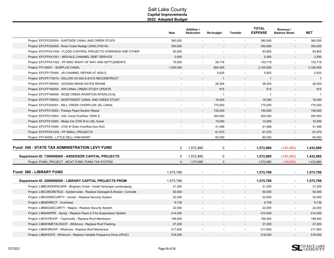|                                                                          | New       | <b>Addition /</b><br><b>Reduction</b> | Re-budget      | <b>Transfer</b>          | <b>TOTAL</b><br><b>EXPENSE</b> | Revenue /<br><b>Balance Sheet</b> | <b>NET</b>     |
|--------------------------------------------------------------------------|-----------|---------------------------------------|----------------|--------------------------|--------------------------------|-----------------------------------|----------------|
| Project: EFCFP220004 - EASTSIDE CANAL AND CREEK STUDY                    | 360,000   | $\sim$                                | $\overline{a}$ | $\sim$                   | 360,000                        | $\sim$                            | 360,000        |
| Project: EFCFP220005 - Rose Creek Realign (4000-2700 W)                  | 350,000   |                                       |                |                          | 350,000                        |                                   | 350,000        |
| Project: EFCFPXX1000 - FLOOD CONTROL PROJECTS OVERHEAD AND OTHER         | 83,805    |                                       |                | $\overline{\phantom{a}}$ | 83,805                         | $\blacksquare$                    | 83,805         |
| Project: EFCFPXX1001 - MIDVALE CHANNEL DEBT SERVICE                      | 2,500     |                                       |                |                          | 2,500                          |                                   | 2,500          |
| Project: EFCFPXX1002 - FP MISC RIGHT OF WAY AND SETTLEMENTS              | 75,000    |                                       | 28,718         |                          | 103,718                        | $\blacksquare$                    | 103,718        |
| Project: FP140001 - SURPLUS CANAL                                        | 1,250,000 |                                       | 850,505        |                          | 2,100,505                      | $\blacksquare$                    | 2,100,505      |
| Project: EFCFP170006 - JR CHANNEL REPAIR AT 4500 S                       |           |                                       | 5,825          |                          | 5,825                          |                                   | 5,825          |
| Project: EFCFP170015 - WILLOW CK 600 E-810 E RECONSTRUCT                 |           |                                       | $\mathbf{1}$   |                          | $\mathbf{1}$                   |                                   | $\overline{1}$ |
| Project: EFCFP180002 - GOGGIN DRAIN GATES REHAB                          |           | $\overline{\phantom{a}}$              | 28,304         | $\overline{\phantom{a}}$ | 28,304                         | $\overline{\phantom{a}}$          | 28,304         |
| Project: EFCFP180005 - SW CANAL CREEK STUDY UPDATE                       |           |                                       | 615            |                          | 615                            |                                   | 615            |
| Project: EFCFP180006 - ROSE CREEK RIVERTON INTERLOCAL                    |           |                                       | $\overline{1}$ |                          | $\overline{1}$                 |                                   | $\overline{1}$ |
| Project: EFCFP190002 - NORTHWEST CANAL AND CREEK STUDY                   |           |                                       | 18,300         |                          | 18,300                         |                                   | 18,300         |
| Project: EFCFP200001 - MILL CREEK OVERFLOW JSL CANAL                     |           | $\sim$                                | 775,000        |                          | 775,000                        | $\overline{a}$                    | 775,000        |
| Project: EFCFP210002 - Parleys Piped Section Repair                      |           |                                       | 150,000        |                          | 150,000                        |                                   | 150,000        |
| Project: EFCFP210003 - USL Canal Overflow 15500 S                        |           | $\sim$                                | 200,000        |                          | 200,000                        |                                   | 200,000        |
| Project: EFCFP210005 - Midas Crk 2700 W to USL Canal                     |           |                                       | 10,000         |                          | 10,000                         |                                   | 10,000         |
| Project: EFCFP210006 - 2700 W Drain Overflow from NJC                    |           | $\sim$                                | 41,496         | $\overline{\phantom{a}}$ | 41,496                         | $\blacksquare$                    | 41,496         |
| Project: EFCFPXX1003 - FP SMALL PROJECTS                                 |           |                                       | 61,070         |                          | 61,070                         | $\overline{\phantom{a}}$          | 61,070         |
| Project: FP140005 - LITTLE DELL DAM MAINT                                |           |                                       | 60,050         |                          | 60,050                         |                                   | 60,050         |
| Fund: 340 - STATE TAX ADMINISTRATION LEVY FUND                           | 0         | 1,572,880                             | $\mathbf 0$    | $\overline{\phantom{a}}$ | 1,572,880                      | (140,000)                         | 1,432,880      |
| Department ID: 7300990000 - ASSESSOR CAPITAL PROJECTS                    | $\Omega$  | 1,572,880                             | 0              | $\overline{a}$           | 1,572,880                      | (140,000)                         | 1,432,880      |
| Project: PUMA_PROJECT - MCAT FUND: PUMA TAX SYSTEM                       | $\Omega$  | 1,572,880                             | $\Omega$       |                          | 1,572,880                      | (140,000)                         | 1,432,880      |
| <b>Fund: 360 - LIBRARY FUND</b>                                          | 1,575,789 |                                       |                |                          | 1,575,789                      | $\blacksquare$                    | 1,575,789      |
| Department ID: 2500990000 - LIBRARY CAPITAL PROJECTS PRGM                | 1,575,789 |                                       | $\blacksquare$ |                          | 1,575,789                      | $\overline{\phantom{a}}$          | 1,575,789      |
| Project: LIBBCRXERISCAPE - Bingham Creek - Install Xeriscape Landscaping | 31,250    |                                       |                |                          | 31,250                         | $\blacksquare$                    | 31,250         |
| Project: LIBCONCRETE22 - System-wide - Replace Damaged & Broken Concrete | 50,000    |                                       |                |                          | 50,000                         |                                   | 50,000         |
| Project: LIBHUNSECURITY - Hunter - Replace Security System               | 22,000    |                                       | $\blacksquare$ | $\overline{\phantom{a}}$ | 22,000                         | $\blacksquare$                    | 22,000         |
| Project: LIBINDIRECT - Overhead                                          | 9,739     |                                       |                |                          | 9,739                          |                                   | 9,739          |
| Project: LIBMAGSECURITY - Magna - Replace Security System                | 22,000    |                                       |                |                          | 22,000                         | $\overline{a}$                    | 22,000         |
| Project: LIBSANPIPE - Sandy - Replace Pipes In Fire Suppression System   | 414,400   |                                       |                |                          | 414,400                        |                                   | 414,400        |
| Project: LIBTAYROOF - Taylorsville - Replace Roof Membrane               | 199,500   |                                       |                |                          | 199,500                        | $\overline{\phantom{a}}$          | 199,500        |
| Project: LIBWHIMETALROOF - Whitmore - Replace Roof Flashing              | 27,200    |                                       |                |                          | 27,200                         |                                   | 27,200         |
| Project: LIBWHIROOF - Whitmore - Replace Roof Membrane                   | 217,600   |                                       |                |                          | 217,600                        |                                   | 217,600        |
| Project: LIBWHIVFD - Whitmore - Replace Variable Frequency Drive (HFAC)  | 518,000   |                                       |                |                          | 518,000                        |                                   | 518,000        |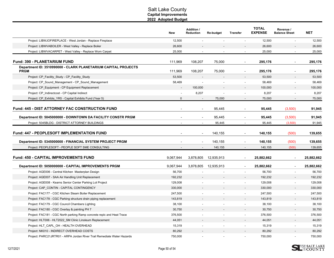|                                                                                                         | <b>New</b> | <b>Addition /</b><br><b>Reduction</b> | Re-budget          | <b>Transfer</b>                  | <b>TOTAL</b><br><b>EXPENSE</b> | Revenue /<br><b>Balance Sheet</b> | <b>NET</b>         |
|---------------------------------------------------------------------------------------------------------|------------|---------------------------------------|--------------------|----------------------------------|--------------------------------|-----------------------------------|--------------------|
| Project: LIBWJOFIREPLACE - West Jordan - Replace Fireplace                                              | 12,500     | $\sim$                                | $\sim$             | $\overline{\phantom{a}}$         | 12,500                         | $\overline{\phantom{a}}$          | 12,500             |
| Project: LIBWVABOILER - West Valley - Replace Boiler                                                    | 26,600     |                                       |                    |                                  | 26,600                         |                                   | 26,600             |
| Project: LIBWVACARPET - West Valley - Replace Worn Carpet                                               | 25,000     |                                       |                    | $\overline{\phantom{a}}$         | 25,000                         | $\overline{a}$                    | 25,000             |
| <b>Fund: 390 - PLANETARIUM FUND</b>                                                                     | 111,969    | 108,207                               | 75,000             | $\overline{a}$                   | 295,176                        | $\overline{a}$                    | 295,176            |
| Department ID: 3510990000 - CLARK PLANETARIUM CAPITAL PROJECTS<br><b>PRGM</b>                           | 111,969    | 108,207                               | 75,000             | $\overline{\phantom{a}}$         | 295,176                        |                                   | 295,176            |
| Project: CP_Facility_Study - CP_Facility_Study                                                          | 53,500     |                                       |                    |                                  | 53,500                         |                                   | 53,500             |
| Project: CP_Sound_Management - CP_Sound_Management                                                      | 58,469     |                                       |                    |                                  | 58,469                         |                                   | 58,469             |
| Project: CP_Equipment - CP Equipment Replacement                                                        |            | 100,000                               |                    |                                  | 100,000                        |                                   | 100,000            |
| Project: CP_Indirectcost - CP Capital Indirect                                                          |            | 8,207                                 |                    | $\blacksquare$                   | 8,207                          |                                   | 8,207              |
| Project: CP Exhibts YR5 - Capital Exhibits Fund (Year 5)                                                | $\Omega$   |                                       | 75,000             | $\overline{\phantom{a}}$         | 75,000                         | $\overline{\phantom{a}}$          | 75,000             |
| <b>Fund: 445 - DIST ATTORNEY FAC CONSTRUCTION FUND</b>                                                  |            |                                       | 95,445             | $\blacksquare$                   | 95,445                         | (3,500)                           | 91,945             |
| Department ID: 5045000000 - DOWNTOWN DA FACILITY CONSTR PRGM                                            |            | $\blacksquare$                        | 95,445             | $\blacksquare$                   | 95,445                         | (3,500)                           | 91,945             |
| Project: 5045BLDG - DISTRICT ATTORNEY BUILDINGS                                                         |            |                                       | 95,445             | $\overline{\phantom{a}}$         | 95,445                         | (3,500)                           | 91,945             |
| Fund: 447 - PEOPLESOFT IMPLEMENTATION FUND<br>Department ID: 5345000000 - FINANCIAL SYSTEM PROJECT PRGM |            |                                       | 140,155<br>140,155 | $\overline{a}$<br>$\overline{a}$ | 140,155<br>140,155             | (500)<br>(500)                    | 139,655<br>139,655 |
| Project: PEOPLESOFT - PEOPLE SOFT SME CONSULTING                                                        |            |                                       | 140,155            |                                  | 140,155                        | (500)                             | 139,655            |
| <b>Fund: 450 - CAPITAL IMPROVEMENTS FUND</b>                                                            | 9,067,944  | 3,878,805                             | 12,935,913         | $\blacksquare$                   | 25,882,662                     | $\overline{\phantom{a}}$          | 25,882,662         |
| Department ID: 5050000000 - CAPITAL IMPROVEMENTS PRGM                                                   | 9,067,944  | 3,878,805                             | 12,935,913         | $\blacksquare$                   | 25,882,662                     | $\sim$                            | 25,882,662         |
| Project: AGE006 - Central Kitchen Masterplan Design                                                     | 56,700     |                                       |                    |                                  | 56,700                         |                                   | 56,700             |
| Project: AGE007 - SAA Air Handling Unit Replacement                                                     | 192,232    |                                       |                    |                                  | 192,232                        |                                   | 192,232            |
| Project: AGE008 - Kearns Senior Center Parking Lot Project                                              | 129,008    |                                       |                    | $\overline{\phantom{a}}$         | 129,008                        | $\blacksquare$                    | 129,008            |
| Project: CAP CONTIN - CAPITAL CONTINGENCY                                                               | 330,000    |                                       |                    |                                  | 330,000                        |                                   | 330,000            |
| Project: FAC177 - CGC Kitchen Steam Boiler Replacement                                                  | 247,500    |                                       |                    |                                  | 247,500                        |                                   | 247,500            |
| Project: FAC178 - CGC Parking structure drain piping replacement                                        | 143,819    |                                       |                    |                                  | 143,819                        |                                   | 143,819            |
| Project: FAC179 - CGC Council Chambers Lighting                                                         | 38,100     |                                       |                    | $\overline{\phantom{a}}$         | 38,100                         | $\overline{\phantom{a}}$          | 38,100             |
| Project: FAC180 - CGC Overlay & painting PH 7                                                           | 30,750     |                                       |                    | $\overline{\phantom{a}}$         | 30,750                         |                                   | 30,750             |
| Project: FAC181 - CGC North parking Ramp concrete replc and Heat Trace                                  | 376,500    |                                       |                    | $\blacksquare$                   | 376,500                        | $\overline{\phantom{a}}$          | 376,500            |
| Project: HLT006 - HLT2022_SM Clinic Linoleum Replacement                                                | 44,051     |                                       |                    |                                  | 44,051                         |                                   | 44,051             |
| Project: HLT_CAPL_OH - HEALTH OVERHEAD                                                                  | 15,319     |                                       |                    | $\blacksquare$                   | 15,319                         | $\overline{\phantom{0}}$          | 15,319             |
| Project: NK010 - INDIRECT OVERHEAD COSTS                                                                | 80,292     |                                       |                    |                                  | 80,292                         |                                   | 80,292             |
| Project: PARC21JRTR01 - ARPA Jordan River Trail Remediate Water Hazards                                 | 750,000    |                                       |                    |                                  | 750,000                        |                                   | 750,000            |

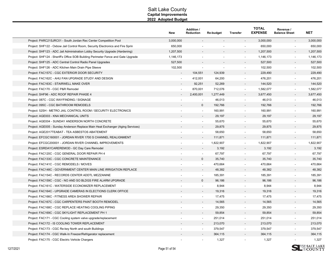|                                                                                  | New            | <b>Addition /</b><br>Reduction | <b>Re-budget</b> | Transfer                 | <b>TOTAL</b><br><b>EXPENSE</b> | Revenue /<br><b>Balance Sheet</b> | <b>NET</b> |
|----------------------------------------------------------------------------------|----------------|--------------------------------|------------------|--------------------------|--------------------------------|-----------------------------------|------------|
| Project: PARC21SJRC01 - South Jordan Rec Center Competition Pool                 | 3,000,000      |                                |                  |                          | 3,000,000                      | $\overline{\phantom{a}}$          | 3,000,000  |
| Project: SHF122 - Oxbow Jail Control Room, Security Electronics and Fire Sprin   | 650,000        |                                |                  |                          | 650,000                        |                                   | 650,000    |
| Project: SHF123 - ADC Jail Administration Lobby Security Upgrade (Hardening)     | 1,207,500      |                                |                  | $\overline{\phantom{a}}$ | 1,207,500                      | $\blacksquare$                    | 1,207,500  |
| Project: SHF124 - Sheriff's Office SOB Building Perimeter Fence and Gate Upgrade | 1,146,173      |                                | ÷,               |                          | 1,146,173                      | $\blacksquare$                    | 1,146,173  |
| Project: SHF125 - ADC Central Control Radio Panel Upgrades                       | 527,500        |                                |                  |                          | 527,500                        | $\overline{\phantom{a}}$          | 527,500    |
| Project: SHF126 - ADC Kitchen Main Drain Pipe Sleeve                             | 102,500        |                                | $\blacksquare$   | $\blacksquare$           | 102,500                        | $\blacksquare$                    | 102,500    |
| Project: FAC157C - CGC EXTERIOR DOOR SECURITY                                    |                | 104,551                        | 124,939          |                          | 229,490                        |                                   | 229,490    |
| Project: FAC162C - AHU FAN UPGRADE STUDY AND DESIGN                              | $\blacksquare$ | 412,001                        | 64,200           |                          | 476,201                        | $\overline{\phantom{a}}$          | 476,201    |
| Project: FAC163C - STAIRWELL MAKE OVER                                           |                | 92,251                         | 52,269           |                          | 144,520                        |                                   | 144,520    |
| Project: FAC170 - CGC P&R Remodel                                                |                | 870,001                        | 712,076          |                          | 1,582,077                      | $\overline{a}$                    | 1,582,077  |
| Project: SHF96 - ADC ROOF REPAIR PHASE 4                                         |                | 2,400,001                      | 1,277,449        |                          | 3,677,450                      |                                   | 3,677,450  |
| Project: 087C - CGC WAYFINDING / SIGNAGE                                         |                | $\overline{\phantom{a}}$       | 46,013           | $\sim$                   | 46,013                         | $\overline{\phantom{a}}$          | 46,013     |
| Project: 095C - CGC BATHROOM REMODELS                                            |                | $\mathbf{0}$                   | 192,766          |                          | 192,766                        |                                   | 192,766    |
| Project: 52SH - METRO JAIL CONTROL ROOM / SECURITY ELECTRONICS                   |                |                                | 160,991          | $\overline{\phantom{a}}$ | 160,991                        | $\blacksquare$                    | 160,991    |
| Project: AGE003 - KNA MECHANICAL UNITS                                           |                |                                | 29,197           |                          | 29,197                         |                                   | 29,197     |
| Project: AGE004 - SUNDAY ANDERSON NORTH CONCRETE                                 |                | $\overline{\phantom{a}}$       | 55,670           | $\overline{\phantom{a}}$ | 55,670                         | $\overline{\phantom{a}}$          | 55,670     |
| Project: AGE005 - Sunday Anderson Replace Main Heat Exchanger (Aging Services)   |                |                                | 29,875           |                          | 29,875                         |                                   | 29,875     |
| Project: AGE2017TEABAT - TEA ASBESTOS ABATEMENT                                  |                |                                | 58,650           |                          | 58,650                         |                                   | 58,650     |
| Project: EFCGC160001 - JORDAN RIVER 1700 S CHANNEL REALIGNMENT                   |                |                                | 111,871          |                          | 111,871                        |                                   | 111,871    |
| Project: EFCGC200001 - JORDAN RIVER CHANNEL IMPROVEMENTS                         | $\blacksquare$ | $\overline{\phantom{a}}$       | 1,822,907        | $\overline{\phantom{a}}$ | 1,822,907                      | $\blacksquare$                    | 1,822,907  |
| Project: ESRDAYCAREREMOD - GC Day Care Remodel                                   |                |                                | 3,192            |                          | 3,192                          |                                   | 3,192      |
| Project: FAC120C - CGC GENERAL DOOR REPAIR PH 4                                  |                |                                | 67,797           |                          | 67,797                         | $\overline{\phantom{a}}$          | 67,797     |
| Project: FAC133C - CGC CONCRETE MAINTENANCE                                      |                | $\Omega$                       | 35,740           |                          | 35,740                         |                                   | 35,740     |
| Project: FAC141C - CGC REMODELS / MOVES                                          |                |                                | 470,664          |                          | 470,664                        | $\overline{a}$                    | 470,664    |
| Project: FAC148C - GOVERNMENT CENTER MAIN LINE IRRIGATION REPLACE                |                |                                | 48,382           |                          | 48,382                         | $\overline{\phantom{a}}$          | 48,382     |
| Project: FAC154C - RECORDS CENTER ADDTL MEZZANINE                                |                |                                | 185,391          |                          | 185,391                        |                                   | 185,391    |
| Project: FAC159C - CGC - NO AND SO BLDGS FIRE ALARM UPGRADE                      |                | $\mathbf{0}$                   | 96,186           |                          | 96,186                         |                                   | 96,186     |
| Project: FAC161C - WATERSIDE ECONOMIZER REPLACEMENT                              |                | $\overline{\phantom{a}}$       | 8,944            | $\overline{\phantom{a}}$ | 8,944                          | $\blacksquare$                    | 8,944      |
| Project: FAC164C - UPGRADE CAMERAS IN ELECTIONS CLERK OFFICE                     |                |                                | 19,316           |                          | 19,316                         |                                   | 19,316     |
| Project: FAC166C - FITNESS AREA SHOWER REPAIR                                    |                |                                | 17,475           |                          | 17,475                         | $\blacksquare$                    | 17,475     |
| Project: FAC167C - CGC CARPENTERS PAINT BOOTH REMODEL                            |                |                                | 14,565           |                          | 14,565                         |                                   | 14,565     |
| Project: FAC168C - CGC REPLACE HEATING COOLING PIPING                            |                |                                | 29,350           |                          | 29,350                         |                                   | 29,350     |
| Project: FAC169C - CGC SKYLIGHT REPLACEMENT PH 1                                 |                | $\sim$                         | 59,854           | $\overline{\phantom{a}}$ | 59,854                         | $\blacksquare$                    | 59,854     |
| Project: FAC171 - CGC Cooling system valve upgrade/replacement                   |                | $\blacksquare$                 | 251,014          |                          | 251,014                        | $\overline{\phantom{a}}$          | 251,014    |
| Project: FAC172 - IS COOLING TOWER REPLACEMENT                                   |                |                                | 213,070          | $\overline{\phantom{a}}$ | 213,070                        | $\overline{\phantom{a}}$          | 213,070    |
| Project: FAC173 - CGC Re-key North and south Buildings                           |                | $\overline{\phantom{a}}$       | 379,547          | $\overline{\phantom{a}}$ | 379,547                        | $\blacksquare$                    | 379,547    |
| Project: FAC174 - CGC Walk-In Freezer/Refrigerator replacement                   |                |                                | 364,115          |                          | 364,115                        |                                   | 364,115    |
| Project: FAC175 - CGC Electric Vehicle Chargers                                  |                |                                | 1,327            |                          | 1,327                          |                                   | 1,327      |

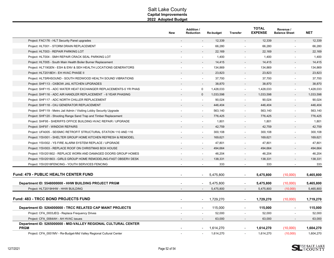|                                                                                | New | <b>Addition /</b><br>Reduction             | <b>Re-budget</b> | <b>Transfer</b>          | <b>TOTAL</b><br><b>EXPENSE</b> | Revenue /<br><b>Balance Sheet</b> | <b>NET</b> |
|--------------------------------------------------------------------------------|-----|--------------------------------------------|------------------|--------------------------|--------------------------------|-----------------------------------|------------|
| Project: FAC176 - HLT Security Panel upgrades                                  |     |                                            | 12,339           |                          | 12,339                         |                                   | 12,339     |
| Project: HLT001 - STORM DRAIN REPLACEMENT                                      |     |                                            | 66,280           |                          | 66,280                         |                                   | 66,280     |
| Project: HLT003 - REPAIR PARKING LOT                                           |     |                                            | 22,169           |                          | 22,169                         |                                   | 22,169     |
| Project: HLT004 - SMH REPAIR CRACK SEAL PARKING LOT                            |     | $\overline{\phantom{a}}$                   | 1,400            |                          | 1,400                          | $\overline{\phantom{a}}$          | 1,400      |
| Project: HLT005 - South Main Health Boiler Burner Replacement                  |     |                                            | 14,415           |                          | 14,415                         |                                   | 14,415     |
| Project: HLT19GEN - ESH & ENV & SEH HEALTH LOCATIONS GENERATORS                |     | $\blacksquare$                             | 134,869          |                          | 134,869                        | $\blacksquare$                    | 134,869    |
| Project: HLT2018EH - EH HVAC PHASE II                                          |     |                                            | 23,823           |                          | 23,823                         |                                   | 23,823     |
| Project: HLTSRHSOUND - SOUTH REDWOOD HEALTH SOUND VIBRATIONS                   |     |                                            | 37,700           |                          | 37,700                         |                                   | 37,700     |
| Project: SHF113 - OXBOW JAIL KITCHEN UPGRADES                                  |     |                                            | 38,870           |                          | 38,870                         |                                   | 38,870     |
| Project: SHF115 - ADC WATER HEAT EXCHANGER REPLACEMENTS-5 YR PHAS              |     | $\mathbf 0$                                | 1,428,033        | $\sim$                   | 1,428,033                      | $\blacksquare$                    | 1,428,033  |
| Project: SHF116 - ADC AIR HANDLER REPLACEMENT - 6 YEAR PHASING                 |     | $\mathbf 0$                                | 1,033,598        |                          | 1,033,598                      |                                   | 1,033,598  |
| Project: SHF117 - ADC NORTH CHILLER REPLACEMENT                                |     | $\overline{\phantom{a}}$                   | 90,024           | $\overline{\phantom{a}}$ | 90,024                         | $\blacksquare$                    | 90,024     |
| Project: SHF118 - OXJ GENERATOR REPLACEMENT                                    |     |                                            | 446,404          |                          | 446,404                        |                                   | 446,404    |
| Project: SHF119 - Metro Jail Admin / Visiting Lobby Security Upgrade           |     | $\ddot{\phantom{a}}$                       | 563,140          | $\overline{\phantom{a}}$ | 563,140                        | $\overline{\phantom{a}}$          | 563,140    |
| Project: SHF120 - Shooting Range Sand Trap and Timber Replacement              |     |                                            | 776,425          |                          | 776,425                        |                                   | 776,425    |
| Project: SHF95 - SHERIFFS OFFICE BUILDING HVAC REPAIR / UPGRADE                |     |                                            | 1,801            |                          | 1,801                          |                                   | 1,801      |
| Project: SHF97 - WINDOW REPAIRS                                                |     | $\overline{a}$                             | 42,759           |                          | 42,759                         |                                   | 42,759     |
| Project: UFA005 - SEISMIC RETROFIT STRUCTURAL STATION 110 AND 116              |     | $\overline{a}$                             | 300,108          |                          | 300,108                        |                                   | 300,108    |
| Project: YSV001 - SHELTER GROUP HOME KITCHEN REFRESH & REMODEL                 |     |                                            | 169,621          |                          | 169,621                        |                                   | 169,621    |
| Project: YSV002 - YS FIRE ALARM SYSTEM REPLACE / UPGRADE                       |     | $\overline{a}$                             | 47,801           |                          | 47,801                         |                                   | 47,801     |
| Project: YSV003 - REPLACE ROOF ON CHRISTMAS BOX HOUSE                          |     |                                            | 494,664          |                          | 494,664                        |                                   | 494,664    |
| Project: YSV201802 - REPLACE WORN AND DAMAGED DOORS GROUP HOMES                |     | $\overline{\phantom{a}}$                   | 46,204           |                          | 46,204                         |                                   | 46,204     |
| Project: YSV201803 - GIRLS GROUP HOME REMODELING-FAST OBSERV DESK              |     |                                            | 138,331          |                          | 138,331                        |                                   | 138,331    |
| Project: YSV2018FENCING - YOUTH SERVICES FENCING                               |     |                                            | 333              |                          | 333                            |                                   | 333        |
| <b>Fund: 479 - PUBLIC HEALTH CENTER FUND</b>                                   |     |                                            | 5,475,800        | $\overline{\phantom{a}}$ | 5,475,800                      | (10,000)                          | 5,465,800  |
| Department ID: 5548000000 - HHW BUILDING PROJECT PRGM                          |     |                                            | 5,475,800        | $\blacksquare$           | 5,475,800                      | (10,000)                          | 5,465,800  |
| Project: HLT2019HHW - HHW BUILDING                                             |     |                                            | 5,475,800        |                          | 5,475,800                      | (10,000)                          | 5,465,800  |
| <b>Fund: 483 - TRCC BOND PROJECTS FUND</b>                                     |     |                                            | 1,729,270        |                          | 1,729,270                      | (10,000)                          | 1,719,270  |
| Department ID: 5264000000 - TRCC RELATED CAP MAINT PROJECTS                    |     | $\blacksquare$<br>$\overline{\phantom{a}}$ | 115,000          | $\overline{\phantom{a}}$ | 115,000                        | $\overline{\phantom{a}}$          | 115,000    |
| Project: CFA_0003JEQ - Replace Frequency Drives                                |     |                                            | 52,000           |                          | 52,000                         |                                   | 52,000     |
| Project: CFA 0064AH - AH HVAC issues                                           |     |                                            | 63,000           |                          | 63,000                         |                                   | 63,000     |
| Department ID: 5265000000 - MID-VALLEY REGIONAL CULTURAL CENTER<br><b>PRGM</b> |     |                                            | 1,614,270        |                          | 1,614,270                      | (10,000)                          | 1,604,270  |
| Project: CFA 0001MV - Re-Budget-Mid Valley Regional Cultural Center            |     |                                            | 1,614,270        |                          | 1,614,270                      | (10,000)                          | 1,604,270  |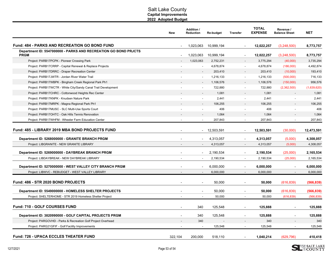|                                                                                | <b>New</b>               | Addition /<br><b>Reduction</b> | Re-budget  | <b>Transfer</b>          | <b>TOTAL</b><br><b>EXPENSE</b> | Revenue /<br><b>Balance Sheet</b> | <b>NET</b>  |
|--------------------------------------------------------------------------------|--------------------------|--------------------------------|------------|--------------------------|--------------------------------|-----------------------------------|-------------|
| <b>Fund: 484 - PARKS AND RECREATION GO BOND FUND</b>                           |                          | 1,023,063                      | 10,999,194 |                          | 12,022,257                     | (3,248,500)                       | 8,773,757   |
| Department ID: 5547000000 - PARKS AND RECREATION GO BOND PRJCTS<br><b>PRGM</b> |                          | 1,023,063                      | 10,999,194 | $\overline{\phantom{a}}$ | 12,022,257                     | (3,248,500)                       | 8,773,757   |
| Project: PARB17PCPK - Pioneer Crossing Park                                    |                          | 1,023,063                      | 2,752,231  | $\blacksquare$           | 3,775,294                      | (40,000)                          | 3,735,294   |
| Project: PARB17CRRP - Capital Renewal & Replace Projects                       |                          | $\overline{\phantom{a}}$       | 4,678,874  | $\overline{\phantom{a}}$ | 4,678,874                      | (186,000)                         | 4,492,874   |
| Project: PARB17DRRC - Draper Recreation Center                                 |                          |                                | 203,410    |                          | 203,410                        | (10,000)                          | 193,410     |
| Project: PARB17JWTR - Jordan River Water Trail                                 |                          |                                | 1,216,133  |                          | 1,216,133                      | (500,000)                         | 716,133     |
| Project: PARB17WBPK - Bingham Creek Regional Park Ph1                          |                          |                                | 1,106,576  |                          | 1,106,576                      | (150,000)                         | 956,576     |
| Project: PARB17WCTR - White City/Sandy Canal Trail Development                 |                          |                                | 722,880    |                          | 722,880                        | (2,362,500)                       | (1,639,620) |
| Project: PARB17CHRC - Cottonwood Heights Rec Center                            |                          |                                | 1,081      |                          | 1,081                          |                                   | 1,081       |
| Project: PARB17KNPK - Knudsen Nature Park                                      |                          |                                | 2,441      |                          | 2,441                          |                                   | 2,441       |
| Project: PARB17MRPK - Magna Regional Park Ph1                                  |                          |                                | 106,255    |                          | 106,255                        |                                   | 106,255     |
| Project: PARB17MUSC - SLC Multi-Use Sports Court                               |                          | $\overline{a}$                 | 406        | $\sim$                   | 406                            | $\blacksquare$                    | 406         |
| Project: PARB17OHTC - Oak Hills Tennis Renovation                              |                          |                                | 1,064      |                          | 1,064                          |                                   | 1,064       |
| Project: PARB17WHFM - Wheeler Farm Education Center                            |                          |                                | 207,843    |                          | 207,843                        |                                   | 207,843     |
| Fund: 485 - LIBRARY 2019 MBA BOND PROJECTS FUND                                |                          |                                | 12,503,591 |                          | 12,503,591                     | (30,000)                          | 12,473,591  |
| Department ID: 5268000000 - GRANITE BRANCH PRGM                                |                          |                                | 4,313,057  |                          | 4,313,057                      | (5,000)                           | 4,308,057   |
| Project: LIBGRANITE - NEW GRANITE LIBRARY                                      |                          | $\overline{a}$                 | 4,313,057  |                          | 4,313,057                      | (5,000)                           | 4,308,057   |
| Department ID: 5269000000 - DAYBREAK BRANCH PRGM                               |                          |                                | 2,190,534  |                          | 2,190,534                      | (25,000)                          | 2,165,534   |
| Project: LIBDAYBREAK - NEW DAYBREAK LIBRARY                                    |                          |                                | 2,190,534  | $\sim$                   | 2,190,534                      | (25,000)                          | 2,165,534   |
| Department ID: 5270000000 - WEST VALLEY CITY BRANCH PRGM                       | $\overline{\phantom{a}}$ | $\overline{a}$                 | 6,000,000  | $\overline{\phantom{a}}$ | 6,000,000                      | $\blacksquare$                    | 6,000,000   |
| Project: LIBWVC - REBUDGET - WEST VALLEY LIBRARY                               | $\overline{\phantom{a}}$ | $\overline{\phantom{a}}$       | 6,000,000  | $\sim$                   | 6,000,000                      | $\sim$                            | 6,000,000   |
| Fund: 486 - STR 2020 BOND PROJECTS                                             |                          |                                | 50,000     |                          | 50,000                         | (616, 839)                        | (566, 839)  |
| Department ID: 5549000000 - HOMELESS SHELTER PROJECTS                          |                          |                                | 50,000     |                          | 50,000                         | (616, 839)                        | (566, 839)  |
| Project: SHELTERHOME - STR 2019 Homeless Shelter Project                       |                          |                                | 50,000     |                          | 50,000                         | (616, 839)                        | (566, 839)  |
| Fund: 710 - GOLF COURSES FUND                                                  |                          | 340                            | 125,548    |                          | 125,888                        |                                   | 125,888     |
| Department ID: 3820990000 - GOLF CAPITAL PROJECTS PRGM                         |                          | 340                            | 125,548    |                          | 125,888                        |                                   | 125,888     |
| Project: PARGOVHD - Parks & Recreation Golf Project Overhead                   |                          | 340                            |            |                          | 340                            |                                   | 340         |
| Project: PARG21GFIF - Golf Facility Improvements                               | $\overline{\phantom{a}}$ | $\overline{\phantom{a}}$       | 125,548    | $\sim$                   | 125,548                        | $\blacksquare$                    | 125,548     |
| <b>Fund: 726 - UPACA ECCLES THEATER FUND</b>                                   | 322,104                  | 200,000                        | 518,110    |                          | 1,040,214                      | (629, 796)                        | 410,418     |